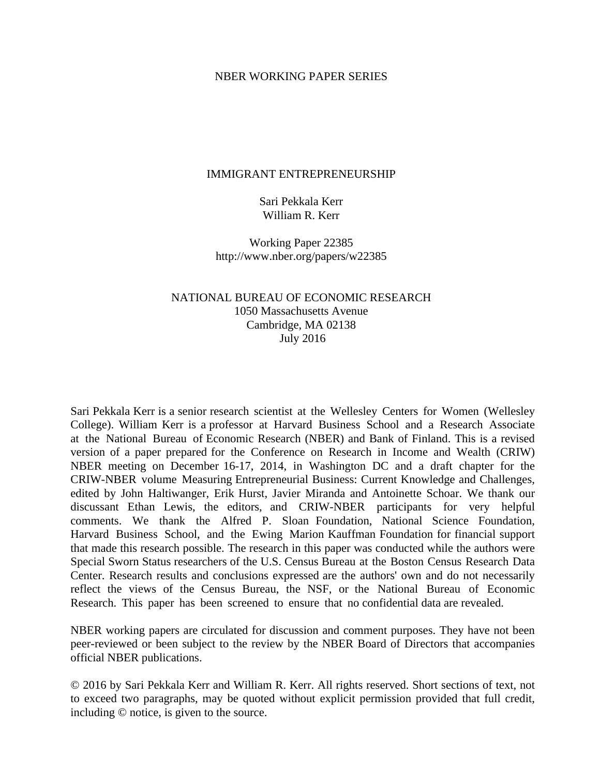#### NBER WORKING PAPER SERIES

#### IMMIGRANT ENTREPRENEURSHIP

Sari Pekkala Kerr William R. Kerr

Working Paper 22385 http://www.nber.org/papers/w22385

#### NATIONAL BUREAU OF ECONOMIC RESEARCH 1050 Massachusetts Avenue Cambridge, MA 02138 July 2016

Sari Pekkala Kerr is a senior research scientist at the Wellesley Centers for Women (Wellesley College). William Kerr is a professor at Harvard Business School and a Research Associate at the National Bureau of Economic Research (NBER) and Bank of Finland. This is a revised version of a paper prepared for the Conference on Research in Income and Wealth (CRIW) NBER meeting on December 16-17, 2014, in Washington DC and a draft chapter for the CRIW-NBER volume Measuring Entrepreneurial Business: Current Knowledge and Challenges, edited by John Haltiwanger, Erik Hurst, Javier Miranda and Antoinette Schoar. We thank our discussant Ethan Lewis, the editors, and CRIW-NBER participants for very helpful comments. We thank the Alfred P. Sloan Foundation, National Science Foundation, Harvard Business School, and the Ewing Marion Kauffman Foundation for financial support that made this research possible. The research in this paper was conducted while the authors were Special Sworn Status researchers of the U.S. Census Bureau at the Boston Census Research Data Center. Research results and conclusions expressed are the authors' own and do not necessarily reflect the views of the Census Bureau, the NSF, or the National Bureau of Economic Research. This paper has been screened to ensure that no confidential data are revealed.

NBER working papers are circulated for discussion and comment purposes. They have not been peer-reviewed or been subject to the review by the NBER Board of Directors that accompanies official NBER publications.

© 2016 by Sari Pekkala Kerr and William R. Kerr. All rights reserved. Short sections of text, not to exceed two paragraphs, may be quoted without explicit permission provided that full credit, including © notice, is given to the source.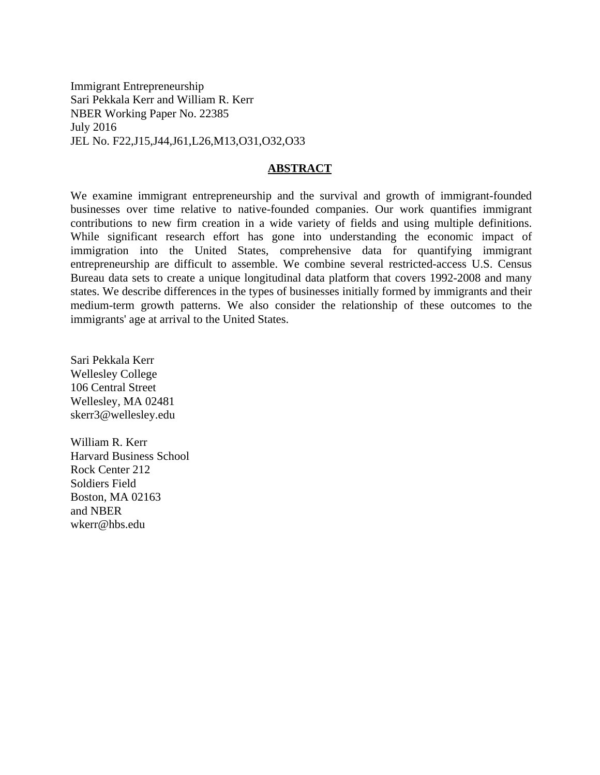Immigrant Entrepreneurship Sari Pekkala Kerr and William R. Kerr NBER Working Paper No. 22385 July 2016 JEL No. F22,J15,J44,J61,L26,M13,O31,O32,O33

#### **ABSTRACT**

We examine immigrant entrepreneurship and the survival and growth of immigrant-founded businesses over time relative to native-founded companies. Our work quantifies immigrant contributions to new firm creation in a wide variety of fields and using multiple definitions. While significant research effort has gone into understanding the economic impact of immigration into the United States, comprehensive data for quantifying immigrant entrepreneurship are difficult to assemble. We combine several restricted-access U.S. Census Bureau data sets to create a unique longitudinal data platform that covers 1992-2008 and many states. We describe differences in the types of businesses initially formed by immigrants and their medium-term growth patterns. We also consider the relationship of these outcomes to the immigrants' age at arrival to the United States.

Sari Pekkala Kerr Wellesley College 106 Central Street Wellesley, MA 02481 skerr3@wellesley.edu

William R. Kerr Harvard Business School Rock Center 212 Soldiers Field Boston, MA 02163 and NBER wkerr@hbs.edu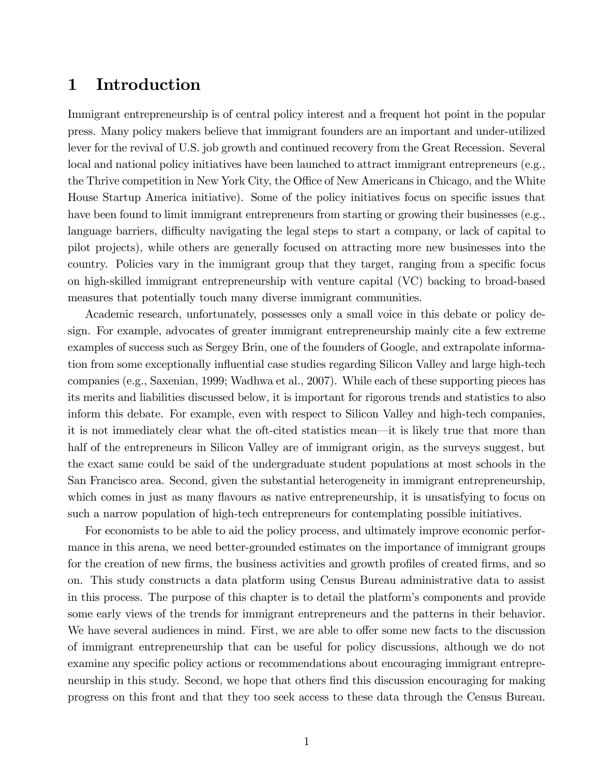## 1 Introduction

Immigrant entrepreneurship is of central policy interest and a frequent hot point in the popular press. Many policy makers believe that immigrant founders are an important and under-utilized lever for the revival of U.S. job growth and continued recovery from the Great Recession. Several local and national policy initiatives have been launched to attract immigrant entrepreneurs (e.g., the Thrive competition in New York City, the Office of New Americans in Chicago, and the White House Startup America initiative). Some of the policy initiatives focus on specific issues that have been found to limit immigrant entrepreneurs from starting or growing their businesses (e.g., language barriers, difficulty navigating the legal steps to start a company, or lack of capital to pilot projects), while others are generally focused on attracting more new businesses into the country. Policies vary in the immigrant group that they target, ranging from a specific focus on high-skilled immigrant entrepreneurship with venture capital (VC) backing to broad-based measures that potentially touch many diverse immigrant communities.

Academic research, unfortunately, possesses only a small voice in this debate or policy design. For example, advocates of greater immigrant entrepreneurship mainly cite a few extreme examples of success such as Sergey Brin, one of the founders of Google, and extrapolate information from some exceptionally influential case studies regarding Silicon Valley and large high-tech companies (e.g., Saxenian, 1999; Wadhwa et al., 2007). While each of these supporting pieces has its merits and liabilities discussed below, it is important for rigorous trends and statistics to also inform this debate. For example, even with respect to Silicon Valley and high-tech companies, it is not immediately clear what the oft-cited statistics mean—it is likely true that more than half of the entrepreneurs in Silicon Valley are of immigrant origin, as the surveys suggest, but the exact same could be said of the undergraduate student populations at most schools in the San Francisco area. Second, given the substantial heterogeneity in immigrant entrepreneurship, which comes in just as many flavours as native entrepreneurship, it is unsatisfying to focus on such a narrow population of high-tech entrepreneurs for contemplating possible initiatives.

For economists to be able to aid the policy process, and ultimately improve economic performance in this arena, we need better-grounded estimates on the importance of immigrant groups for the creation of new firms, the business activities and growth profiles of created firms, and so on. This study constructs a data platform using Census Bureau administrative data to assist in this process. The purpose of this chapter is to detail the platform's components and provide some early views of the trends for immigrant entrepreneurs and the patterns in their behavior. We have several audiences in mind. First, we are able to offer some new facts to the discussion of immigrant entrepreneurship that can be useful for policy discussions, although we do not examine any specific policy actions or recommendations about encouraging immigrant entrepreneurship in this study. Second, we hope that others find this discussion encouraging for making progress on this front and that they too seek access to these data through the Census Bureau.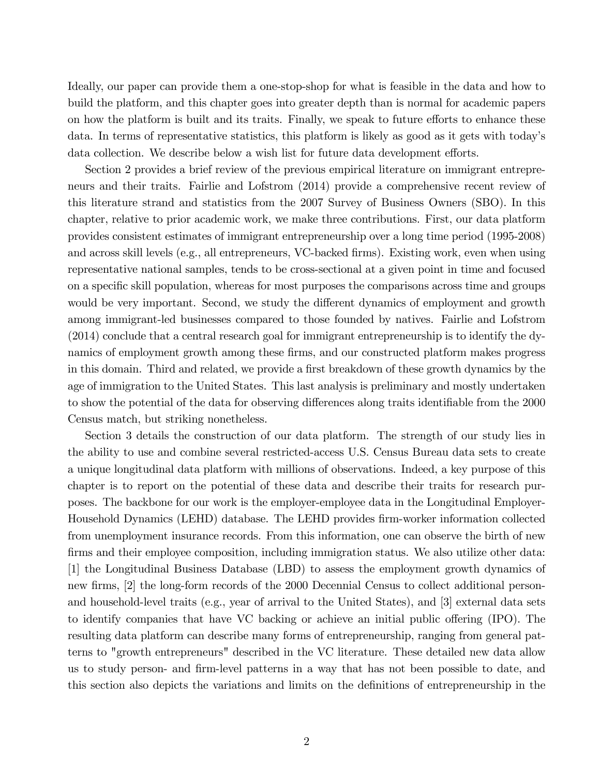Ideally, our paper can provide them a one-stop-shop for what is feasible in the data and how to build the platform, and this chapter goes into greater depth than is normal for academic papers on how the platform is built and its traits. Finally, we speak to future efforts to enhance these data. In terms of representative statistics, this platform is likely as good as it gets with todayís data collection. We describe below a wish list for future data development efforts.

Section 2 provides a brief review of the previous empirical literature on immigrant entrepreneurs and their traits. Fairlie and Lofstrom (2014) provide a comprehensive recent review of this literature strand and statistics from the 2007 Survey of Business Owners (SBO). In this chapter, relative to prior academic work, we make three contributions. First, our data platform provides consistent estimates of immigrant entrepreneurship over a long time period (1995-2008) and across skill levels (e.g., all entrepreneurs, VC-backed firms). Existing work, even when using representative national samples, tends to be cross-sectional at a given point in time and focused on a specific skill population, whereas for most purposes the comparisons across time and groups would be very important. Second, we study the different dynamics of employment and growth among immigrant-led businesses compared to those founded by natives. Fairlie and Lofstrom (2014) conclude that a central research goal for immigrant entrepreneurship is to identify the dynamics of employment growth among these firms, and our constructed platform makes progress in this domain. Third and related, we provide a first breakdown of these growth dynamics by the age of immigration to the United States. This last analysis is preliminary and mostly undertaken to show the potential of the data for observing differences along traits identifiable from the 2000 Census match, but striking nonetheless.

Section 3 details the construction of our data platform. The strength of our study lies in the ability to use and combine several restricted-access U.S. Census Bureau data sets to create a unique longitudinal data platform with millions of observations. Indeed, a key purpose of this chapter is to report on the potential of these data and describe their traits for research purposes. The backbone for our work is the employer-employee data in the Longitudinal Employer-Household Dynamics (LEHD) database. The LEHD provides Örm-worker information collected from unemployment insurance records. From this information, one can observe the birth of new firms and their employee composition, including immigration status. We also utilize other data: [1] the Longitudinal Business Database (LBD) to assess the employment growth dynamics of new firms, [2] the long-form records of the 2000 Decennial Census to collect additional personand household-level traits (e.g., year of arrival to the United States), and [3] external data sets to identify companies that have VC backing or achieve an initial public offering (IPO). The resulting data platform can describe many forms of entrepreneurship, ranging from general patterns to "growth entrepreneurs" described in the VC literature. These detailed new data allow us to study person- and Örm-level patterns in a way that has not been possible to date, and this section also depicts the variations and limits on the definitions of entrepreneurship in the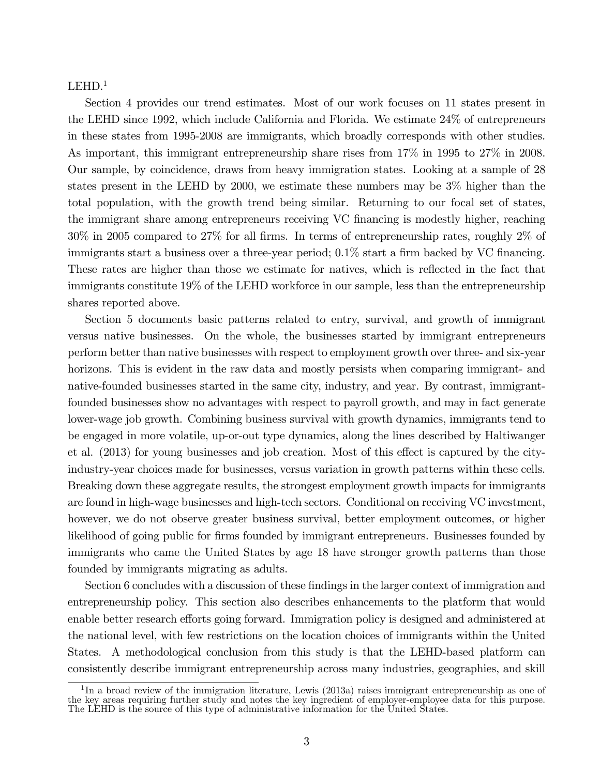#### $LEHD.<sup>1</sup>$

Section 4 provides our trend estimates. Most of our work focuses on 11 states present in the LEHD since 1992, which include California and Florida. We estimate 24% of entrepreneurs in these states from 1995-2008 are immigrants, which broadly corresponds with other studies. As important, this immigrant entrepreneurship share rises from 17% in 1995 to 27% in 2008. Our sample, by coincidence, draws from heavy immigration states. Looking at a sample of 28 states present in the LEHD by 2000, we estimate these numbers may be 3% higher than the total population, with the growth trend being similar. Returning to our focal set of states, the immigrant share among entrepreneurs receiving VC Önancing is modestly higher, reaching  $30\%$  in 2005 compared to 27% for all firms. In terms of entrepreneurship rates, roughly 2% of immigrants start a business over a three-year period;  $0.1\%$  start a firm backed by VC financing. These rates are higher than those we estimate for natives, which is reflected in the fact that immigrants constitute 19% of the LEHD workforce in our sample, less than the entrepreneurship shares reported above.

Section 5 documents basic patterns related to entry, survival, and growth of immigrant versus native businesses. On the whole, the businesses started by immigrant entrepreneurs perform better than native businesses with respect to employment growth over three- and six-year horizons. This is evident in the raw data and mostly persists when comparing immigrant- and native-founded businesses started in the same city, industry, and year. By contrast, immigrantfounded businesses show no advantages with respect to payroll growth, and may in fact generate lower-wage job growth. Combining business survival with growth dynamics, immigrants tend to be engaged in more volatile, up-or-out type dynamics, along the lines described by Haltiwanger et al.  $(2013)$  for young businesses and job creation. Most of this effect is captured by the cityindustry-year choices made for businesses, versus variation in growth patterns within these cells. Breaking down these aggregate results, the strongest employment growth impacts for immigrants are found in high-wage businesses and high-tech sectors. Conditional on receiving VC investment, however, we do not observe greater business survival, better employment outcomes, or higher likelihood of going public for firms founded by immigrant entrepreneurs. Businesses founded by immigrants who came the United States by age 18 have stronger growth patterns than those founded by immigrants migrating as adults.

Section 6 concludes with a discussion of these findings in the larger context of immigration and entrepreneurship policy. This section also describes enhancements to the platform that would enable better research efforts going forward. Immigration policy is designed and administered at the national level, with few restrictions on the location choices of immigrants within the United States. A methodological conclusion from this study is that the LEHD-based platform can consistently describe immigrant entrepreneurship across many industries, geographies, and skill

<sup>&</sup>lt;sup>1</sup>In a broad review of the immigration literature, Lewis (2013a) raises immigrant entrepreneurship as one of the key areas requiring further study and notes the key ingredient of employer-employee data for this purpose. The LEHD is the source of this type of administrative information for the United States.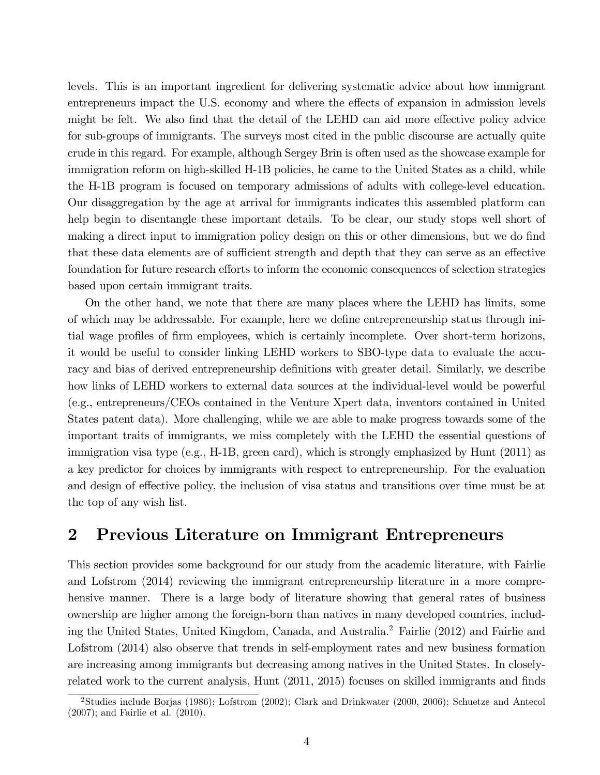levels. This is an important ingredient for delivering systematic advice about how immigrant entrepreneurs impact the U.S. economy and where the effects of expansion in admission levels might be felt. We also find that the detail of the LEHD can aid more effective policy advice for sub-groups of immigrants. The surveys most cited in the public discourse are actually quite crude in this regard. For example, although Sergey Brin is often used as the showcase example for immigration reform on high-skilled H-1B policies, he came to the United States as a child, while the H-1B program is focused on temporary admissions of adults with college-level education. Our disaggregation by the age at arrival for immigrants indicates this assembled platform can help begin to disentangle these important details. To be clear, our study stops well short of making a direct input to immigration policy design on this or other dimensions, but we do find that these data elements are of sufficient strength and depth that they can serve as an effective foundation for future research efforts to inform the economic consequences of selection strategies based upon certain immigrant traits.

On the other hand, we note that there are many places where the LEHD has limits, some of which may be addressable. For example, here we define entrepreneurship status through initial wage profiles of firm employees, which is certainly incomplete. Over short-term horizons, it would be useful to consider linking LEHD workers to SBO-type data to evaluate the accuracy and bias of derived entrepreneurship definitions with greater detail. Similarly, we describe how links of LEHD workers to external data sources at the individual-level would be powerful (e.g., entrepreneurs/CEOs contained in the Venture Xpert data, inventors contained in United States patent data). More challenging, while we are able to make progress towards some of the important traits of immigrants, we miss completely with the LEHD the essential questions of immigration visa type (e.g., H-1B, green card), which is strongly emphasized by Hunt (2011) as a key predictor for choices by immigrants with respect to entrepreneurship. For the evaluation and design of effective policy, the inclusion of visa status and transitions over time must be at the top of any wish list.

# 2 Previous Literature on Immigrant Entrepreneurs

This section provides some background for our study from the academic literature, with Fairlie and Lofstrom (2014) reviewing the immigrant entrepreneurship literature in a more comprehensive manner. There is a large body of literature showing that general rates of business ownership are higher among the foreign-born than natives in many developed countries, including the United States, United Kingdom, Canada, and Australia.<sup>2</sup> Fairlie (2012) and Fairlie and Lofstrom (2014) also observe that trends in self-employment rates and new business formation are increasing among immigrants but decreasing among natives in the United States. In closelyrelated work to the current analysis, Hunt  $(2011, 2015)$  focuses on skilled immigrants and finds

<sup>2</sup>Studies include Borjas (1986); Lofstrom (2002); Clark and Drinkwater (2000, 2006); Schuetze and Antecol (2007); and Fairlie et al. (2010).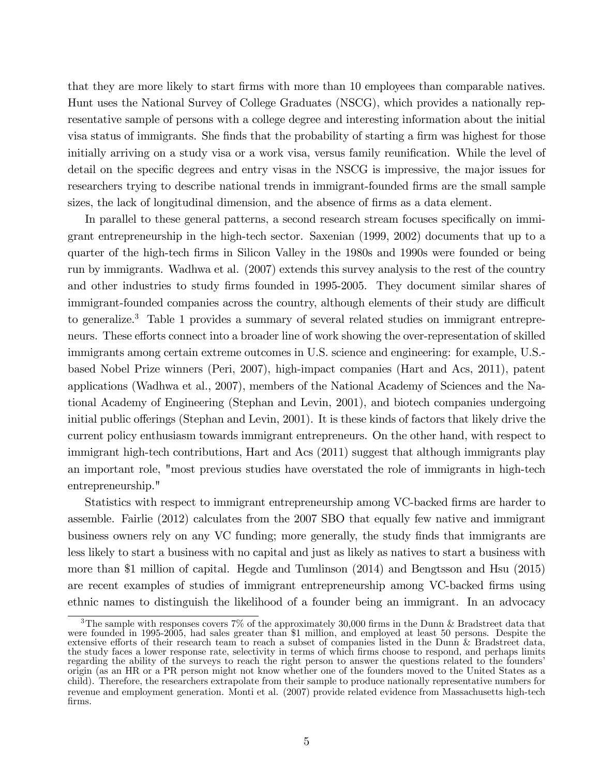that they are more likely to start firms with more than 10 employees than comparable natives. Hunt uses the National Survey of College Graduates (NSCG), which provides a nationally representative sample of persons with a college degree and interesting information about the initial visa status of immigrants. She finds that the probability of starting a firm was highest for those initially arriving on a study visa or a work visa, versus family reunification. While the level of detail on the specific degrees and entry visas in the NSCG is impressive, the major issues for researchers trying to describe national trends in immigrant-founded firms are the small sample sizes, the lack of longitudinal dimension, and the absence of firms as a data element.

In parallel to these general patterns, a second research stream focuses specifically on immigrant entrepreneurship in the high-tech sector. Saxenian (1999, 2002) documents that up to a quarter of the high-tech Örms in Silicon Valley in the 1980s and 1990s were founded or being run by immigrants. Wadhwa et al. (2007) extends this survey analysis to the rest of the country and other industries to study firms founded in 1995-2005. They document similar shares of immigrant-founded companies across the country, although elements of their study are difficult to generalize.<sup>3</sup> Table 1 provides a summary of several related studies on immigrant entrepreneurs. These efforts connect into a broader line of work showing the over-representation of skilled immigrants among certain extreme outcomes in U.S. science and engineering: for example, U.S. based Nobel Prize winners (Peri, 2007), high-impact companies (Hart and Acs, 2011), patent applications (Wadhwa et al., 2007), members of the National Academy of Sciences and the National Academy of Engineering (Stephan and Levin, 2001), and biotech companies undergoing initial public offerings (Stephan and Levin, 2001). It is these kinds of factors that likely drive the current policy enthusiasm towards immigrant entrepreneurs. On the other hand, with respect to immigrant high-tech contributions, Hart and Acs (2011) suggest that although immigrants play an important role, "most previous studies have overstated the role of immigrants in high-tech entrepreneurship."

Statistics with respect to immigrant entrepreneurship among VC-backed firms are harder to assemble. Fairlie (2012) calculates from the 2007 SBO that equally few native and immigrant business owners rely on any VC funding; more generally, the study Önds that immigrants are less likely to start a business with no capital and just as likely as natives to start a business with more than \$1 million of capital. Hegde and Tumlinson (2014) and Bengtsson and Hsu (2015) are recent examples of studies of immigrant entrepreneurship among VC-backed firms using ethnic names to distinguish the likelihood of a founder being an immigrant. In an advocacy

<sup>&</sup>lt;sup>3</sup>The sample with responses covers 7% of the approximately 30,000 firms in the Dunn & Bradstreet data that were founded in 1995-2005, had sales greater than \$1 million, and employed at least 50 persons. Despite the extensive efforts of their research team to reach a subset of companies listed in the Dunn & Bradstreet data, the study faces a lower response rate, selectivity in terms of which firms choose to respond, and perhaps limits regarding the ability of the surveys to reach the right person to answer the questions related to the founders' origin (as an HR or a PR person might not know whether one of the founders moved to the United States as a child). Therefore, the researchers extrapolate from their sample to produce nationally representative numbers for revenue and employment generation. Monti et al. (2007) provide related evidence from Massachusetts high-tech firms.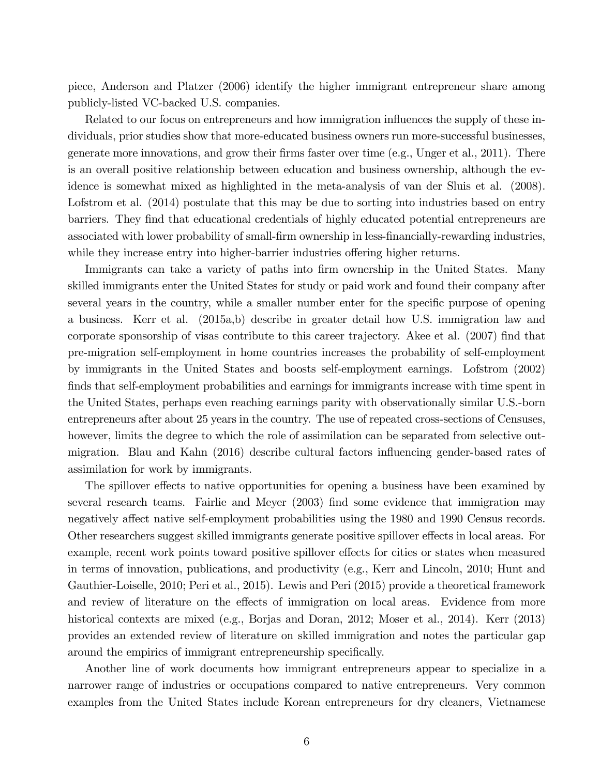piece, Anderson and Platzer (2006) identify the higher immigrant entrepreneur share among publicly-listed VC-backed U.S. companies.

Related to our focus on entrepreneurs and how immigration influences the supply of these individuals, prior studies show that more-educated business owners run more-successful businesses, generate more innovations, and grow their firms faster over time (e.g., Unger et al., 2011). There is an overall positive relationship between education and business ownership, although the evidence is somewhat mixed as highlighted in the meta-analysis of van der Sluis et al. (2008). Lofstrom et al. (2014) postulate that this may be due to sorting into industries based on entry barriers. They Önd that educational credentials of highly educated potential entrepreneurs are associated with lower probability of small-firm ownership in less-financially-rewarding industries, while they increase entry into higher-barrier industries offering higher returns.

Immigrants can take a variety of paths into firm ownership in the United States. Many skilled immigrants enter the United States for study or paid work and found their company after several years in the country, while a smaller number enter for the specific purpose of opening a business. Kerr et al. (2015a,b) describe in greater detail how U.S. immigration law and corporate sponsorship of visas contribute to this career trajectory. Akee et al. (2007) find that pre-migration self-employment in home countries increases the probability of self-employment by immigrants in the United States and boosts self-employment earnings. Lofstrom (2002) finds that self-employment probabilities and earnings for immigrants increase with time spent in the United States, perhaps even reaching earnings parity with observationally similar U.S.-born entrepreneurs after about 25 years in the country. The use of repeated cross-sections of Censuses, however, limits the degree to which the role of assimilation can be separated from selective outmigration. Blau and Kahn (2016) describe cultural factors influencing gender-based rates of assimilation for work by immigrants.

The spillover effects to native opportunities for opening a business have been examined by several research teams. Fairlie and Meyer (2003) find some evidence that immigration may negatively affect native self-employment probabilities using the 1980 and 1990 Census records. Other researchers suggest skilled immigrants generate positive spillover effects in local areas. For example, recent work points toward positive spillover effects for cities or states when measured in terms of innovation, publications, and productivity (e.g., Kerr and Lincoln, 2010; Hunt and Gauthier-Loiselle, 2010; Peri et al., 2015). Lewis and Peri (2015) provide a theoretical framework and review of literature on the effects of immigration on local areas. Evidence from more historical contexts are mixed (e.g., Borjas and Doran, 2012; Moser et al., 2014). Kerr (2013) provides an extended review of literature on skilled immigration and notes the particular gap around the empirics of immigrant entrepreneurship specifically.

Another line of work documents how immigrant entrepreneurs appear to specialize in a narrower range of industries or occupations compared to native entrepreneurs. Very common examples from the United States include Korean entrepreneurs for dry cleaners, Vietnamese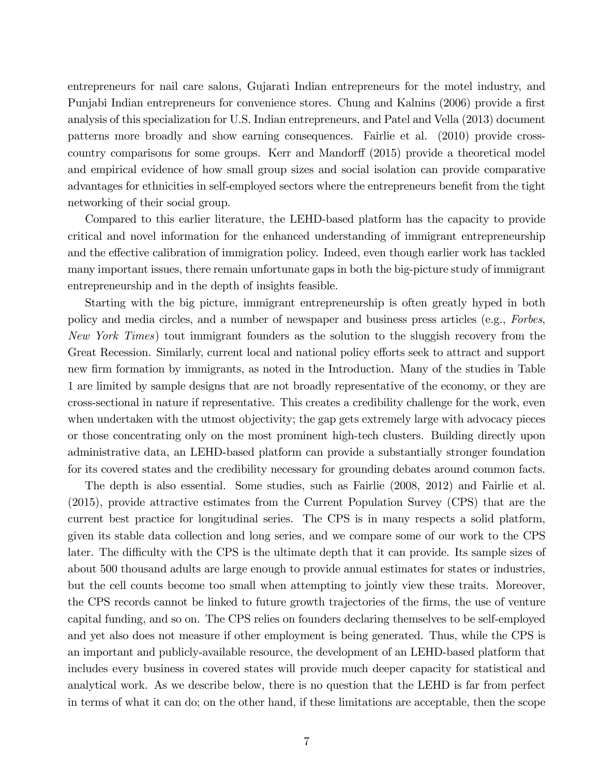entrepreneurs for nail care salons, Gujarati Indian entrepreneurs for the motel industry, and Punjabi Indian entrepreneurs for convenience stores. Chung and Kalnins (2006) provide a first analysis of this specialization for U.S. Indian entrepreneurs, and Patel and Vella (2013) document patterns more broadly and show earning consequences. Fairlie et al. (2010) provide crosscountry comparisons for some groups. Kerr and Mandorff (2015) provide a theoretical model and empirical evidence of how small group sizes and social isolation can provide comparative advantages for ethnicities in self-employed sectors where the entrepreneurs benefit from the tight networking of their social group.

Compared to this earlier literature, the LEHD-based platform has the capacity to provide critical and novel information for the enhanced understanding of immigrant entrepreneurship and the effective calibration of immigration policy. Indeed, even though earlier work has tackled many important issues, there remain unfortunate gaps in both the big-picture study of immigrant entrepreneurship and in the depth of insights feasible.

Starting with the big picture, immigrant entrepreneurship is often greatly hyped in both policy and media circles, and a number of newspaper and business press articles (e.g., Forbes, New York Times) tout immigrant founders as the solution to the sluggish recovery from the Great Recession. Similarly, current local and national policy efforts seek to attract and support new firm formation by immigrants, as noted in the Introduction. Many of the studies in Table 1 are limited by sample designs that are not broadly representative of the economy, or they are cross-sectional in nature if representative. This creates a credibility challenge for the work, even when undertaken with the utmost objectivity; the gap gets extremely large with advocacy pieces or those concentrating only on the most prominent high-tech clusters. Building directly upon administrative data, an LEHD-based platform can provide a substantially stronger foundation for its covered states and the credibility necessary for grounding debates around common facts.

The depth is also essential. Some studies, such as Fairlie (2008, 2012) and Fairlie et al. (2015), provide attractive estimates from the Current Population Survey (CPS) that are the current best practice for longitudinal series. The CPS is in many respects a solid platform, given its stable data collection and long series, and we compare some of our work to the CPS later. The difficulty with the CPS is the ultimate depth that it can provide. Its sample sizes of about 500 thousand adults are large enough to provide annual estimates for states or industries, but the cell counts become too small when attempting to jointly view these traits. Moreover, the CPS records cannot be linked to future growth trajectories of the firms, the use of venture capital funding, and so on. The CPS relies on founders declaring themselves to be self-employed and yet also does not measure if other employment is being generated. Thus, while the CPS is an important and publicly-available resource, the development of an LEHD-based platform that includes every business in covered states will provide much deeper capacity for statistical and analytical work. As we describe below, there is no question that the LEHD is far from perfect in terms of what it can do; on the other hand, if these limitations are acceptable, then the scope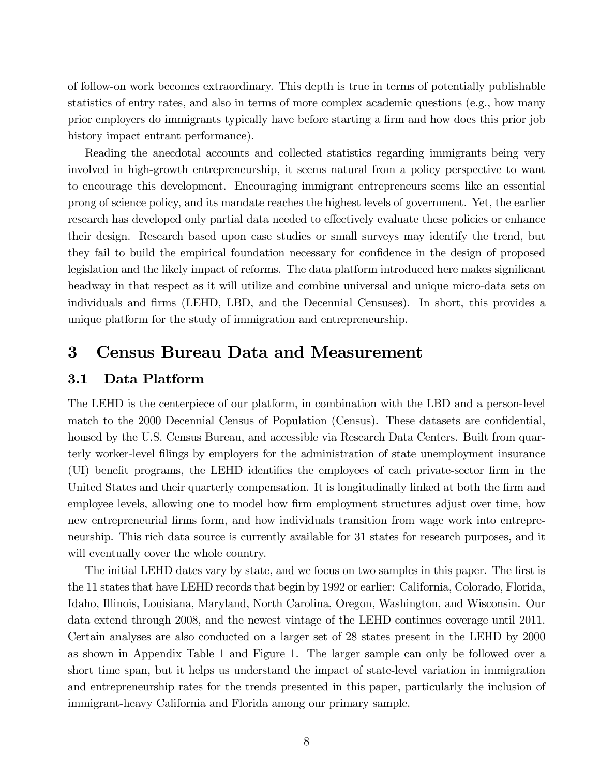of follow-on work becomes extraordinary. This depth is true in terms of potentially publishable statistics of entry rates, and also in terms of more complex academic questions (e.g., how many prior employers do immigrants typically have before starting a firm and how does this prior job history impact entrant performance).

Reading the anecdotal accounts and collected statistics regarding immigrants being very involved in high-growth entrepreneurship, it seems natural from a policy perspective to want to encourage this development. Encouraging immigrant entrepreneurs seems like an essential prong of science policy, and its mandate reaches the highest levels of government. Yet, the earlier research has developed only partial data needed to effectively evaluate these policies or enhance their design. Research based upon case studies or small surveys may identify the trend, but they fail to build the empirical foundation necessary for confidence in the design of proposed legislation and the likely impact of reforms. The data platform introduced here makes significant headway in that respect as it will utilize and combine universal and unique micro-data sets on individuals and firms (LEHD, LBD, and the Decennial Censuses). In short, this provides a unique platform for the study of immigration and entrepreneurship.

# 3 Census Bureau Data and Measurement

#### 3.1 Data Platform

The LEHD is the centerpiece of our platform, in combination with the LBD and a person-level match to the 2000 Decennial Census of Population (Census). These datasets are confidential, housed by the U.S. Census Bureau, and accessible via Research Data Centers. Built from quarterly worker-level Ölings by employers for the administration of state unemployment insurance (UI) benefit programs, the LEHD identifies the employees of each private-sector firm in the United States and their quarterly compensation. It is longitudinally linked at both the firm and employee levels, allowing one to model how firm employment structures adjust over time, how new entrepreneurial firms form, and how individuals transition from wage work into entrepreneurship. This rich data source is currently available for 31 states for research purposes, and it will eventually cover the whole country.

The initial LEHD dates vary by state, and we focus on two samples in this paper. The first is the 11 states that have LEHD records that begin by 1992 or earlier: California, Colorado, Florida, Idaho, Illinois, Louisiana, Maryland, North Carolina, Oregon, Washington, and Wisconsin. Our data extend through 2008, and the newest vintage of the LEHD continues coverage until 2011. Certain analyses are also conducted on a larger set of 28 states present in the LEHD by 2000 as shown in Appendix Table 1 and Figure 1. The larger sample can only be followed over a short time span, but it helps us understand the impact of state-level variation in immigration and entrepreneurship rates for the trends presented in this paper, particularly the inclusion of immigrant-heavy California and Florida among our primary sample.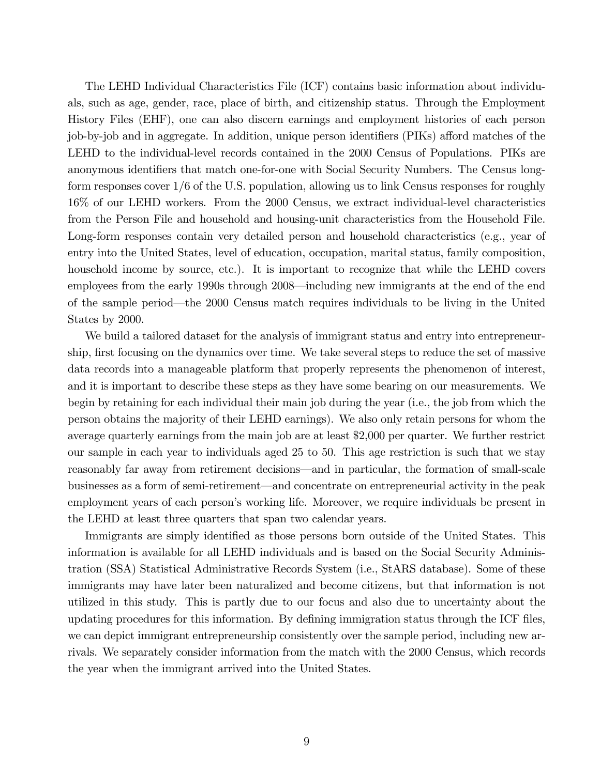The LEHD Individual Characteristics File (ICF) contains basic information about individuals, such as age, gender, race, place of birth, and citizenship status. Through the Employment History Files (EHF), one can also discern earnings and employment histories of each person job-by-job and in aggregate. In addition, unique person identifiers (PIKs) afford matches of the LEHD to the individual-level records contained in the 2000 Census of Populations. PIKs are anonymous identifiers that match one-for-one with Social Security Numbers. The Census longform responses cover 1/6 of the U.S. population, allowing us to link Census responses for roughly 16% of our LEHD workers. From the 2000 Census, we extract individual-level characteristics from the Person File and household and housing-unit characteristics from the Household File. Long-form responses contain very detailed person and household characteristics (e.g., year of entry into the United States, level of education, occupation, marital status, family composition, household income by source, etc.). It is important to recognize that while the LEHD covers employees from the early 1990s through 2008—including new immigrants at the end of the end of the sample period—the 2000 Census match requires individuals to be living in the United States by 2000.

We build a tailored dataset for the analysis of immigrant status and entry into entrepreneurship, first focusing on the dynamics over time. We take several steps to reduce the set of massive data records into a manageable platform that properly represents the phenomenon of interest, and it is important to describe these steps as they have some bearing on our measurements. We begin by retaining for each individual their main job during the year (i.e., the job from which the person obtains the majority of their LEHD earnings). We also only retain persons for whom the average quarterly earnings from the main job are at least \$2,000 per quarter. We further restrict our sample in each year to individuals aged 25 to 50. This age restriction is such that we stay reasonably far away from retirement decisions—and in particular, the formation of small-scale businesses as a form of semi-retirement—and concentrate on entrepreneurial activity in the peak employment years of each person's working life. Moreover, we require individuals be present in the LEHD at least three quarters that span two calendar years.

Immigrants are simply identified as those persons born outside of the United States. This information is available for all LEHD individuals and is based on the Social Security Administration (SSA) Statistical Administrative Records System (i.e., StARS database). Some of these immigrants may have later been naturalized and become citizens, but that information is not utilized in this study. This is partly due to our focus and also due to uncertainty about the updating procedures for this information. By defining immigration status through the ICF files, we can depict immigrant entrepreneurship consistently over the sample period, including new arrivals. We separately consider information from the match with the 2000 Census, which records the year when the immigrant arrived into the United States.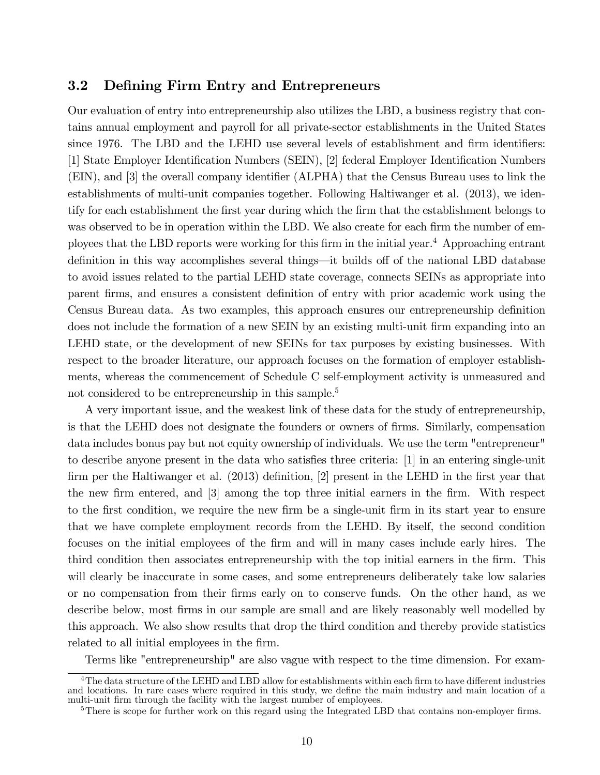#### 3.2 Defining Firm Entry and Entrepreneurs

Our evaluation of entry into entrepreneurship also utilizes the LBD, a business registry that contains annual employment and payroll for all private-sector establishments in the United States since 1976. The LBD and the LEHD use several levels of establishment and firm identifiers: [1] State Employer Identification Numbers (SEIN), [2] federal Employer Identification Numbers (EIN), and [3] the overall company identifier (ALPHA) that the Census Bureau uses to link the establishments of multi-unit companies together. Following Haltiwanger et al. (2013), we identify for each establishment the Örst year during which the Örm that the establishment belongs to was observed to be in operation within the LBD. We also create for each firm the number of employees that the LBD reports were working for this Örm in the initial year.<sup>4</sup> Approaching entrant definition in this way accomplishes several things—it builds off of the national LBD database to avoid issues related to the partial LEHD state coverage, connects SEINs as appropriate into parent firms, and ensures a consistent definition of entry with prior academic work using the Census Bureau data. As two examples, this approach ensures our entrepreneurship definition does not include the formation of a new SEIN by an existing multi-unit firm expanding into an LEHD state, or the development of new SEINs for tax purposes by existing businesses. With respect to the broader literature, our approach focuses on the formation of employer establishments, whereas the commencement of Schedule C self-employment activity is unmeasured and not considered to be entrepreneurship in this sample.<sup>5</sup>

A very important issue, and the weakest link of these data for the study of entrepreneurship, is that the LEHD does not designate the founders or owners of firms. Similarly, compensation data includes bonus pay but not equity ownership of individuals. We use the term "entrepreneur" to describe anyone present in the data who satisfies three criteria:  $[1]$  in an entering single-unit firm per the Haltiwanger et al.  $(2013)$  definition, [2] present in the LEHD in the first year that the new firm entered, and [3] among the top three initial earners in the firm. With respect to the first condition, we require the new firm be a single-unit firm in its start year to ensure that we have complete employment records from the LEHD. By itself, the second condition focuses on the initial employees of the firm and will in many cases include early hires. The third condition then associates entrepreneurship with the top initial earners in the Örm. This will clearly be inaccurate in some cases, and some entrepreneurs deliberately take low salaries or no compensation from their Örms early on to conserve funds. On the other hand, as we describe below, most firms in our sample are small and are likely reasonably well modelled by this approach. We also show results that drop the third condition and thereby provide statistics related to all initial employees in the firm.

Terms like "entrepreneurship" are also vague with respect to the time dimension. For exam-

 $^{4}$ The data structure of the LEHD and LBD allow for establishments within each firm to have different industries and locations. In rare cases where required in this study, we define the main industry and main location of a multi-unit firm through the facility with the largest number of employees.

 $5$ There is scope for further work on this regard using the Integrated LBD that contains non-employer firms.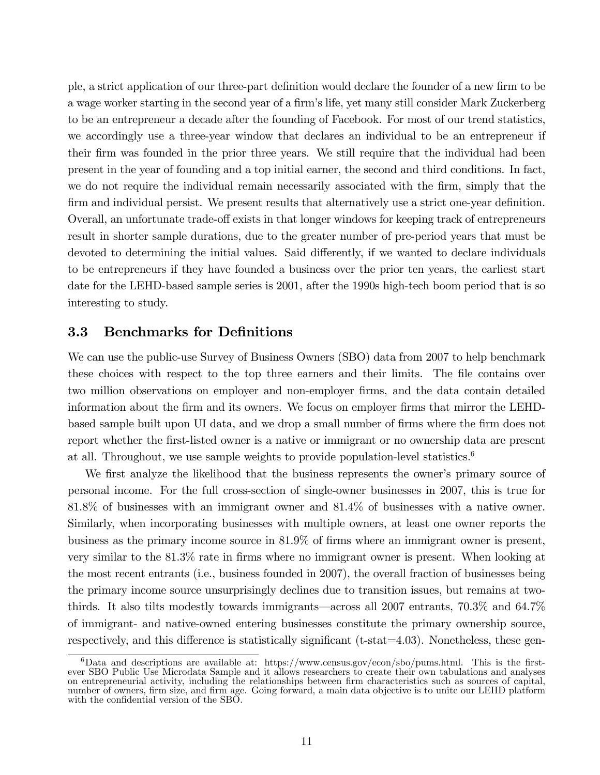ple, a strict application of our three-part definition would declare the founder of a new firm to be a wage worker starting in the second year of a firm's life, yet many still consider Mark Zuckerberg to be an entrepreneur a decade after the founding of Facebook. For most of our trend statistics, we accordingly use a three-year window that declares an individual to be an entrepreneur if their firm was founded in the prior three years. We still require that the individual had been present in the year of founding and a top initial earner, the second and third conditions. In fact, we do not require the individual remain necessarily associated with the firm, simply that the firm and individual persist. We present results that alternatively use a strict one-year definition. Overall, an unfortunate trade-off exists in that longer windows for keeping track of entrepreneurs result in shorter sample durations, due to the greater number of pre-period years that must be devoted to determining the initial values. Said differently, if we wanted to declare individuals to be entrepreneurs if they have founded a business over the prior ten years, the earliest start date for the LEHD-based sample series is 2001, after the 1990s high-tech boom period that is so interesting to study.

#### **3.3** Benchmarks for Definitions

We can use the public-use Survey of Business Owners (SBO) data from 2007 to help benchmark these choices with respect to the top three earners and their limits. The file contains over two million observations on employer and non-employer Örms, and the data contain detailed information about the firm and its owners. We focus on employer firms that mirror the LEHDbased sample built upon UI data, and we drop a small number of firms where the firm does not report whether the first-listed owner is a native or immigrant or no ownership data are present at all. Throughout, we use sample weights to provide population-level statistics.<sup>6</sup>

We first analyze the likelihood that the business represents the owner's primary source of personal income. For the full cross-section of single-owner businesses in 2007, this is true for 81.8% of businesses with an immigrant owner and 81.4% of businesses with a native owner. Similarly, when incorporating businesses with multiple owners, at least one owner reports the business as the primary income source in  $81.9\%$  of firms where an immigrant owner is present, very similar to the 81.3% rate in Örms where no immigrant owner is present. When looking at the most recent entrants (i.e., business founded in 2007), the overall fraction of businesses being the primary income source unsurprisingly declines due to transition issues, but remains at twothirds. It also tilts modestly towards immigrants—across all 2007 entrants,  $70.3\%$  and  $64.7\%$ of immigrant- and native-owned entering businesses constitute the primary ownership source, respectively, and this difference is statistically significant ( $t$ -stat $=4.03$ ). Nonetheless, these gen-

 $6$ Data and descriptions are available at: https://www.census.gov/econ/sbo/pums.html. This is the firstever SBO Public Use Microdata Sample and it allows researchers to create their own tabulations and analyses on entrepreneurial activity, including the relationships between firm characteristics such as sources of capital, number of owners, firm size, and firm age. Going forward, a main data objective is to unite our LEHD platform with the confidential version of the SBO.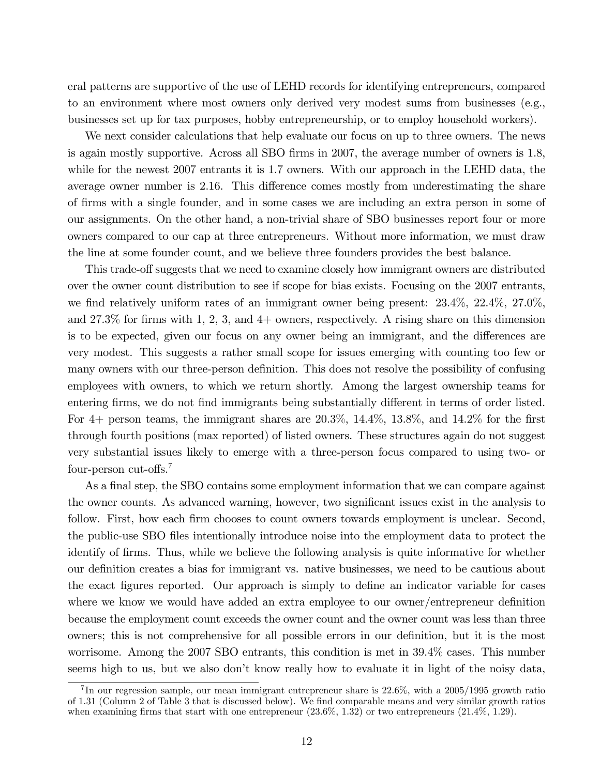eral patterns are supportive of the use of LEHD records for identifying entrepreneurs, compared to an environment where most owners only derived very modest sums from businesses (e.g., businesses set up for tax purposes, hobby entrepreneurship, or to employ household workers).

We next consider calculations that help evaluate our focus on up to three owners. The news is again mostly supportive. Across all SBO firms in 2007, the average number of owners is 1.8, while for the newest 2007 entrants it is 1.7 owners. With our approach in the LEHD data, the average owner number is 2.16. This difference comes mostly from underestimating the share of Örms with a single founder, and in some cases we are including an extra person in some of our assignments. On the other hand, a non-trivial share of SBO businesses report four or more owners compared to our cap at three entrepreneurs. Without more information, we must draw the line at some founder count, and we believe three founders provides the best balance.

This trade-off suggests that we need to examine closely how immigrant owners are distributed over the owner count distribution to see if scope for bias exists. Focusing on the 2007 entrants, we find relatively uniform rates of an immigrant owner being present:  $23.4\%$ ,  $22.4\%$ ,  $27.0\%$ , and  $27.3\%$  for firms with 1, 2, 3, and 4+ owners, respectively. A rising share on this dimension is to be expected, given our focus on any owner being an immigrant, and the differences are very modest. This suggests a rather small scope for issues emerging with counting too few or many owners with our three-person definition. This does not resolve the possibility of confusing employees with owners, to which we return shortly. Among the largest ownership teams for entering firms, we do not find immigrants being substantially different in terms of order listed. For 4+ person teams, the immigrant shares are  $20.3\%$ ,  $14.4\%$ ,  $13.8\%$ , and  $14.2\%$  for the first through fourth positions (max reported) of listed owners. These structures again do not suggest very substantial issues likely to emerge with a three-person focus compared to using two- or four-person cut-offs.<sup>7</sup>

As a final step, the SBO contains some employment information that we can compare against the owner counts. As advanced warning, however, two significant issues exist in the analysis to follow. First, how each firm chooses to count owners towards employment is unclear. Second, the public-use SBO Öles intentionally introduce noise into the employment data to protect the identify of firms. Thus, while we believe the following analysis is quite informative for whether our definition creates a bias for immigrant vs. native businesses, we need to be cautious about the exact figures reported. Our approach is simply to define an indicator variable for cases where we know we would have added an extra employee to our owner/entrepreneur definition because the employment count exceeds the owner count and the owner count was less than three owners; this is not comprehensive for all possible errors in our definition, but it is the most worrisome. Among the 2007 SBO entrants, this condition is met in 39.4% cases. This number seems high to us, but we also don't know really how to evaluate it in light of the noisy data,

<sup>&</sup>lt;sup>7</sup>In our regression sample, our mean immigrant entrepreneur share is  $22.6\%$ , with a  $2005/1995$  growth ratio of 1.31 (Column 2 of Table 3 that is discussed below). We Önd comparable means and very similar growth ratios when examining firms that start with one entrepreneur  $(23.6\%, 1.32)$  or two entrepreneurs  $(21.4\%, 1.29)$ .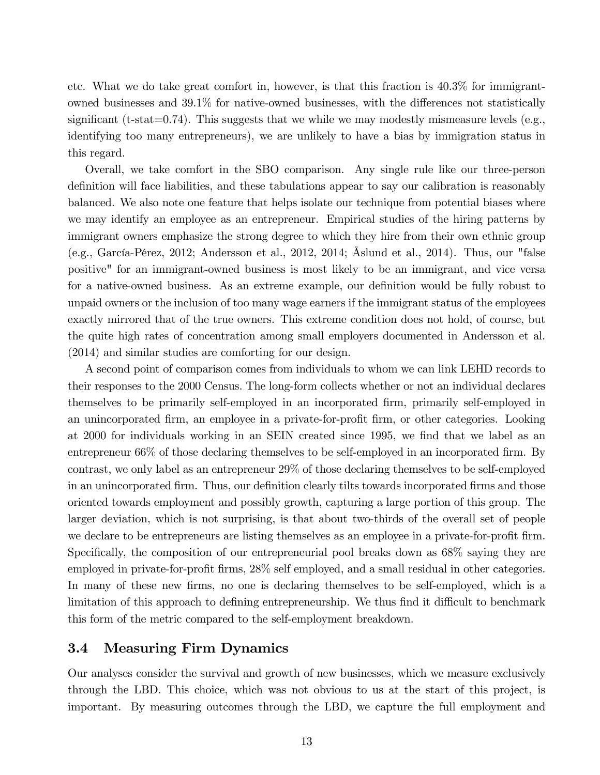etc. What we do take great comfort in, however, is that this fraction is 40.3% for immigrantowned businesses and  $39.1\%$  for native-owned businesses, with the differences not statistically significant (t-stat=0.74). This suggests that we while we may modestly mismeasure levels (e.g., identifying too many entrepreneurs), we are unlikely to have a bias by immigration status in this regard.

Overall, we take comfort in the SBO comparison. Any single rule like our three-person definition will face liabilities, and these tabulations appear to say our calibration is reasonably balanced. We also note one feature that helps isolate our technique from potential biases where we may identify an employee as an entrepreneur. Empirical studies of the hiring patterns by immigrant owners emphasize the strong degree to which they hire from their own ethnic group (e.g., GarcÌa-PÈrez, 2012; Andersson et al., 2012, 2014; Åslund et al., 2014). Thus, our "false positive" for an immigrant-owned business is most likely to be an immigrant, and vice versa for a native-owned business. As an extreme example, our definition would be fully robust to unpaid owners or the inclusion of too many wage earners if the immigrant status of the employees exactly mirrored that of the true owners. This extreme condition does not hold, of course, but the quite high rates of concentration among small employers documented in Andersson et al. (2014) and similar studies are comforting for our design.

A second point of comparison comes from individuals to whom we can link LEHD records to their responses to the 2000 Census. The long-form collects whether or not an individual declares themselves to be primarily self-employed in an incorporated firm, primarily self-employed in an unincorporated firm, an employee in a private-for-profit firm, or other categories. Looking at 2000 for individuals working in an SEIN created since 1995, we find that we label as an entrepreneur  $66\%$  of those declaring themselves to be self-employed in an incorporated firm. By contrast, we only label as an entrepreneur 29% of those declaring themselves to be self-employed in an unincorporated firm. Thus, our definition clearly tilts towards incorporated firms and those oriented towards employment and possibly growth, capturing a large portion of this group. The larger deviation, which is not surprising, is that about two-thirds of the overall set of people we declare to be entrepreneurs are listing themselves as an employee in a private-for-profit firm. Specifically, the composition of our entrepreneurial pool breaks down as  $68\%$  saying they are employed in private-for-profit firms,  $28\%$  self employed, and a small residual in other categories. In many of these new firms, no one is declaring themselves to be self-employed, which is a limitation of this approach to defining entrepreneurship. We thus find it difficult to benchmark this form of the metric compared to the self-employment breakdown.

#### 3.4 Measuring Firm Dynamics

Our analyses consider the survival and growth of new businesses, which we measure exclusively through the LBD. This choice, which was not obvious to us at the start of this project, is important. By measuring outcomes through the LBD, we capture the full employment and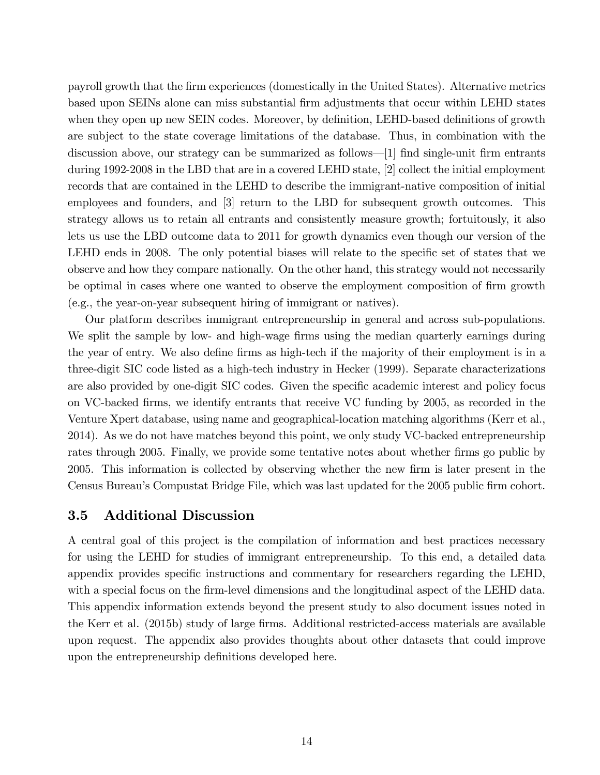payroll growth that the Örm experiences (domestically in the United States). Alternative metrics based upon SEINs alone can miss substantial Örm adjustments that occur within LEHD states when they open up new SEIN codes. Moreover, by definition, LEHD-based definitions of growth are subject to the state coverage limitations of the database. Thus, in combination with the discussion above, our strategy can be summarized as follows—[1] find single-unit firm entrants during 1992-2008 in the LBD that are in a covered LEHD state, [2] collect the initial employment records that are contained in the LEHD to describe the immigrant-native composition of initial employees and founders, and [3] return to the LBD for subsequent growth outcomes. This strategy allows us to retain all entrants and consistently measure growth; fortuitously, it also lets us use the LBD outcome data to 2011 for growth dynamics even though our version of the LEHD ends in 2008. The only potential biases will relate to the specific set of states that we observe and how they compare nationally. On the other hand, this strategy would not necessarily be optimal in cases where one wanted to observe the employment composition of firm growth (e.g., the year-on-year subsequent hiring of immigrant or natives).

Our platform describes immigrant entrepreneurship in general and across sub-populations. We split the sample by low- and high-wage firms using the median quarterly earnings during the year of entry. We also define firms as high-tech if the majority of their employment is in a three-digit SIC code listed as a high-tech industry in Hecker (1999). Separate characterizations are also provided by one-digit SIC codes. Given the specific academic interest and policy focus on VC-backed Örms, we identify entrants that receive VC funding by 2005, as recorded in the Venture Xpert database, using name and geographical-location matching algorithms (Kerr et al., 2014). As we do not have matches beyond this point, we only study VC-backed entrepreneurship rates through 2005. Finally, we provide some tentative notes about whether firms go public by 2005. This information is collected by observing whether the new Örm is later present in the Census Bureau's Compustat Bridge File, which was last updated for the 2005 public firm cohort.

#### 3.5 Additional Discussion

A central goal of this project is the compilation of information and best practices necessary for using the LEHD for studies of immigrant entrepreneurship. To this end, a detailed data appendix provides specific instructions and commentary for researchers regarding the LEHD, with a special focus on the firm-level dimensions and the longitudinal aspect of the LEHD data. This appendix information extends beyond the present study to also document issues noted in the Kerr et al. (2015b) study of large firms. Additional restricted-access materials are available upon request. The appendix also provides thoughts about other datasets that could improve upon the entrepreneurship definitions developed here.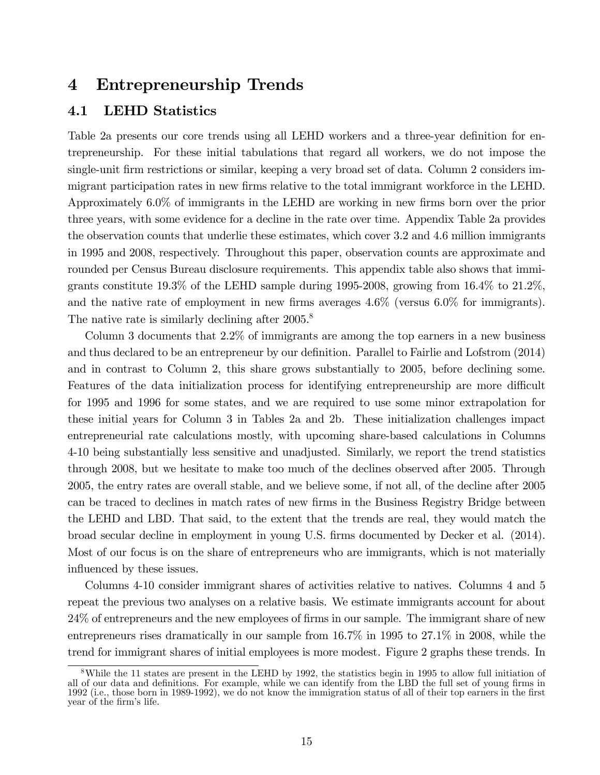## 4 Entrepreneurship Trends

#### 4.1 LEHD Statistics

Table 2a presents our core trends using all LEHD workers and a three-year definition for entrepreneurship. For these initial tabulations that regard all workers, we do not impose the single-unit firm restrictions or similar, keeping a very broad set of data. Column 2 considers immigrant participation rates in new firms relative to the total immigrant workforce in the LEHD. Approximately 6.0% of immigrants in the LEHD are working in new firms born over the prior three years, with some evidence for a decline in the rate over time. Appendix Table 2a provides the observation counts that underlie these estimates, which cover 3.2 and 4.6 million immigrants in 1995 and 2008, respectively. Throughout this paper, observation counts are approximate and rounded per Census Bureau disclosure requirements. This appendix table also shows that immigrants constitute  $19.3\%$  of the LEHD sample during 1995-2008, growing from  $16.4\%$  to  $21.2\%$ , and the native rate of employment in new firms averages  $4.6\%$  (versus 6.0% for immigrants). The native rate is similarly declining after 2005.<sup>8</sup>

Column 3 documents that 2.2% of immigrants are among the top earners in a new business and thus declared to be an entrepreneur by our definition. Parallel to Fairlie and Lofstrom (2014) and in contrast to Column 2, this share grows substantially to 2005, before declining some. Features of the data initialization process for identifying entrepreneurship are more difficult for 1995 and 1996 for some states, and we are required to use some minor extrapolation for these initial years for Column 3 in Tables 2a and 2b. These initialization challenges impact entrepreneurial rate calculations mostly, with upcoming share-based calculations in Columns 4-10 being substantially less sensitive and unadjusted. Similarly, we report the trend statistics through 2008, but we hesitate to make too much of the declines observed after 2005. Through 2005, the entry rates are overall stable, and we believe some, if not all, of the decline after 2005 can be traced to declines in match rates of new firms in the Business Registry Bridge between the LEHD and LBD. That said, to the extent that the trends are real, they would match the broad secular decline in employment in young U.S. Örms documented by Decker et al. (2014). Most of our focus is on the share of entrepreneurs who are immigrants, which is not materially influenced by these issues.

Columns 4-10 consider immigrant shares of activities relative to natives. Columns 4 and 5 repeat the previous two analyses on a relative basis. We estimate immigrants account for about 24% of entrepreneurs and the new employees of Örms in our sample. The immigrant share of new entrepreneurs rises dramatically in our sample from 16.7% in 1995 to 27.1% in 2008, while the trend for immigrant shares of initial employees is more modest. Figure 2 graphs these trends. In

<sup>8</sup>While the 11 states are present in the LEHD by 1992, the statistics begin in 1995 to allow full initiation of all of our data and definitions. For example, while we can identify from the LBD the full set of young firms in 1992 (i.e., those born in 1989-1992), we do not know the immigration status of all of their top earners in the first year of the firm's life.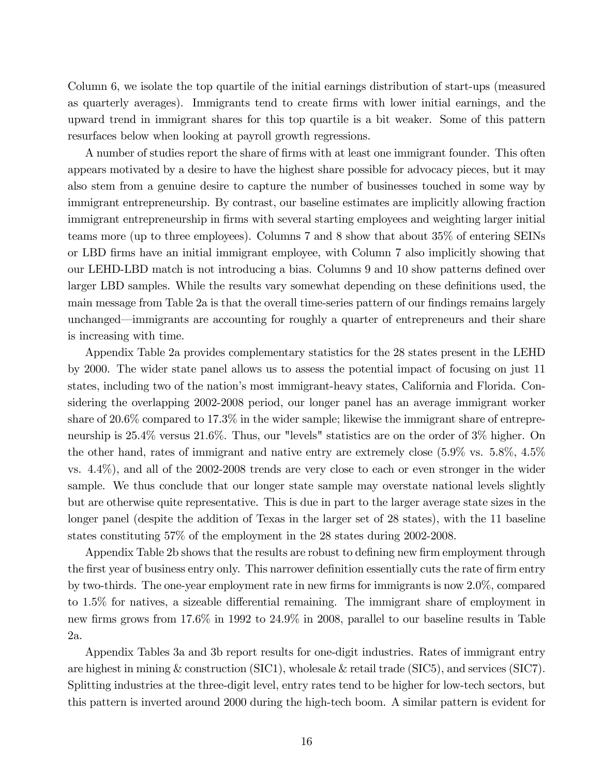Column 6, we isolate the top quartile of the initial earnings distribution of start-ups (measured as quarterly averages). Immigrants tend to create Örms with lower initial earnings, and the upward trend in immigrant shares for this top quartile is a bit weaker. Some of this pattern resurfaces below when looking at payroll growth regressions.

A number of studies report the share of firms with at least one immigrant founder. This often appears motivated by a desire to have the highest share possible for advocacy pieces, but it may also stem from a genuine desire to capture the number of businesses touched in some way by immigrant entrepreneurship. By contrast, our baseline estimates are implicitly allowing fraction immigrant entrepreneurship in firms with several starting employees and weighting larger initial teams more (up to three employees). Columns 7 and 8 show that about 35% of entering SEINs or LBD firms have an initial immigrant employee, with Column 7 also implicitly showing that our LEHD-LBD match is not introducing a bias. Columns 9 and 10 show patterns defined over larger LBD samples. While the results vary somewhat depending on these definitions used, the main message from Table 2a is that the overall time-series pattern of our findings remains largely unchanged—immigrants are accounting for roughly a quarter of entrepreneurs and their share is increasing with time.

Appendix Table 2a provides complementary statistics for the 28 states present in the LEHD by 2000. The wider state panel allows us to assess the potential impact of focusing on just 11 states, including two of the nation's most immigrant-heavy states, California and Florida. Considering the overlapping 2002-2008 period, our longer panel has an average immigrant worker share of 20.6% compared to 17.3% in the wider sample; likewise the immigrant share of entrepreneurship is 25.4% versus 21.6%. Thus, our "levels" statistics are on the order of 3% higher. On the other hand, rates of immigrant and native entry are extremely close (5.9% vs. 5.8%, 4.5% vs. 4.4%), and all of the 2002-2008 trends are very close to each or even stronger in the wider sample. We thus conclude that our longer state sample may overstate national levels slightly but are otherwise quite representative. This is due in part to the larger average state sizes in the longer panel (despite the addition of Texas in the larger set of 28 states), with the 11 baseline states constituting 57% of the employment in the 28 states during 2002-2008.

Appendix Table 2b shows that the results are robust to defining new firm employment through the first year of business entry only. This narrower definition essentially cuts the rate of firm entry by two-thirds. The one-year employment rate in new firms for immigrants is now  $2.0\%$ , compared to  $1.5\%$  for natives, a sizeable differential remaining. The immigrant share of employment in new firms grows from 17.6% in 1992 to 24.9% in 2008, parallel to our baseline results in Table 2a.

Appendix Tables 3a and 3b report results for one-digit industries. Rates of immigrant entry are highest in mining & construction (SIC1), wholesale & retail trade (SIC5), and services (SIC7). Splitting industries at the three-digit level, entry rates tend to be higher for low-tech sectors, but this pattern is inverted around 2000 during the high-tech boom. A similar pattern is evident for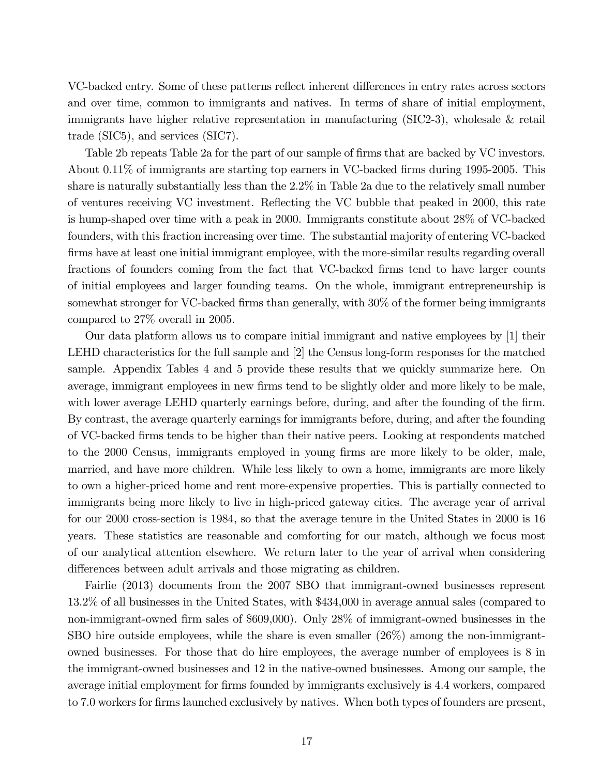VC-backed entry. Some of these patterns reflect inherent differences in entry rates across sectors and over time, common to immigrants and natives. In terms of share of initial employment, immigrants have higher relative representation in manufacturing (SIC2-3), wholesale & retail trade (SIC5), and services (SIC7).

Table 2b repeats Table 2a for the part of our sample of firms that are backed by VC investors. About 0.11% of immigrants are starting top earners in VC-backed firms during 1995-2005. This share is naturally substantially less than the 2.2% in Table 2a due to the relatively small number of ventures receiving VC investment. Reáecting the VC bubble that peaked in 2000, this rate is hump-shaped over time with a peak in 2000. Immigrants constitute about 28% of VC-backed founders, with this fraction increasing over time. The substantial majority of entering VC-backed firms have at least one initial immigrant employee, with the more-similar results regarding overall fractions of founders coming from the fact that VC-backed firms tend to have larger counts of initial employees and larger founding teams. On the whole, immigrant entrepreneurship is somewhat stronger for VC-backed firms than generally, with  $30\%$  of the former being immigrants compared to 27% overall in 2005.

Our data platform allows us to compare initial immigrant and native employees by [1] their LEHD characteristics for the full sample and [2] the Census long-form responses for the matched sample. Appendix Tables 4 and 5 provide these results that we quickly summarize here. On average, immigrant employees in new firms tend to be slightly older and more likely to be male, with lower average LEHD quarterly earnings before, during, and after the founding of the firm. By contrast, the average quarterly earnings for immigrants before, during, and after the founding of VC-backed Örms tends to be higher than their native peers. Looking at respondents matched to the 2000 Census, immigrants employed in young firms are more likely to be older, male, married, and have more children. While less likely to own a home, immigrants are more likely to own a higher-priced home and rent more-expensive properties. This is partially connected to immigrants being more likely to live in high-priced gateway cities. The average year of arrival for our 2000 cross-section is 1984, so that the average tenure in the United States in 2000 is 16 years. These statistics are reasonable and comforting for our match, although we focus most of our analytical attention elsewhere. We return later to the year of arrival when considering differences between adult arrivals and those migrating as children.

Fairlie (2013) documents from the 2007 SBO that immigrant-owned businesses represent 13.2% of all businesses in the United States, with \$434,000 in average annual sales (compared to non-immigrant-owned Örm sales of \$609,000). Only 28% of immigrant-owned businesses in the SBO hire outside employees, while the share is even smaller (26%) among the non-immigrantowned businesses. For those that do hire employees, the average number of employees is 8 in the immigrant-owned businesses and 12 in the native-owned businesses. Among our sample, the average initial employment for firms founded by immigrants exclusively is 4.4 workers, compared to 7.0 workers for Örms launched exclusively by natives. When both types of founders are present,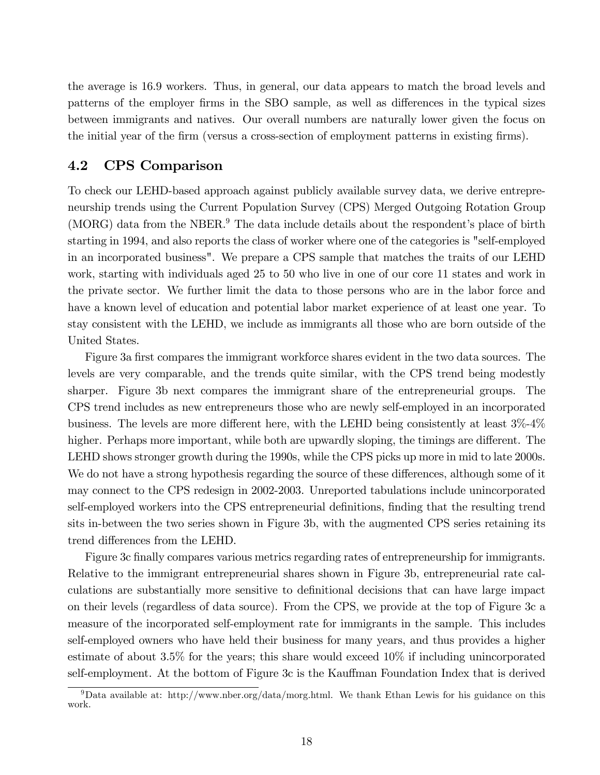the average is 16.9 workers. Thus, in general, our data appears to match the broad levels and patterns of the employer firms in the SBO sample, as well as differences in the typical sizes between immigrants and natives. Our overall numbers are naturally lower given the focus on the initial year of the firm (versus a cross-section of employment patterns in existing firms).

#### 4.2 CPS Comparison

To check our LEHD-based approach against publicly available survey data, we derive entrepreneurship trends using the Current Population Survey (CPS) Merged Outgoing Rotation Group  $(MORG)$  data from the NBER.<sup>9</sup> The data include details about the respondent's place of birth starting in 1994, and also reports the class of worker where one of the categories is "self-employed in an incorporated business". We prepare a CPS sample that matches the traits of our LEHD work, starting with individuals aged 25 to 50 who live in one of our core 11 states and work in the private sector. We further limit the data to those persons who are in the labor force and have a known level of education and potential labor market experience of at least one year. To stay consistent with the LEHD, we include as immigrants all those who are born outside of the United States.

Figure 3a first compares the immigrant workforce shares evident in the two data sources. The levels are very comparable, and the trends quite similar, with the CPS trend being modestly sharper. Figure 3b next compares the immigrant share of the entrepreneurial groups. The CPS trend includes as new entrepreneurs those who are newly self-employed in an incorporated business. The levels are more different here, with the LEHD being consistently at least  $3\%$ -4% higher. Perhaps more important, while both are upwardly sloping, the timings are different. The LEHD shows stronger growth during the 1990s, while the CPS picks up more in mid to late 2000s. We do not have a strong hypothesis regarding the source of these differences, although some of it may connect to the CPS redesign in 2002-2003. Unreported tabulations include unincorporated self-employed workers into the CPS entrepreneurial definitions, finding that the resulting trend sits in-between the two series shown in Figure 3b, with the augmented CPS series retaining its trend differences from the LEHD.

Figure 3c finally compares various metrics regarding rates of entrepreneurship for immigrants. Relative to the immigrant entrepreneurial shares shown in Figure 3b, entrepreneurial rate calculations are substantially more sensitive to definitional decisions that can have large impact on their levels (regardless of data source). From the CPS, we provide at the top of Figure 3c a measure of the incorporated self-employment rate for immigrants in the sample. This includes self-employed owners who have held their business for many years, and thus provides a higher estimate of about 3.5% for the years; this share would exceed 10% if including unincorporated self-employment. At the bottom of Figure 3c is the Kauffman Foundation Index that is derived

<sup>&</sup>lt;sup>9</sup>Data available at: http://www.nber.org/data/morg.html. We thank Ethan Lewis for his guidance on this work.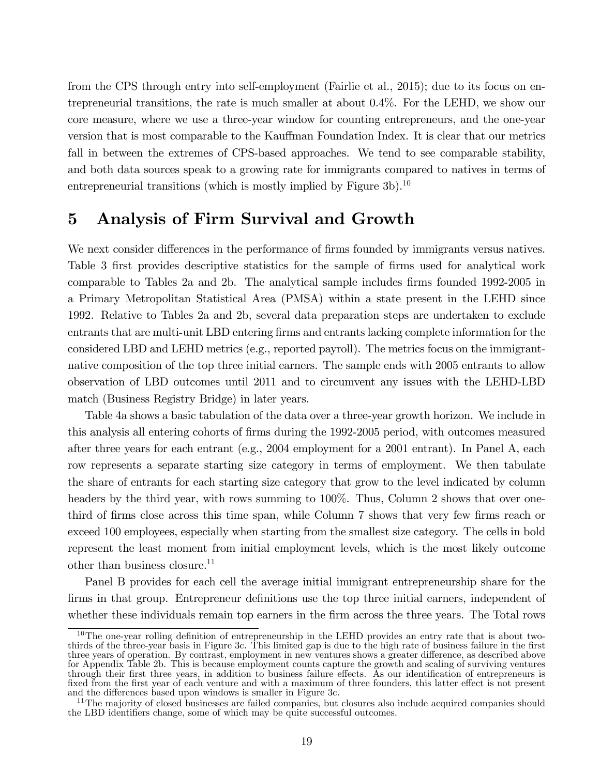from the CPS through entry into self-employment (Fairlie et al., 2015); due to its focus on entrepreneurial transitions, the rate is much smaller at about 0.4%. For the LEHD, we show our core measure, where we use a three-year window for counting entrepreneurs, and the one-year version that is most comparable to the Kauffman Foundation Index. It is clear that our metrics fall in between the extremes of CPS-based approaches. We tend to see comparable stability, and both data sources speak to a growing rate for immigrants compared to natives in terms of entrepreneurial transitions (which is mostly implied by Figure  $3b$ ).<sup>10</sup>

## 5 Analysis of Firm Survival and Growth

We next consider differences in the performance of firms founded by immigrants versus natives. Table 3 first provides descriptive statistics for the sample of firms used for analytical work comparable to Tables 2a and 2b. The analytical sample includes firms founded 1992-2005 in a Primary Metropolitan Statistical Area (PMSA) within a state present in the LEHD since 1992. Relative to Tables 2a and 2b, several data preparation steps are undertaken to exclude entrants that are multi-unit LBD entering firms and entrants lacking complete information for the considered LBD and LEHD metrics (e.g., reported payroll). The metrics focus on the immigrantnative composition of the top three initial earners. The sample ends with 2005 entrants to allow observation of LBD outcomes until 2011 and to circumvent any issues with the LEHD-LBD match (Business Registry Bridge) in later years.

Table 4a shows a basic tabulation of the data over a three-year growth horizon. We include in this analysis all entering cohorts of firms during the 1992-2005 period, with outcomes measured after three years for each entrant (e.g., 2004 employment for a 2001 entrant). In Panel A, each row represents a separate starting size category in terms of employment. We then tabulate the share of entrants for each starting size category that grow to the level indicated by column headers by the third year, with rows summing to 100%. Thus, Column 2 shows that over onethird of firms close across this time span, while Column 7 shows that very few firms reach or exceed 100 employees, especially when starting from the smallest size category. The cells in bold represent the least moment from initial employment levels, which is the most likely outcome other than business closure.<sup>11</sup>

Panel B provides for each cell the average initial immigrant entrepreneurship share for the firms in that group. Entrepreneur definitions use the top three initial earners, independent of whether these individuals remain top earners in the firm across the three years. The Total rows

 $10$ The one-year rolling definition of entrepreneurship in the LEHD provides an entry rate that is about twothirds of the three-year basis in Figure 3c. This limited gap is due to the high rate of business failure in the first three years of operation. By contrast, employment in new ventures shows a greater difference, as described above for Appendix Table 2b. This is because employment counts capture the growth and scaling of surviving ventures through their first three years, in addition to business failure effects. As our identification of entrepreneurs is fixed from the first year of each venture and with a maximum of three founders, this latter effect is not present and the differences based upon windows is smaller in Figure 3c.

<sup>&</sup>lt;sup>11</sup>The majority of closed businesses are failed companies, but closures also include acquired companies should the LBD identifiers change, some of which may be quite successful outcomes.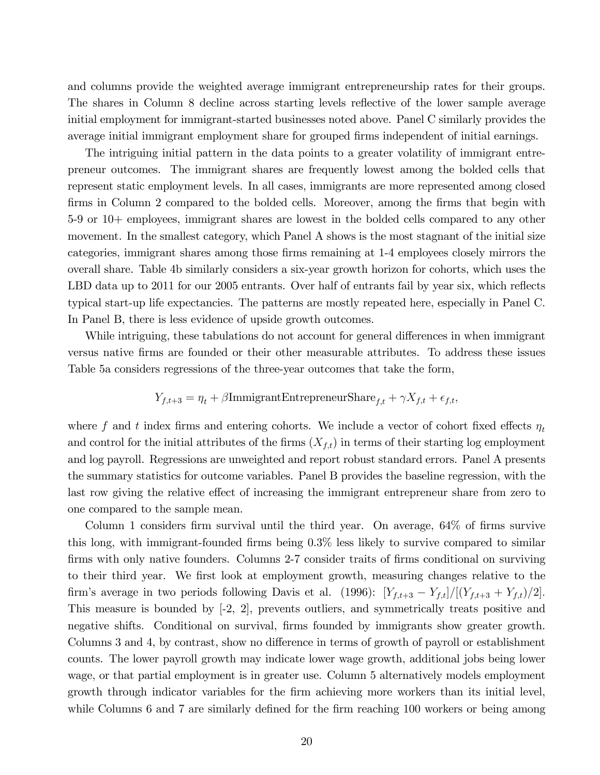and columns provide the weighted average immigrant entrepreneurship rates for their groups. The shares in Column 8 decline across starting levels reflective of the lower sample average initial employment for immigrant-started businesses noted above. Panel C similarly provides the average initial immigrant employment share for grouped firms independent of initial earnings.

The intriguing initial pattern in the data points to a greater volatility of immigrant entrepreneur outcomes. The immigrant shares are frequently lowest among the bolded cells that represent static employment levels. In all cases, immigrants are more represented among closed firms in Column 2 compared to the bolded cells. Moreover, among the firms that begin with 5-9 or 10+ employees, immigrant shares are lowest in the bolded cells compared to any other movement. In the smallest category, which Panel A shows is the most stagnant of the initial size categories, immigrant shares among those firms remaining at 1-4 employees closely mirrors the overall share. Table 4b similarly considers a six-year growth horizon for cohorts, which uses the LBD data up to 2011 for our 2005 entrants. Over half of entrants fail by year six, which reflects typical start-up life expectancies. The patterns are mostly repeated here, especially in Panel C. In Panel B, there is less evidence of upside growth outcomes.

While intriguing, these tabulations do not account for general differences in when immigrant versus native Örms are founded or their other measurable attributes. To address these issues Table 5a considers regressions of the three-year outcomes that take the form,

$$
Y_{f,t+3} = \eta_t + \beta \text{ImmigrantEntropy} \text{Share}_{f,t} + \gamma X_{f,t} + \epsilon_{f,t},
$$

where f and t index firms and entering cohorts. We include a vector of cohort fixed effects  $\eta_t$ and control for the initial attributes of the firms  $(X_{f,t})$  in terms of their starting log employment and log payroll. Regressions are unweighted and report robust standard errors. Panel A presents the summary statistics for outcome variables. Panel B provides the baseline regression, with the last row giving the relative effect of increasing the immigrant entrepreneur share from zero to one compared to the sample mean.

Column 1 considers firm survival until the third year. On average,  $64\%$  of firms survive this long, with immigrant-founded firms being  $0.3\%$  less likely to survive compared to similar firms with only native founders. Columns 2-7 consider traits of firms conditional on surviving to their third year. We first look at employment growth, measuring changes relative to the firm's average in two periods following Davis et al. (1996):  $[Y_{f,t+3} - Y_{f,t}]/[(Y_{f,t+3} + Y_{f,t})/2].$ This measure is bounded by [-2, 2], prevents outliers, and symmetrically treats positive and negative shifts. Conditional on survival, firms founded by immigrants show greater growth. Columns 3 and 4, by contrast, show no difference in terms of growth of payroll or establishment counts. The lower payroll growth may indicate lower wage growth, additional jobs being lower wage, or that partial employment is in greater use. Column 5 alternatively models employment growth through indicator variables for the firm achieving more workers than its initial level, while Columns 6 and 7 are similarly defined for the firm reaching 100 workers or being among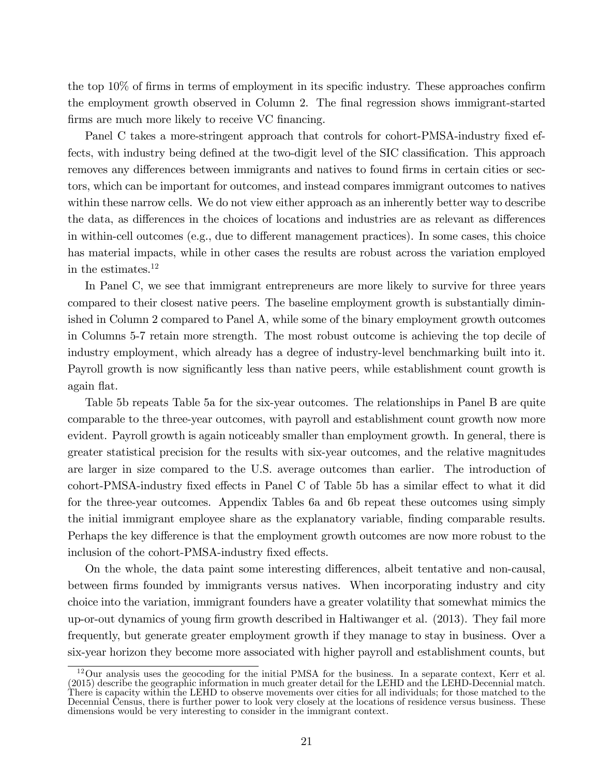the top  $10\%$  of firms in terms of employment in its specific industry. These approaches confirm the employment growth observed in Column 2. The final regression shows immigrant-started firms are much more likely to receive VC financing.

Panel C takes a more-stringent approach that controls for cohort-PMSA-industry fixed effects, with industry being defined at the two-digit level of the SIC classification. This approach removes any differences between immigrants and natives to found firms in certain cities or sectors, which can be important for outcomes, and instead compares immigrant outcomes to natives within these narrow cells. We do not view either approach as an inherently better way to describe the data, as differences in the choices of locations and industries are as relevant as differences in within-cell outcomes (e.g., due to different management practices). In some cases, this choice has material impacts, while in other cases the results are robust across the variation employed in the estimates.<sup>12</sup>

In Panel C, we see that immigrant entrepreneurs are more likely to survive for three years compared to their closest native peers. The baseline employment growth is substantially diminished in Column 2 compared to Panel A, while some of the binary employment growth outcomes in Columns 5-7 retain more strength. The most robust outcome is achieving the top decile of industry employment, which already has a degree of industry-level benchmarking built into it. Payroll growth is now significantly less than native peers, while establishment count growth is again flat.

Table 5b repeats Table 5a for the six-year outcomes. The relationships in Panel B are quite comparable to the three-year outcomes, with payroll and establishment count growth now more evident. Payroll growth is again noticeably smaller than employment growth. In general, there is greater statistical precision for the results with six-year outcomes, and the relative magnitudes are larger in size compared to the U.S. average outcomes than earlier. The introduction of cohort-PMSA-industry fixed effects in Panel C of Table 5b has a similar effect to what it did for the three-year outcomes. Appendix Tables 6a and 6b repeat these outcomes using simply the initial immigrant employee share as the explanatory variable, Önding comparable results. Perhaps the key difference is that the employment growth outcomes are now more robust to the inclusion of the cohort-PMSA-industry fixed effects.

On the whole, the data paint some interesting differences, albeit tentative and non-causal, between firms founded by immigrants versus natives. When incorporating industry and city choice into the variation, immigrant founders have a greater volatility that somewhat mimics the up-or-out dynamics of young firm growth described in Haltiwanger et al. (2013). They fail more frequently, but generate greater employment growth if they manage to stay in business. Over a six-year horizon they become more associated with higher payroll and establishment counts, but

 $12$ Our analysis uses the geocoding for the initial PMSA for the business. In a separate context, Kerr et al. (2015) describe the geographic information in much greater detail for the LEHD and the LEHD-Decennial match. There is capacity within the LEHD to observe movements over cities for all individuals; for those matched to the Decennial Census, there is further power to look very closely at the locations of residence versus business. These dimensions would be very interesting to consider in the immigrant context.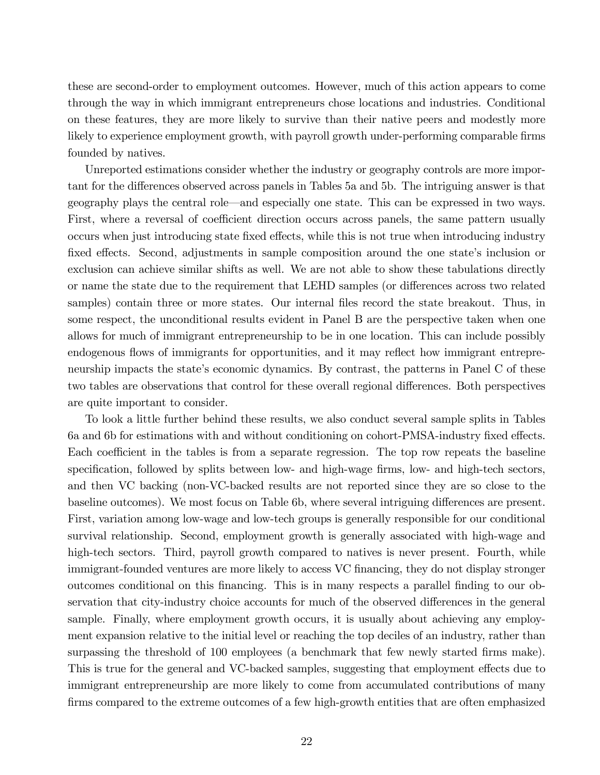these are second-order to employment outcomes. However, much of this action appears to come through the way in which immigrant entrepreneurs chose locations and industries. Conditional on these features, they are more likely to survive than their native peers and modestly more likely to experience employment growth, with payroll growth under-performing comparable firms founded by natives.

Unreported estimations consider whether the industry or geography controls are more important for the differences observed across panels in Tables 5a and 5b. The intriguing answer is that geography plays the central role—and especially one state. This can be expressed in two ways. First, where a reversal of coefficient direction occurs across panels, the same pattern usually occurs when just introducing state fixed effects, while this is not true when introducing industry fixed effects. Second, adjustments in sample composition around the one state's inclusion or exclusion can achieve similar shifts as well. We are not able to show these tabulations directly or name the state due to the requirement that LEHD samples (or differences across two related samples) contain three or more states. Our internal files record the state breakout. Thus, in some respect, the unconditional results evident in Panel B are the perspective taken when one allows for much of immigrant entrepreneurship to be in one location. This can include possibly endogenous flows of immigrants for opportunities, and it may reflect how immigrant entrepreneurship impacts the state's economic dynamics. By contrast, the patterns in Panel C of these two tables are observations that control for these overall regional differences. Both perspectives are quite important to consider.

To look a little further behind these results, we also conduct several sample splits in Tables 6a and 6b for estimations with and without conditioning on cohort-PMSA-industry fixed effects. Each coefficient in the tables is from a separate regression. The top row repeats the baseline specification, followed by splits between low- and high-wage firms, low- and high-tech sectors, and then VC backing (non-VC-backed results are not reported since they are so close to the baseline outcomes). We most focus on Table 6b, where several intriguing differences are present. First, variation among low-wage and low-tech groups is generally responsible for our conditional survival relationship. Second, employment growth is generally associated with high-wage and high-tech sectors. Third, payroll growth compared to natives is never present. Fourth, while immigrant-founded ventures are more likely to access VC financing, they do not display stronger outcomes conditional on this Önancing. This is in many respects a parallel Önding to our observation that city-industry choice accounts for much of the observed differences in the general sample. Finally, where employment growth occurs, it is usually about achieving any employment expansion relative to the initial level or reaching the top deciles of an industry, rather than surpassing the threshold of 100 employees (a benchmark that few newly started firms make). This is true for the general and VC-backed samples, suggesting that employment effects due to immigrant entrepreneurship are more likely to come from accumulated contributions of many Örms compared to the extreme outcomes of a few high-growth entities that are often emphasized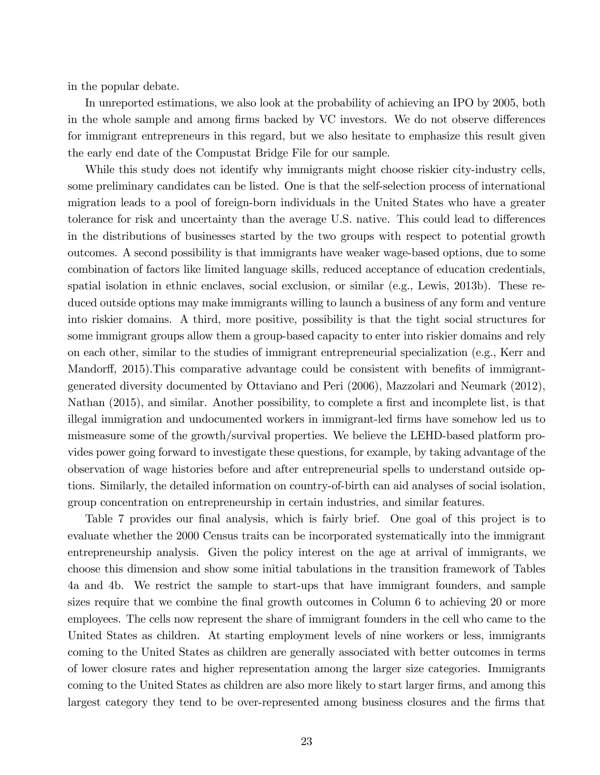in the popular debate.

In unreported estimations, we also look at the probability of achieving an IPO by 2005, both in the whole sample and among firms backed by VC investors. We do not observe differences for immigrant entrepreneurs in this regard, but we also hesitate to emphasize this result given the early end date of the Compustat Bridge File for our sample.

While this study does not identify why immigrants might choose riskier city-industry cells, some preliminary candidates can be listed. One is that the self-selection process of international migration leads to a pool of foreign-born individuals in the United States who have a greater tolerance for risk and uncertainty than the average U.S. native. This could lead to differences in the distributions of businesses started by the two groups with respect to potential growth outcomes. A second possibility is that immigrants have weaker wage-based options, due to some combination of factors like limited language skills, reduced acceptance of education credentials, spatial isolation in ethnic enclaves, social exclusion, or similar (e.g., Lewis, 2013b). These reduced outside options may make immigrants willing to launch a business of any form and venture into riskier domains. A third, more positive, possibility is that the tight social structures for some immigrant groups allow them a group-based capacity to enter into riskier domains and rely on each other, similar to the studies of immigrant entrepreneurial specialization (e.g., Kerr and Mandorff, 2015). This comparative advantage could be consistent with benefits of immigrantgenerated diversity documented by Ottaviano and Peri (2006), Mazzolari and Neumark (2012), Nathan (2015), and similar. Another possibility, to complete a first and incomplete list, is that illegal immigration and undocumented workers in immigrant-led Örms have somehow led us to mismeasure some of the growth/survival properties. We believe the LEHD-based platform provides power going forward to investigate these questions, for example, by taking advantage of the observation of wage histories before and after entrepreneurial spells to understand outside options. Similarly, the detailed information on country-of-birth can aid analyses of social isolation, group concentration on entrepreneurship in certain industries, and similar features.

Table 7 provides our final analysis, which is fairly brief. One goal of this project is to evaluate whether the 2000 Census traits can be incorporated systematically into the immigrant entrepreneurship analysis. Given the policy interest on the age at arrival of immigrants, we choose this dimension and show some initial tabulations in the transition framework of Tables 4a and 4b. We restrict the sample to start-ups that have immigrant founders, and sample sizes require that we combine the final growth outcomes in Column 6 to achieving 20 or more employees. The cells now represent the share of immigrant founders in the cell who came to the United States as children. At starting employment levels of nine workers or less, immigrants coming to the United States as children are generally associated with better outcomes in terms of lower closure rates and higher representation among the larger size categories. Immigrants coming to the United States as children are also more likely to start larger firms, and among this largest category they tend to be over-represented among business closures and the firms that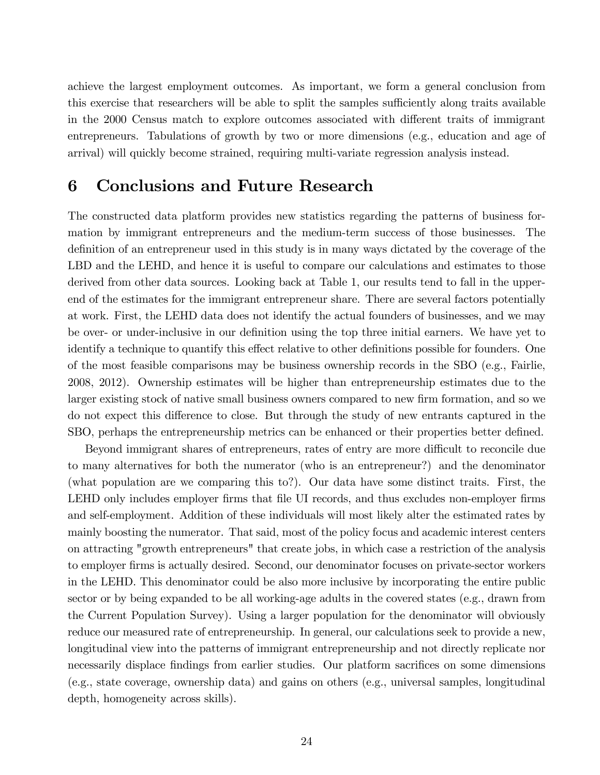achieve the largest employment outcomes. As important, we form a general conclusion from this exercise that researchers will be able to split the samples sufficiently along traits available in the 2000 Census match to explore outcomes associated with different traits of immigrant entrepreneurs. Tabulations of growth by two or more dimensions (e.g., education and age of arrival) will quickly become strained, requiring multi-variate regression analysis instead.

## 6 Conclusions and Future Research

The constructed data platform provides new statistics regarding the patterns of business formation by immigrant entrepreneurs and the medium-term success of those businesses. The definition of an entrepreneur used in this study is in many ways dictated by the coverage of the LBD and the LEHD, and hence it is useful to compare our calculations and estimates to those derived from other data sources. Looking back at Table 1, our results tend to fall in the upperend of the estimates for the immigrant entrepreneur share. There are several factors potentially at work. First, the LEHD data does not identify the actual founders of businesses, and we may be over- or under-inclusive in our definition using the top three initial earners. We have yet to identify a technique to quantify this effect relative to other definitions possible for founders. One of the most feasible comparisons may be business ownership records in the SBO (e.g., Fairlie, 2008, 2012). Ownership estimates will be higher than entrepreneurship estimates due to the larger existing stock of native small business owners compared to new firm formation, and so we do not expect this difference to close. But through the study of new entrants captured in the SBO, perhaps the entrepreneurship metrics can be enhanced or their properties better defined.

Beyond immigrant shares of entrepreneurs, rates of entry are more difficult to reconcile due to many alternatives for both the numerator (who is an entrepreneur?) and the denominator (what population are we comparing this to?). Our data have some distinct traits. First, the LEHD only includes employer firms that file UI records, and thus excludes non-employer firms and self-employment. Addition of these individuals will most likely alter the estimated rates by mainly boosting the numerator. That said, most of the policy focus and academic interest centers on attracting "growth entrepreneurs" that create jobs, in which case a restriction of the analysis to employer firms is actually desired. Second, our denominator focuses on private-sector workers in the LEHD. This denominator could be also more inclusive by incorporating the entire public sector or by being expanded to be all working-age adults in the covered states (e.g., drawn from the Current Population Survey). Using a larger population for the denominator will obviously reduce our measured rate of entrepreneurship. In general, our calculations seek to provide a new, longitudinal view into the patterns of immigrant entrepreneurship and not directly replicate nor necessarily displace findings from earlier studies. Our platform sacrifices on some dimensions (e.g., state coverage, ownership data) and gains on others (e.g., universal samples, longitudinal depth, homogeneity across skills).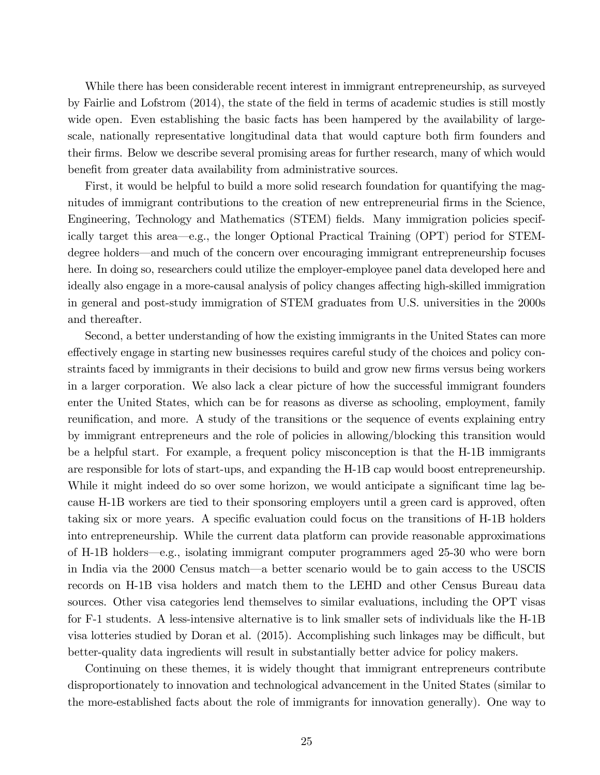While there has been considerable recent interest in immigrant entrepreneurship, as surveyed by Fairlie and Lofstrom (2014), the state of the Öeld in terms of academic studies is still mostly wide open. Even establishing the basic facts has been hampered by the availability of largescale, nationally representative longitudinal data that would capture both firm founders and their firms. Below we describe several promising areas for further research, many of which would benefit from greater data availability from administrative sources.

First, it would be helpful to build a more solid research foundation for quantifying the magnitudes of immigrant contributions to the creation of new entrepreneurial firms in the Science, Engineering, Technology and Mathematics (STEM) fields. Many immigration policies specifically target this area—e.g., the longer Optional Practical Training (OPT) period for STEMdegree holders—and much of the concern over encouraging immigrant entrepreneurship focuses here. In doing so, researchers could utilize the employer-employee panel data developed here and ideally also engage in a more-causal analysis of policy changes affecting high-skilled immigration in general and post-study immigration of STEM graduates from U.S. universities in the 2000s and thereafter.

Second, a better understanding of how the existing immigrants in the United States can more effectively engage in starting new businesses requires careful study of the choices and policy constraints faced by immigrants in their decisions to build and grow new firms versus being workers in a larger corporation. We also lack a clear picture of how the successful immigrant founders enter the United States, which can be for reasons as diverse as schooling, employment, family reunification, and more. A study of the transitions or the sequence of events explaining entry by immigrant entrepreneurs and the role of policies in allowing/blocking this transition would be a helpful start. For example, a frequent policy misconception is that the H-1B immigrants are responsible for lots of start-ups, and expanding the H-1B cap would boost entrepreneurship. While it might indeed do so over some horizon, we would anticipate a significant time lag because H-1B workers are tied to their sponsoring employers until a green card is approved, often taking six or more years. A specific evaluation could focus on the transitions of H-1B holders into entrepreneurship. While the current data platform can provide reasonable approximations of H-1B holders—e.g., isolating immigrant computer programmers aged 25-30 who were born in India via the 2000 Census match—a better scenario would be to gain access to the USCIS records on H-1B visa holders and match them to the LEHD and other Census Bureau data sources. Other visa categories lend themselves to similar evaluations, including the OPT visas for F-1 students. A less-intensive alternative is to link smaller sets of individuals like the H-1B visa lotteries studied by Doran et al.  $(2015)$ . Accomplishing such linkages may be difficult, but better-quality data ingredients will result in substantially better advice for policy makers.

Continuing on these themes, it is widely thought that immigrant entrepreneurs contribute disproportionately to innovation and technological advancement in the United States (similar to the more-established facts about the role of immigrants for innovation generally). One way to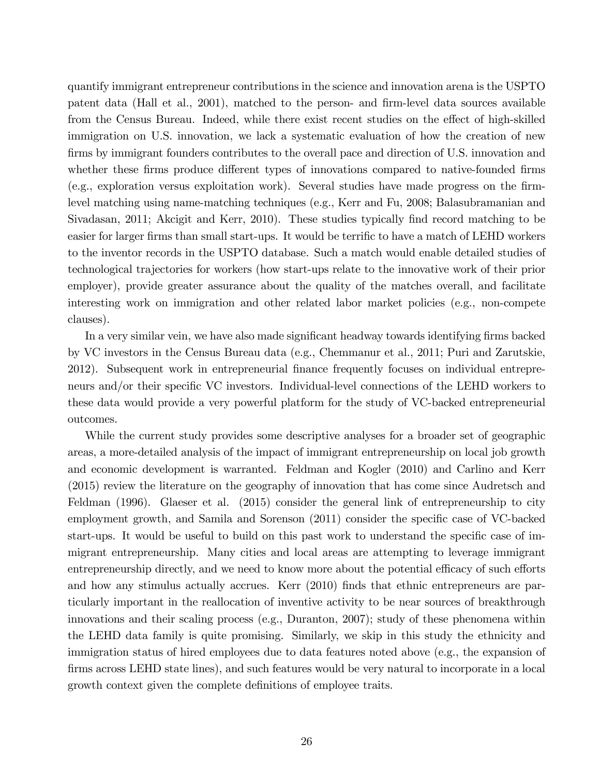quantify immigrant entrepreneur contributions in the science and innovation arena is the USPTO patent data (Hall et al., 2001), matched to the person- and firm-level data sources available from the Census Bureau. Indeed, while there exist recent studies on the effect of high-skilled immigration on U.S. innovation, we lack a systematic evaluation of how the creation of new firms by immigrant founders contributes to the overall pace and direction of U.S. innovation and whether these firms produce different types of innovations compared to native-founded firms (e.g., exploration versus exploitation work). Several studies have made progress on the Örmlevel matching using name-matching techniques (e.g., Kerr and Fu, 2008; Balasubramanian and Sivadasan, 2011; Akcigit and Kerr, 2010). These studies typically find record matching to be easier for larger firms than small start-ups. It would be terrific to have a match of LEHD workers to the inventor records in the USPTO database. Such a match would enable detailed studies of technological trajectories for workers (how start-ups relate to the innovative work of their prior employer), provide greater assurance about the quality of the matches overall, and facilitate interesting work on immigration and other related labor market policies (e.g., non-compete clauses).

In a very similar vein, we have also made significant headway towards identifying firms backed by VC investors in the Census Bureau data (e.g., Chemmanur et al., 2011; Puri and Zarutskie, 2012). Subsequent work in entrepreneurial Önance frequently focuses on individual entrepreneurs and/or their specific VC investors. Individual-level connections of the LEHD workers to these data would provide a very powerful platform for the study of VC-backed entrepreneurial outcomes.

While the current study provides some descriptive analyses for a broader set of geographic areas, a more-detailed analysis of the impact of immigrant entrepreneurship on local job growth and economic development is warranted. Feldman and Kogler (2010) and Carlino and Kerr (2015) review the literature on the geography of innovation that has come since Audretsch and Feldman (1996). Glaeser et al. (2015) consider the general link of entrepreneurship to city employment growth, and Samila and Sorenson (2011) consider the specific case of VC-backed start-ups. It would be useful to build on this past work to understand the specific case of immigrant entrepreneurship. Many cities and local areas are attempting to leverage immigrant entrepreneurship directly, and we need to know more about the potential efficacy of such efforts and how any stimulus actually accrues. Kerr (2010) finds that ethnic entrepreneurs are particularly important in the reallocation of inventive activity to be near sources of breakthrough innovations and their scaling process (e.g., Duranton, 2007); study of these phenomena within the LEHD data family is quite promising. Similarly, we skip in this study the ethnicity and immigration status of hired employees due to data features noted above (e.g., the expansion of firms across LEHD state lines), and such features would be very natural to incorporate in a local growth context given the complete definitions of employee traits.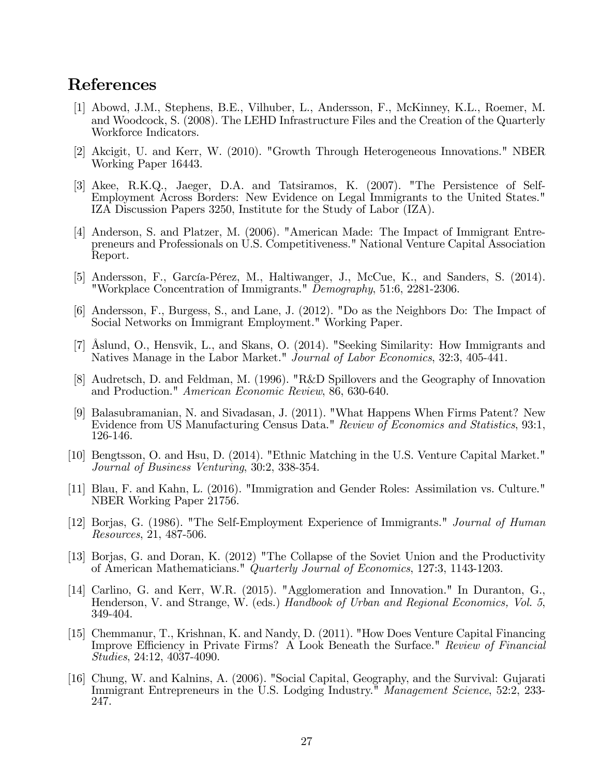# References

- [1] Abowd, J.M., Stephens, B.E., Vilhuber, L., Andersson, F., McKinney, K.L., Roemer, M. and Woodcock, S. (2008). The LEHD Infrastructure Files and the Creation of the Quarterly Workforce Indicators.
- [2] Akcigit, U. and Kerr, W. (2010). "Growth Through Heterogeneous Innovations." NBER Working Paper 16443.
- [3] Akee, R.K.Q., Jaeger, D.A. and Tatsiramos, K. (2007). "The Persistence of Self-Employment Across Borders: New Evidence on Legal Immigrants to the United States." IZA Discussion Papers 3250, Institute for the Study of Labor (IZA).
- [4] Anderson, S. and Platzer, M. (2006). "American Made: The Impact of Immigrant Entrepreneurs and Professionals on U.S. Competitiveness." National Venture Capital Association Report.
- [5] Andersson, F., García-Pérez, M., Haltiwanger, J., McCue, K., and Sanders, S. (2014). "Workplace Concentration of Immigrants." Demography, 51:6, 2281-2306.
- [6] Andersson, F., Burgess, S., and Lane, J. (2012). "Do as the Neighbors Do: The Impact of Social Networks on Immigrant Employment." Working Paper.
- [7] Åslund, O., Hensvik, L., and Skans, O. (2014). "Seeking Similarity: How Immigrants and Natives Manage in the Labor Market." *Journal of Labor Economics*, 32:3, 405-441.
- [8] Audretsch, D. and Feldman, M. (1996). "R&D Spillovers and the Geography of Innovation and Production." American Economic Review, 86, 630-640.
- [9] Balasubramanian, N. and Sivadasan, J. (2011). "What Happens When Firms Patent? New Evidence from US Manufacturing Census Data." Review of Economics and Statistics, 93:1, 126-146.
- [10] Bengtsson, O. and Hsu, D. (2014). "Ethnic Matching in the U.S. Venture Capital Market." Journal of Business Venturing, 30:2, 338-354.
- [11] Blau, F. and Kahn, L. (2016). "Immigration and Gender Roles: Assimilation vs. Culture." NBER Working Paper 21756.
- [12] Borjas, G. (1986). "The Self-Employment Experience of Immigrants." Journal of Human Resources, 21, 487-506.
- [13] Borjas, G. and Doran, K. (2012) "The Collapse of the Soviet Union and the Productivity of American Mathematicians." Quarterly Journal of Economics, 127:3, 1143-1203.
- [14] Carlino, G. and Kerr, W.R. (2015). "Agglomeration and Innovation." In Duranton, G., Henderson, V. and Strange, W. (eds.) Handbook of Urban and Regional Economics, Vol. 5, 349-404.
- [15] Chemmanur, T., Krishnan, K. and Nandy, D. (2011). "How Does Venture Capital Financing Improve Efficiency in Private Firms? A Look Beneath the Surface." Review of Financial Studies, 24:12, 4037-4090.
- [16] Chung, W. and Kalnins, A. (2006). "Social Capital, Geography, and the Survival: Gujarati Immigrant Entrepreneurs in the U.S. Lodging Industry." Management Science, 52:2, 233- 247.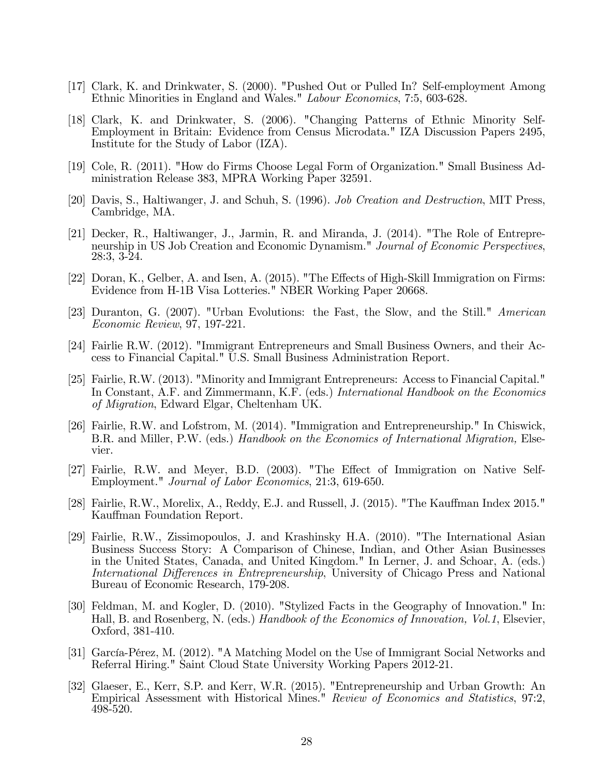- [17] Clark, K. and Drinkwater, S. (2000). "Pushed Out or Pulled In? Self-employment Among Ethnic Minorities in England and Wales." Labour Economics, 7:5, 603-628.
- [18] Clark, K. and Drinkwater, S. (2006). "Changing Patterns of Ethnic Minority Self-Employment in Britain: Evidence from Census Microdata." IZA Discussion Papers 2495, Institute for the Study of Labor (IZA).
- [19] Cole, R. (2011). "How do Firms Choose Legal Form of Organization." Small Business Administration Release 383, MPRA Working Paper 32591.
- [20] Davis, S., Haltiwanger, J. and Schuh, S. (1996). Job Creation and Destruction, MIT Press, Cambridge, MA.
- [21] Decker, R., Haltiwanger, J., Jarmin, R. and Miranda, J. (2014). "The Role of Entrepreneurship in US Job Creation and Economic Dynamism." Journal of Economic Perspectives, 28:3, 3-24.
- [22] Doran, K., Gelber, A. and Isen, A. (2015). "The Effects of High-Skill Immigration on Firms: Evidence from H-1B Visa Lotteries." NBER Working Paper 20668.
- [23] Duranton, G. (2007). "Urban Evolutions: the Fast, the Slow, and the Still." American Economic Review, 97, 197-221.
- [24] Fairlie R.W. (2012). "Immigrant Entrepreneurs and Small Business Owners, and their Access to Financial Capital." U.S. Small Business Administration Report.
- [25] Fairlie, R.W. (2013). "Minority and Immigrant Entrepreneurs: Access to Financial Capital." In Constant, A.F. and Zimmermann, K.F. (eds.) International Handbook on the Economics of Migration, Edward Elgar, Cheltenham UK.
- [26] Fairlie, R.W. and Lofstrom, M. (2014). "Immigration and Entrepreneurship." In Chiswick, B.R. and Miller, P.W. (eds.) Handbook on the Economics of International Migration, Elsevier.
- [27] Fairlie, R.W. and Meyer, B.D. (2003). "The Effect of Immigration on Native Self-Employment." Journal of Labor Economics, 21:3, 619-650.
- [28] Fairlie, R.W., Morelix, A., Reddy, E.J. and Russell, J. (2015). "The Kauffman Index 2015." Kauffman Foundation Report.
- [29] Fairlie, R.W., Zissimopoulos, J. and Krashinsky H.A. (2010). "The International Asian Business Success Story: A Comparison of Chinese, Indian, and Other Asian Businesses in the United States, Canada, and United Kingdom." In Lerner, J. and Schoar, A. (eds.) International Differences in Entrepreneurship, University of Chicago Press and National Bureau of Economic Research, 179-208.
- [30] Feldman, M. and Kogler, D. (2010). "Stylized Facts in the Geography of Innovation." In: Hall, B. and Rosenberg, N. (eds.) Handbook of the Economics of Innovation, Vol.1, Elsevier, Oxford, 381-410.
- [31] García-Pérez, M. (2012). "A Matching Model on the Use of Immigrant Social Networks and Referral Hiring." Saint Cloud State University Working Papers 2012-21.
- [32] Glaeser, E., Kerr, S.P. and Kerr, W.R. (2015). "Entrepreneurship and Urban Growth: An Empirical Assessment with Historical Mines." Review of Economics and Statistics, 97:2, 498-520.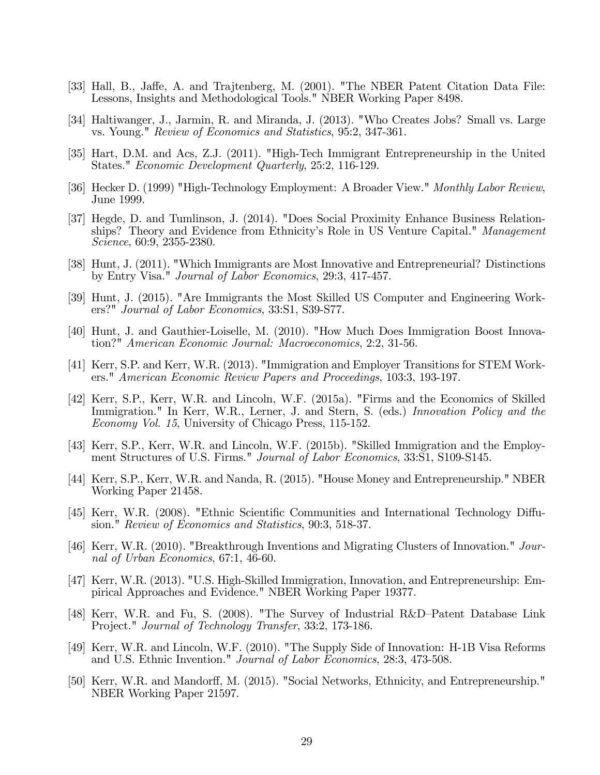- [33] Hall, B., Jaffe, A. and Trajtenberg, M. (2001). "The NBER Patent Citation Data File: Lessons, Insights and Methodological Tools." NBER Working Paper 8498.
- [34] Haltiwanger, J., Jarmin, R. and Miranda, J. (2013). "Who Creates Jobs? Small vs. Large vs. Young." Review of Economics and Statistics, 95:2, 347-361.
- [35] Hart, D.M. and Acs, Z.J. (2011). "High-Tech Immigrant Entrepreneurship in the United States." Economic Development Quarterly, 25:2, 116-129.
- [36] Hecker D. (1999) "High-Technology Employment: A Broader View." Monthly Labor Review, June 1999.
- [37] Hegde, D. and Tumlinson, J. (2014). "Does Social Proximity Enhance Business Relationships? Theory and Evidence from Ethnicity's Role in US Venture Capital." Management Science, 60:9, 2355-2380.
- [38] Hunt, J. (2011). "Which Immigrants are Most Innovative and Entrepreneurial? Distinctions by Entry Visa." Journal of Labor Economics, 29:3, 417-457.
- [39] Hunt, J. (2015). "Are Immigrants the Most Skilled US Computer and Engineering Workers?" Journal of Labor Economics, 33:S1, S39-S77.
- [40] Hunt, J. and Gauthier-Loiselle, M. (2010). "How Much Does Immigration Boost Innovation?" American Economic Journal: Macroeconomics, 2:2, 31-56.
- [41] Kerr, S.P. and Kerr, W.R. (2013). "Immigration and Employer Transitions for STEM Workers." American Economic Review Papers and Proceedings, 103:3, 193-197.
- [42] Kerr, S.P., Kerr, W.R. and Lincoln, W.F. (2015a). "Firms and the Economics of Skilled Immigration." In Kerr, W.R., Lerner, J. and Stern, S. (eds.) Innovation Policy and the Economy Vol. 15, University of Chicago Press, 115-152.
- [43] Kerr, S.P., Kerr, W.R. and Lincoln, W.F. (2015b). "Skilled Immigration and the Employment Structures of U.S. Firms." Journal of Labor Economics, 33:S1, S109-S145.
- [44] Kerr, S.P., Kerr, W.R. and Nanda, R. (2015). "House Money and Entrepreneurship." NBER Working Paper 21458.
- [45] Kerr, W.R. (2008). "Ethnic Scientific Communities and International Technology Diffusion." Review of Economics and Statistics, 90:3, 518-37.
- [46] Kerr, W.R. (2010). "Breakthrough Inventions and Migrating Clusters of Innovation." Journal of Urban Economics, 67:1, 46-60.
- [47] Kerr, W.R. (2013). "U.S. High-Skilled Immigration, Innovation, and Entrepreneurship: Empirical Approaches and Evidence." NBER Working Paper 19377.
- [48] Kerr, W.R. and Fu, S. (2008). "The Survey of Industrial R&D-Patent Database Link Project." Journal of Technology Transfer, 33:2, 173-186.
- [49] Kerr, W.R. and Lincoln, W.F. (2010). "The Supply Side of Innovation: H-1B Visa Reforms and U.S. Ethnic Invention." Journal of Labor Economics, 28:3, 473-508.
- [50] Kerr, W.R. and Mandorff, M. (2015). "Social Networks, Ethnicity, and Entrepreneurship." NBER Working Paper 21597.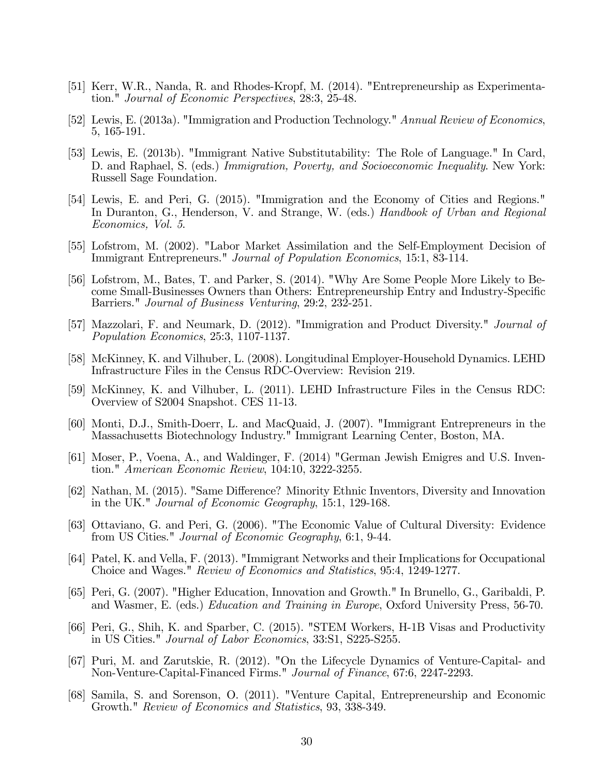- [51] Kerr, W.R., Nanda, R. and Rhodes-Kropf, M. (2014). "Entrepreneurship as Experimentation." Journal of Economic Perspectives, 28:3, 25-48.
- [52] Lewis, E. (2013a). "Immigration and Production Technology." Annual Review of Economics, 5, 165-191.
- [53] Lewis, E. (2013b). "Immigrant Native Substitutability: The Role of Language." In Card, D. and Raphael, S. (eds.) Immigration, Poverty, and Socioeconomic Inequality. New York: Russell Sage Foundation.
- [54] Lewis, E. and Peri, G. (2015). "Immigration and the Economy of Cities and Regions." In Duranton, G., Henderson, V. and Strange, W. (eds.) Handbook of Urban and Regional Economics, Vol. 5.
- [55] Lofstrom, M. (2002). "Labor Market Assimilation and the Self-Employment Decision of Immigrant Entrepreneurs." Journal of Population Economics, 15:1, 83-114.
- [56] Lofstrom, M., Bates, T. and Parker, S. (2014). "Why Are Some People More Likely to Become Small-Businesses Owners than Others: Entrepreneurship Entry and Industry-Specific Barriers." Journal of Business Venturing, 29:2, 232-251.
- [57] Mazzolari, F. and Neumark, D. (2012). "Immigration and Product Diversity." Journal of Population Economics, 25:3, 1107-1137.
- [58] McKinney, K. and Vilhuber, L. (2008). Longitudinal Employer-Household Dynamics. LEHD Infrastructure Files in the Census RDC-Overview: Revision 219.
- [59] McKinney, K. and Vilhuber, L. (2011). LEHD Infrastructure Files in the Census RDC: Overview of S2004 Snapshot. CES 11-13.
- [60] Monti, D.J., Smith-Doerr, L. and MacQuaid, J. (2007). "Immigrant Entrepreneurs in the Massachusetts Biotechnology Industry." Immigrant Learning Center, Boston, MA.
- [61] Moser, P., Voena, A., and Waldinger, F. (2014) "German Jewish Emigres and U.S. Invention." American Economic Review, 104:10, 3222-3255.
- [62] Nathan, M. (2015). "Same Difference? Minority Ethnic Inventors, Diversity and Innovation in the UK." Journal of Economic Geography, 15:1, 129-168.
- [63] Ottaviano, G. and Peri, G. (2006). "The Economic Value of Cultural Diversity: Evidence from US Cities." Journal of Economic Geography, 6:1, 9-44.
- [64] Patel, K. and Vella, F. (2013). "Immigrant Networks and their Implications for Occupational Choice and Wages." Review of Economics and Statistics, 95:4, 1249-1277.
- [65] Peri, G. (2007). "Higher Education, Innovation and Growth." In Brunello, G., Garibaldi, P. and Wasmer, E. (eds.) Education and Training in Europe, Oxford University Press, 56-70.
- [66] Peri, G., Shih, K. and Sparber, C. (2015). "STEM Workers, H-1B Visas and Productivity in US Cities." Journal of Labor Economics, 33:S1, S225-S255.
- [67] Puri, M. and Zarutskie, R. (2012). "On the Lifecycle Dynamics of Venture-Capital- and Non-Venture-Capital-Financed Firms." Journal of Finance, 67:6, 2247-2293.
- [68] Samila, S. and Sorenson, O. (2011). "Venture Capital, Entrepreneurship and Economic Growth." Review of Economics and Statistics, 93, 338-349.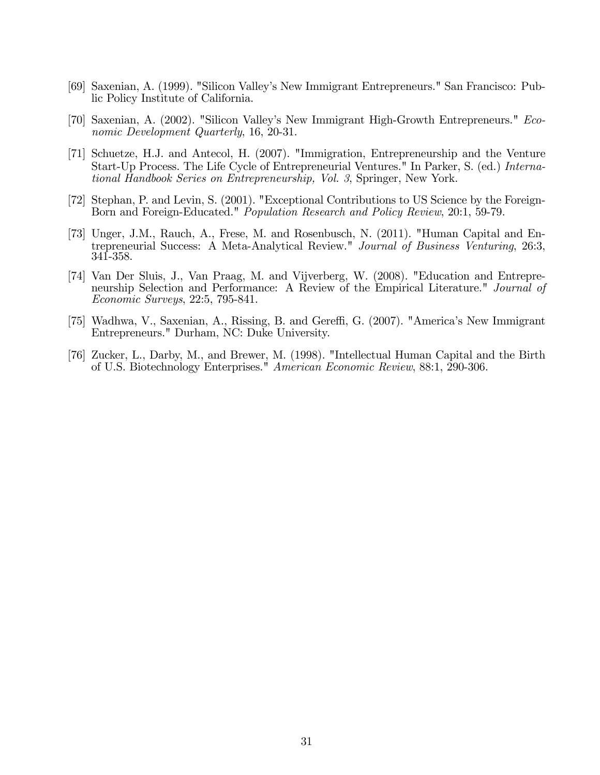- [69] Saxenian, A. (1999). "Silicon Valleyís New Immigrant Entrepreneurs." San Francisco: Public Policy Institute of California.
- [70] Saxenian, A. (2002). "Silicon Valleyís New Immigrant High-Growth Entrepreneurs." Economic Development Quarterly, 16, 20-31.
- [71] Schuetze, H.J. and Antecol, H. (2007). "Immigration, Entrepreneurship and the Venture Start-Up Process. The Life Cycle of Entrepreneurial Ventures." In Parker, S. (ed.) International Handbook Series on Entrepreneurship, Vol. 3, Springer, New York.
- [72] Stephan, P. and Levin, S. (2001). "Exceptional Contributions to US Science by the Foreign-Born and Foreign-Educated." Population Research and Policy Review, 20:1, 59-79.
- [73] Unger, J.M., Rauch, A., Frese, M. and Rosenbusch, N. (2011). "Human Capital and Entrepreneurial Success: A Meta-Analytical Review." Journal of Business Venturing, 26:3, 341-358.
- [74] Van Der Sluis, J., Van Praag, M. and Vijverberg, W. (2008). "Education and Entrepreneurship Selection and Performance: A Review of the Empirical Literature." Journal of Economic Surveys, 22:5, 795-841.
- [75] Wadhwa, V., Saxenian, A., Rissing, B. and Gereffi, G. (2007). "America's New Immigrant Entrepreneurs." Durham, NC: Duke University.
- [76] Zucker, L., Darby, M., and Brewer, M. (1998). "Intellectual Human Capital and the Birth of U.S. Biotechnology Enterprises." American Economic Review, 88:1, 290-306.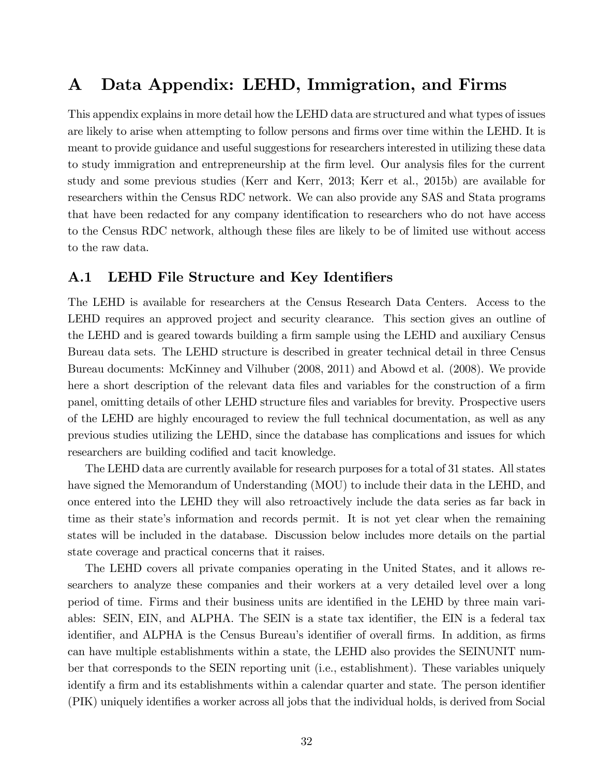# A Data Appendix: LEHD, Immigration, and Firms

This appendix explains in more detail how the LEHD data are structured and what types of issues are likely to arise when attempting to follow persons and firms over time within the LEHD. It is meant to provide guidance and useful suggestions for researchers interested in utilizing these data to study immigration and entrepreneurship at the firm level. Our analysis files for the current study and some previous studies (Kerr and Kerr, 2013; Kerr et al., 2015b) are available for researchers within the Census RDC network. We can also provide any SAS and Stata programs that have been redacted for any company identification to researchers who do not have access to the Census RDC network, although these files are likely to be of limited use without access to the raw data.

#### A.1 LEHD File Structure and Key Identifiers

The LEHD is available for researchers at the Census Research Data Centers. Access to the LEHD requires an approved project and security clearance. This section gives an outline of the LEHD and is geared towards building a firm sample using the LEHD and auxiliary Census Bureau data sets. The LEHD structure is described in greater technical detail in three Census Bureau documents: McKinney and Vilhuber (2008, 2011) and Abowd et al. (2008). We provide here a short description of the relevant data files and variables for the construction of a firm panel, omitting details of other LEHD structure files and variables for brevity. Prospective users of the LEHD are highly encouraged to review the full technical documentation, as well as any previous studies utilizing the LEHD, since the database has complications and issues for which researchers are building codified and tacit knowledge.

The LEHD data are currently available for research purposes for a total of 31 states. All states have signed the Memorandum of Understanding (MOU) to include their data in the LEHD, and once entered into the LEHD they will also retroactively include the data series as far back in time as their state's information and records permit. It is not yet clear when the remaining states will be included in the database. Discussion below includes more details on the partial state coverage and practical concerns that it raises.

The LEHD covers all private companies operating in the United States, and it allows researchers to analyze these companies and their workers at a very detailed level over a long period of time. Firms and their business units are identified in the LEHD by three main variables: SEIN, EIN, and ALPHA. The SEIN is a state tax identifier, the EIN is a federal tax identifier, and ALPHA is the Census Bureau's identifier of overall firms. In addition, as firms can have multiple establishments within a state, the LEHD also provides the SEINUNIT number that corresponds to the SEIN reporting unit (i.e., establishment). These variables uniquely identify a firm and its establishments within a calendar quarter and state. The person identifier (PIK) uniquely identiÖes a worker across all jobs that the individual holds, is derived from Social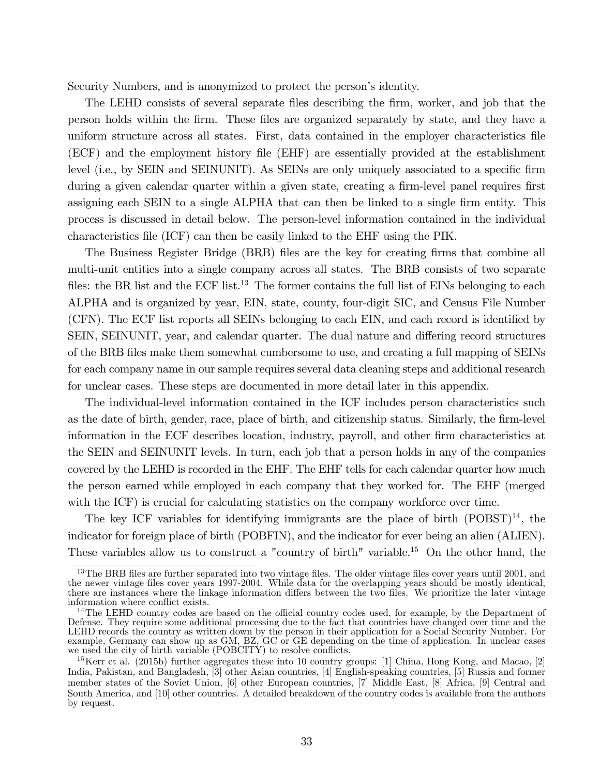Security Numbers, and is anonymized to protect the person's identity.

The LEHD consists of several separate files describing the firm, worker, and job that the person holds within the Örm. These Öles are organized separately by state, and they have a uniform structure across all states. First, data contained in the employer characteristics Öle (ECF) and the employment history Öle (EHF) are essentially provided at the establishment level (i.e., by SEIN and SEINUNIT). As SEINs are only uniquely associated to a specific firm during a given calendar quarter within a given state, creating a firm-level panel requires first assigning each SEIN to a single ALPHA that can then be linked to a single firm entity. This process is discussed in detail below. The person-level information contained in the individual characteristics Öle (ICF) can then be easily linked to the EHF using the PIK.

The Business Register Bridge (BRB) files are the key for creating firms that combine all multi-unit entities into a single company across all states. The BRB consists of two separate files: the BR list and the ECF list.<sup>13</sup> The former contains the full list of EINs belonging to each ALPHA and is organized by year, EIN, state, county, four-digit SIC, and Census File Number (CFN). The ECF list reports all SEINs belonging to each EIN, and each record is identified by SEIN, SEINUNIT, year, and calendar quarter. The dual nature and differing record structures of the BRB Öles make them somewhat cumbersome to use, and creating a full mapping of SEINs for each company name in our sample requires several data cleaning steps and additional research for unclear cases. These steps are documented in more detail later in this appendix.

The individual-level information contained in the ICF includes person characteristics such as the date of birth, gender, race, place of birth, and citizenship status. Similarly, the firm-level information in the ECF describes location, industry, payroll, and other firm characteristics at the SEIN and SEINUNIT levels. In turn, each job that a person holds in any of the companies covered by the LEHD is recorded in the EHF. The EHF tells for each calendar quarter how much the person earned while employed in each company that they worked for. The EHF (merged with the ICF) is crucial for calculating statistics on the company workforce over time.

The key ICF variables for identifying immigrants are the place of birth  $(POBST)^{14}$ , the indicator for foreign place of birth (POBFIN), and the indicator for ever being an alien (ALIEN). These variables allow us to construct a "country of birth" variable.<sup>15</sup> On the other hand, the

 $13$ The BRB files are further separated into two vintage files. The older vintage files cover years until 2001, and the newer vintage Öles cover years 1997-2004. While data for the overlapping years should be mostly identical, there are instances where the linkage information differs between the two files. We prioritize the later vintage information where conflict exists.

 $14$ The LEHD country codes are based on the official country codes used, for example, by the Department of Defense. They require some additional processing due to the fact that countries have changed over time and the LEHD records the country as written down by the person in their application for a Social Security Number. For example, Germany can show up as GM, BZ, GC or GE depending on the time of application. In unclear cases we used the city of birth variable (POBCITY) to resolve conflicts.

<sup>&</sup>lt;sup>15</sup>Kerr et al. (2015b) further aggregates these into 10 country groups: [1] China, Hong Kong, and Macao, [2] India, Pakistan, and Bangladesh, [3] other Asian countries, [4] English-speaking countries, [5] Russia and former member states of the Soviet Union, [6] other European countries, [7] Middle East, [8] Africa, [9] Central and South America, and [10] other countries. A detailed breakdown of the country codes is available from the authors by request.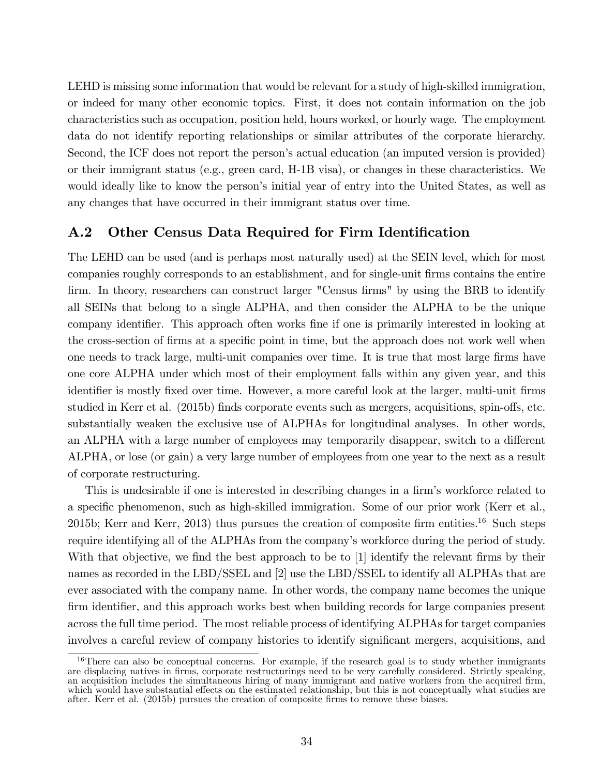LEHD is missing some information that would be relevant for a study of high-skilled immigration, or indeed for many other economic topics. First, it does not contain information on the job characteristics such as occupation, position held, hours worked, or hourly wage. The employment data do not identify reporting relationships or similar attributes of the corporate hierarchy. Second, the ICF does not report the person's actual education (an imputed version is provided) or their immigrant status (e.g., green card, H-1B visa), or changes in these characteristics. We would ideally like to know the person's initial year of entry into the United States, as well as any changes that have occurred in their immigrant status over time.

#### A.2 Other Census Data Required for Firm Identification

The LEHD can be used (and is perhaps most naturally used) at the SEIN level, which for most companies roughly corresponds to an establishment, and for single-unit firms contains the entire firm. In theory, researchers can construct larger "Census firms" by using the BRB to identify all SEINs that belong to a single ALPHA, and then consider the ALPHA to be the unique company identifier. This approach often works fine if one is primarily interested in looking at the cross-section of firms at a specific point in time, but the approach does not work well when one needs to track large, multi-unit companies over time. It is true that most large firms have one core ALPHA under which most of their employment falls within any given year, and this identifier is mostly fixed over time. However, a more careful look at the larger, multi-unit firms studied in Kerr et al. (2015b) finds corporate events such as mergers, acquisitions, spin-offs, etc. substantially weaken the exclusive use of ALPHAs for longitudinal analyses. In other words, an ALPHA with a large number of employees may temporarily disappear, switch to a different ALPHA, or lose (or gain) a very large number of employees from one year to the next as a result of corporate restructuring.

This is undesirable if one is interested in describing changes in a firm's workforce related to a specific phenomenon, such as high-skilled immigration. Some of our prior work (Kerr et al., 2015b; Kerr and Kerr, 2013) thus pursues the creation of composite firm entities.<sup>16</sup> Such steps require identifying all of the ALPHAs from the company's workforce during the period of study. With that objective, we find the best approach to be to  $[1]$  identify the relevant firms by their names as recorded in the LBD/SSEL and [2] use the LBD/SSEL to identify all ALPHAs that are ever associated with the company name. In other words, the company name becomes the unique firm identifier, and this approach works best when building records for large companies present across the full time period. The most reliable process of identifying ALPHAs for target companies involves a careful review of company histories to identify significant mergers, acquisitions, and

<sup>&</sup>lt;sup>16</sup>There can also be conceptual concerns. For example, if the research goal is to study whether immigrants are displacing natives in Örms, corporate restructurings need to be very carefully considered. Strictly speaking, an acquisition includes the simultaneous hiring of many immigrant and native workers from the acquired firm, which would have substantial effects on the estimated relationship, but this is not conceptually what studies are after. Kerr et al. (2015b) pursues the creation of composite firms to remove these biases.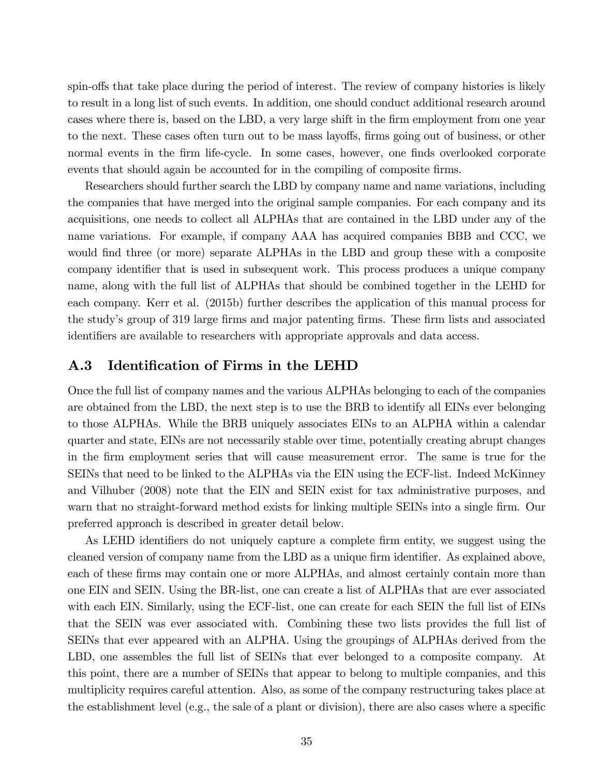spin-offs that take place during the period of interest. The review of company histories is likely to result in a long list of such events. In addition, one should conduct additional research around cases where there is, based on the LBD, a very large shift in the firm employment from one year to the next. These cases often turn out to be mass layoffs, firms going out of business, or other normal events in the firm life-cycle. In some cases, however, one finds overlooked corporate events that should again be accounted for in the compiling of composite firms.

Researchers should further search the LBD by company name and name variations, including the companies that have merged into the original sample companies. For each company and its acquisitions, one needs to collect all ALPHAs that are contained in the LBD under any of the name variations. For example, if company AAA has acquired companies BBB and CCC, we would find three (or more) separate ALPHAs in the LBD and group these with a composite company identifier that is used in subsequent work. This process produces a unique company name, along with the full list of ALPHAs that should be combined together in the LEHD for each company. Kerr et al. (2015b) further describes the application of this manual process for the study's group of 319 large firms and major patenting firms. These firm lists and associated identifiers are available to researchers with appropriate approvals and data access.

#### A.3 Identification of Firms in the LEHD

Once the full list of company names and the various ALPHAs belonging to each of the companies are obtained from the LBD, the next step is to use the BRB to identify all EINs ever belonging to those ALPHAs. While the BRB uniquely associates EINs to an ALPHA within a calendar quarter and state, EINs are not necessarily stable over time, potentially creating abrupt changes in the Örm employment series that will cause measurement error. The same is true for the SEINs that need to be linked to the ALPHAs via the EIN using the ECF-list. Indeed McKinney and Vilhuber (2008) note that the EIN and SEIN exist for tax administrative purposes, and warn that no straight-forward method exists for linking multiple SEINs into a single firm. Our preferred approach is described in greater detail below.

As LEHD identifiers do not uniquely capture a complete firm entity, we suggest using the cleaned version of company name from the LBD as a unique firm identifier. As explained above, each of these firms may contain one or more ALPHAs, and almost certainly contain more than one EIN and SEIN. Using the BR-list, one can create a list of ALPHAs that are ever associated with each EIN. Similarly, using the ECF-list, one can create for each SEIN the full list of EINs that the SEIN was ever associated with. Combining these two lists provides the full list of SEINs that ever appeared with an ALPHA. Using the groupings of ALPHAs derived from the LBD, one assembles the full list of SEINs that ever belonged to a composite company. At this point, there are a number of SEINs that appear to belong to multiple companies, and this multiplicity requires careful attention. Also, as some of the company restructuring takes place at the establishment level (e.g., the sale of a plant or division), there are also cases where a specific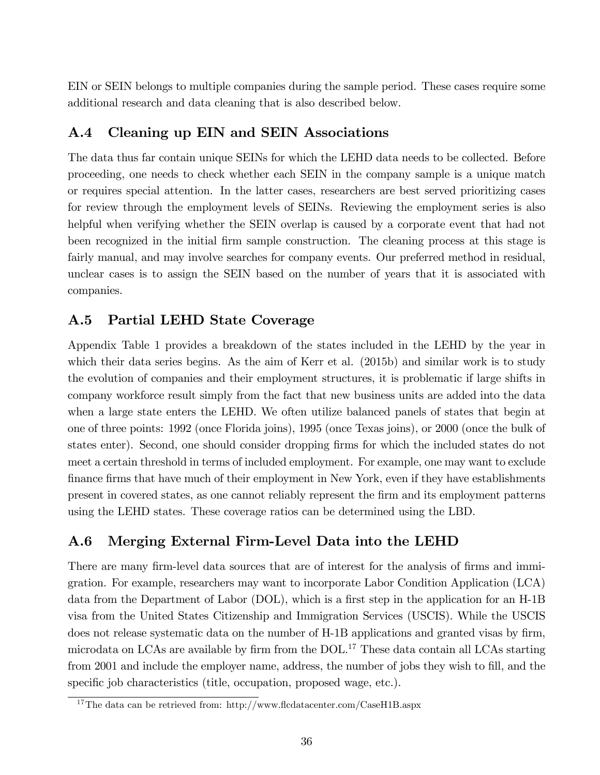EIN or SEIN belongs to multiple companies during the sample period. These cases require some additional research and data cleaning that is also described below.

### A.4 Cleaning up EIN and SEIN Associations

The data thus far contain unique SEINs for which the LEHD data needs to be collected. Before proceeding, one needs to check whether each SEIN in the company sample is a unique match or requires special attention. In the latter cases, researchers are best served prioritizing cases for review through the employment levels of SEINs. Reviewing the employment series is also helpful when verifying whether the SEIN overlap is caused by a corporate event that had not been recognized in the initial firm sample construction. The cleaning process at this stage is fairly manual, and may involve searches for company events. Our preferred method in residual, unclear cases is to assign the SEIN based on the number of years that it is associated with companies.

### A.5 Partial LEHD State Coverage

Appendix Table 1 provides a breakdown of the states included in the LEHD by the year in which their data series begins. As the aim of Kerr et al. (2015b) and similar work is to study the evolution of companies and their employment structures, it is problematic if large shifts in company workforce result simply from the fact that new business units are added into the data when a large state enters the LEHD. We often utilize balanced panels of states that begin at one of three points: 1992 (once Florida joins), 1995 (once Texas joins), or 2000 (once the bulk of states enter). Second, one should consider dropping firms for which the included states do not meet a certain threshold in terms of included employment. For example, one may want to exclude finance firms that have much of their employment in New York, even if they have establishments present in covered states, as one cannot reliably represent the Örm and its employment patterns using the LEHD states. These coverage ratios can be determined using the LBD.

#### A.6 Merging External Firm-Level Data into the LEHD

There are many firm-level data sources that are of interest for the analysis of firms and immigration. For example, researchers may want to incorporate Labor Condition Application (LCA) data from the Department of Labor  $(DOL)$ , which is a first step in the application for an H-1B visa from the United States Citizenship and Immigration Services (USCIS). While the USCIS does not release systematic data on the number of H-1B applications and granted visas by firm, microdata on LCAs are available by firm from the DOL.<sup>17</sup> These data contain all LCAs starting from 2001 and include the employer name, address, the number of jobs they wish to fill, and the specific job characteristics (title, occupation, proposed wage, etc.).

<sup>&</sup>lt;sup>17</sup>The data can be retrieved from: http://www.flcdatacenter.com/CaseH1B.aspx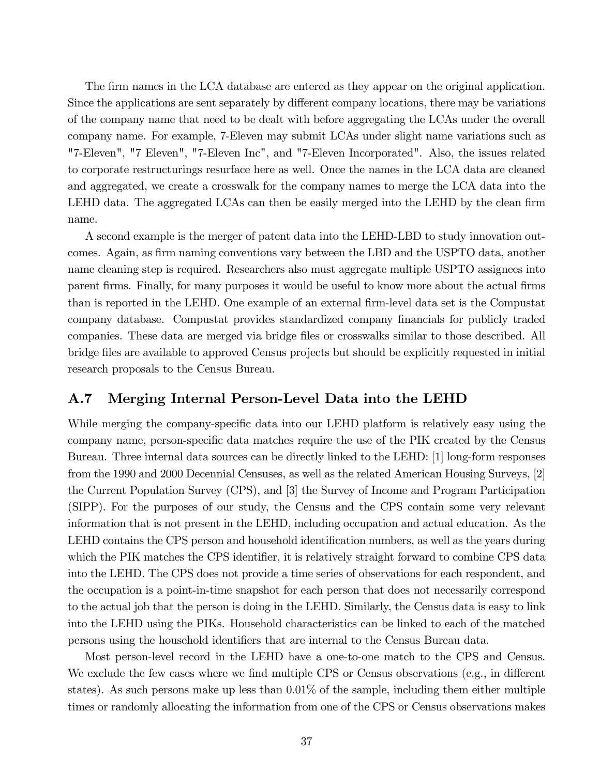The firm names in the LCA database are entered as they appear on the original application. Since the applications are sent separately by different company locations, there may be variations of the company name that need to be dealt with before aggregating the LCAs under the overall company name. For example, 7-Eleven may submit LCAs under slight name variations such as "7-Eleven", "7 Eleven", "7-Eleven Inc", and "7-Eleven Incorporated". Also, the issues related to corporate restructurings resurface here as well. Once the names in the LCA data are cleaned and aggregated, we create a crosswalk for the company names to merge the LCA data into the LEHD data. The aggregated LCAs can then be easily merged into the LEHD by the clean firm name.

A second example is the merger of patent data into the LEHD-LBD to study innovation outcomes. Again, as firm naming conventions vary between the LBD and the USPTO data, another name cleaning step is required. Researchers also must aggregate multiple USPTO assignees into parent firms. Finally, for many purposes it would be useful to know more about the actual firms than is reported in the LEHD. One example of an external firm-level data set is the Compustat company database. Compustat provides standardized company financials for publicly traded companies. These data are merged via bridge files or crosswalks similar to those described. All bridge Öles are available to approved Census projects but should be explicitly requested in initial research proposals to the Census Bureau.

#### A.7 Merging Internal Person-Level Data into the LEHD

While merging the company-specific data into our LEHD platform is relatively easy using the company name, person-specific data matches require the use of the PIK created by the Census Bureau. Three internal data sources can be directly linked to the LEHD: [1] long-form responses from the 1990 and 2000 Decennial Censuses, as well as the related American Housing Surveys, [2] the Current Population Survey (CPS), and [3] the Survey of Income and Program Participation (SIPP). For the purposes of our study, the Census and the CPS contain some very relevant information that is not present in the LEHD, including occupation and actual education. As the LEHD contains the CPS person and household identification numbers, as well as the years during which the PIK matches the CPS identifier, it is relatively straight forward to combine CPS data into the LEHD. The CPS does not provide a time series of observations for each respondent, and the occupation is a point-in-time snapshot for each person that does not necessarily correspond to the actual job that the person is doing in the LEHD. Similarly, the Census data is easy to link into the LEHD using the PIKs. Household characteristics can be linked to each of the matched persons using the household identifiers that are internal to the Census Bureau data.

Most person-level record in the LEHD have a one-to-one match to the CPS and Census. We exclude the few cases where we find multiple CPS or Census observations (e.g., in different states). As such persons make up less than 0.01% of the sample, including them either multiple times or randomly allocating the information from one of the CPS or Census observations makes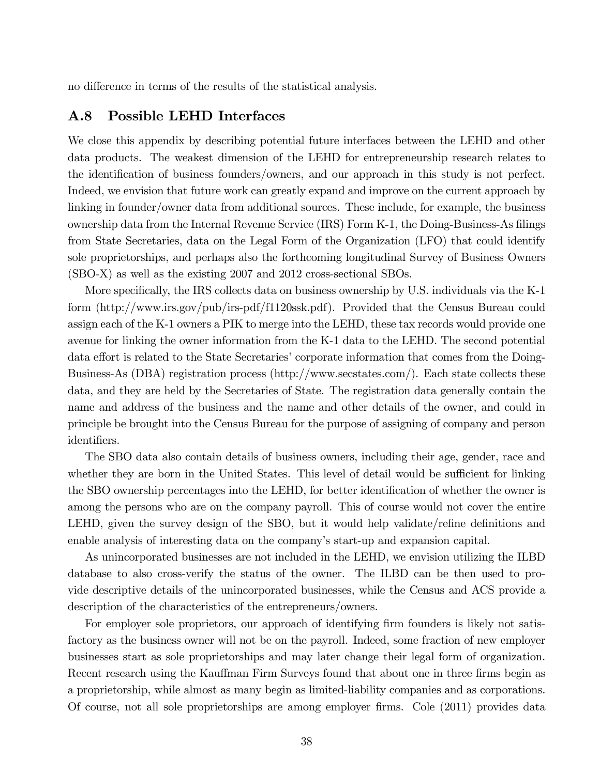no difference in terms of the results of the statistical analysis.

#### A.8 Possible LEHD Interfaces

We close this appendix by describing potential future interfaces between the LEHD and other data products. The weakest dimension of the LEHD for entrepreneurship research relates to the identification of business founders/owners, and our approach in this study is not perfect. Indeed, we envision that future work can greatly expand and improve on the current approach by linking in founder/owner data from additional sources. These include, for example, the business ownership data from the Internal Revenue Service (IRS) Form K-1, the Doing-Business-As filings from State Secretaries, data on the Legal Form of the Organization (LFO) that could identify sole proprietorships, and perhaps also the forthcoming longitudinal Survey of Business Owners (SBO-X) as well as the existing 2007 and 2012 cross-sectional SBOs.

More specifically, the IRS collects data on business ownership by U.S. individuals via the K-1 form (http://www.irs.gov/pub/irs-pdf/f1120ssk.pdf). Provided that the Census Bureau could assign each of the K-1 owners a PIK to merge into the LEHD, these tax records would provide one avenue for linking the owner information from the K-1 data to the LEHD. The second potential data effort is related to the State Secretaries' corporate information that comes from the Doing-Business-As (DBA) registration process (http://www.secstates.com/). Each state collects these data, and they are held by the Secretaries of State. The registration data generally contain the name and address of the business and the name and other details of the owner, and could in principle be brought into the Census Bureau for the purpose of assigning of company and person identifiers.

The SBO data also contain details of business owners, including their age, gender, race and whether they are born in the United States. This level of detail would be sufficient for linking the SBO ownership percentages into the LEHD, for better identification of whether the owner is among the persons who are on the company payroll. This of course would not cover the entire LEHD, given the survey design of the SBO, but it would help validate/refine definitions and enable analysis of interesting data on the company's start-up and expansion capital.

As unincorporated businesses are not included in the LEHD, we envision utilizing the ILBD database to also cross-verify the status of the owner. The ILBD can be then used to provide descriptive details of the unincorporated businesses, while the Census and ACS provide a description of the characteristics of the entrepreneurs/owners.

For employer sole proprietors, our approach of identifying firm founders is likely not satisfactory as the business owner will not be on the payroll. Indeed, some fraction of new employer businesses start as sole proprietorships and may later change their legal form of organization. Recent research using the Kauffman Firm Surveys found that about one in three firms begin as a proprietorship, while almost as many begin as limited-liability companies and as corporations. Of course, not all sole proprietorships are among employer firms. Cole (2011) provides data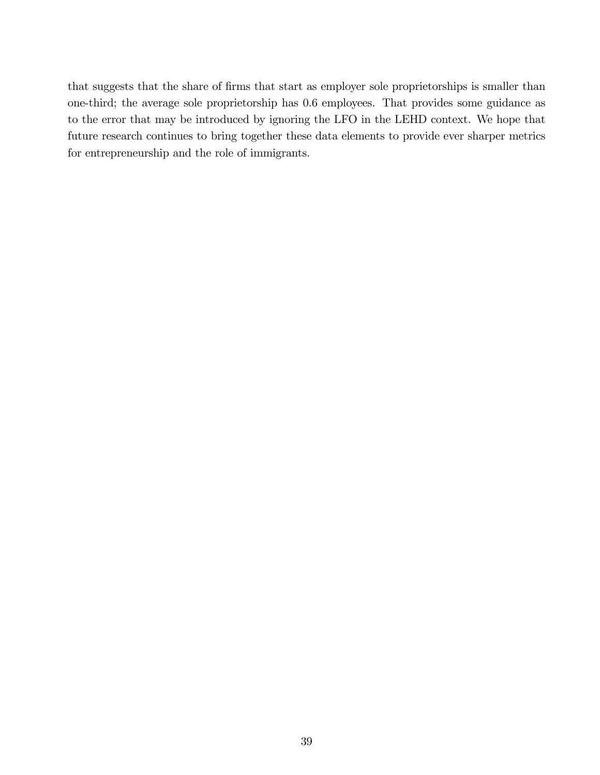that suggests that the share of firms that start as employer sole proprietorships is smaller than one-third; the average sole proprietorship has 0.6 employees. That provides some guidance as to the error that may be introduced by ignoring the LFO in the LEHD context. We hope that future research continues to bring together these data elements to provide ever sharper metrics for entrepreneurship and the role of immigrants.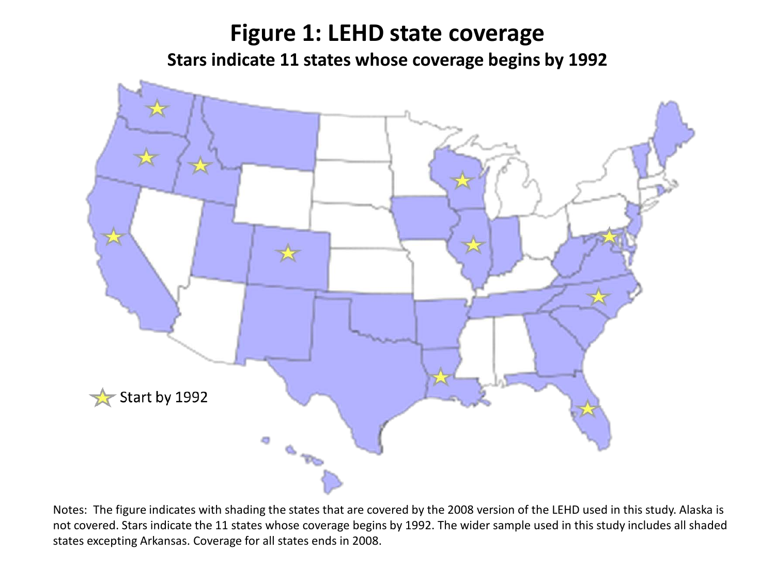# **Figure 1: LEHD state coverage Stars indicate 11 states whose coverage begins by 1992**



Notes: The figure indicates with shading the states that are covered by the 2008 version of the LEHD used in this study. Alaska is not covered. Stars indicate the 11 states whose coverage begins by 1992. The wider sample used in this study includes all shaded states excepting Arkansas. Coverage for all states ends in 2008.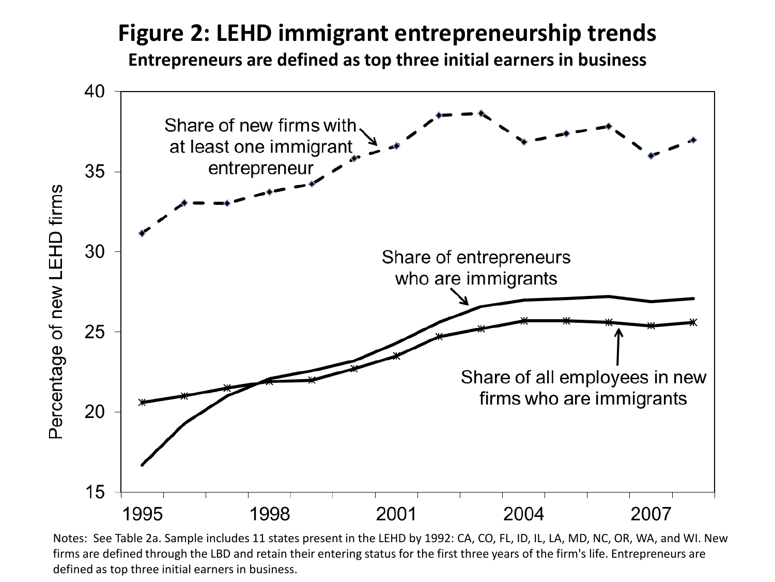# **Figure 2: LEHD immigrant entrepreneurship trends**

**Entrepreneurs are defined as top three initial earners in business**



Notes: See Table 2a. Sample includes 11 states present in the LEHD by 1992: CA, CO, FL, ID, IL, LA, MD, NC, OR, WA, and WI. New firms are defined through the LBD and retain their entering status for the first three years of the firm's life. Entrepreneurs are defined as top three initial earners in business.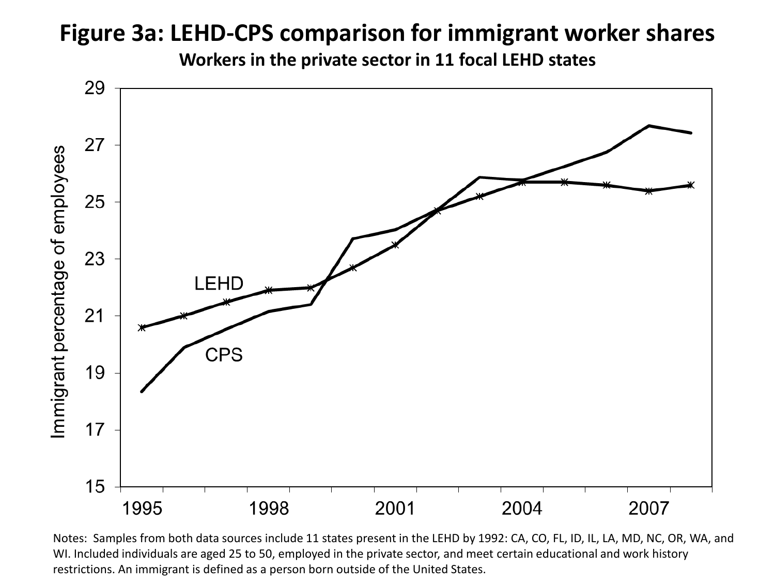# **Figure 3a: LEHD-CPS comparison for immigrant worker shares**

**Workers in the private sector in 11 focal LEHD states**



Notes: Samples from both data sources include 11 states present in the LEHD by 1992: CA, CO, FL, ID, IL, LA, MD, NC, OR, WA, and WI. Included individuals are aged 25 to 50, employed in the private sector, and meet certain educational and work history restrictions. An immigrant is defined as a person born outside of the United States.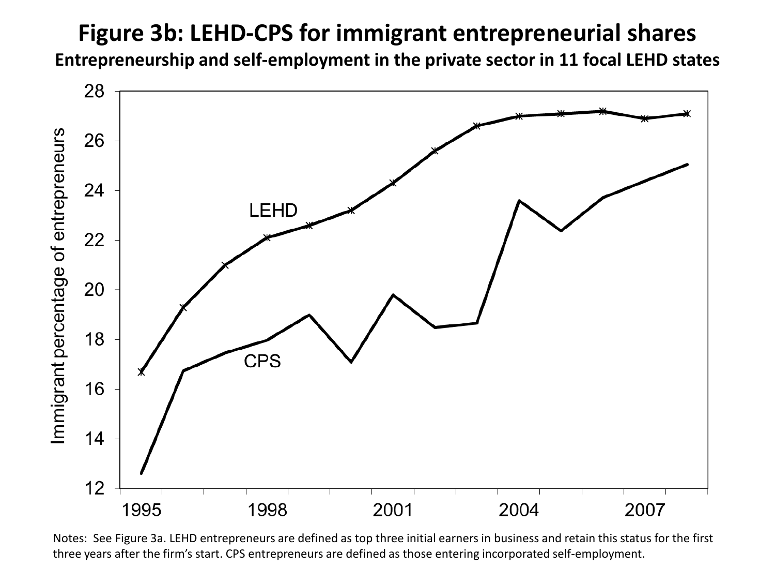# **Figure 3b: LEHD-CPS for immigrant entrepreneurial shares**

**Entrepreneurship and self-employment in the private sector in 11 focal LEHD states**



Notes: See Figure 3a. LEHD entrepreneurs are defined as top three initial earners in business and retain this status for the first three years after the firm's start. CPS entrepreneurs are defined as those entering incorporated self-employment.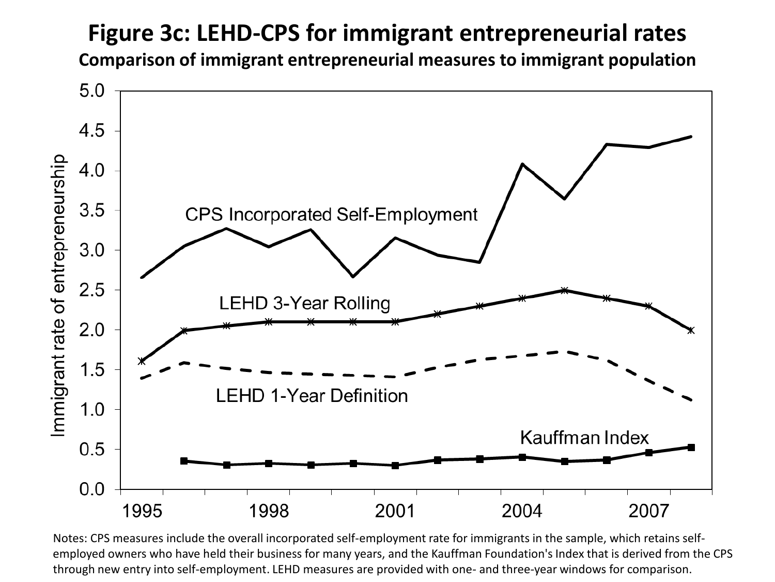# **Figure 3c: LEHD-CPS for immigrant entrepreneurial rates**

**Comparison of immigrant entrepreneurial measures to immigrant population**



Notes: CPS measures include the overall incorporated self-employment rate for immigrants in the sample, which retains selfemployed owners who have held their business for many years, and the Kauffman Foundation's Index that is derived from the CPS through new entry into self-employment. LEHD measures are provided with one- and three-year windows for comparison.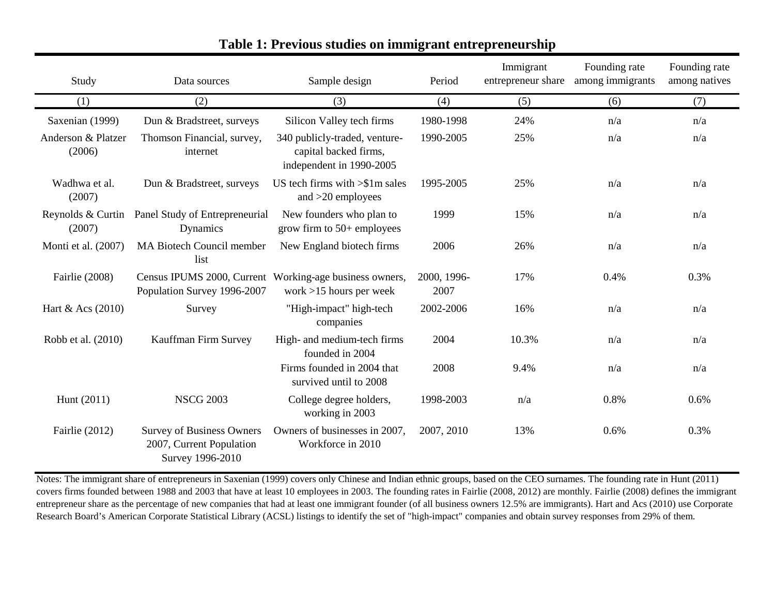| Study                        | Data sources                                                                     | Sample design                                                                        | Period              | Immigrant<br>entrepreneur share | Founding rate<br>among immigrants | Founding rate<br>among natives |
|------------------------------|----------------------------------------------------------------------------------|--------------------------------------------------------------------------------------|---------------------|---------------------------------|-----------------------------------|--------------------------------|
| (1)                          | (2)                                                                              | (3)                                                                                  | (4)                 | (5)                             | (6)                               | (7)                            |
| Saxenian (1999)              | Dun & Bradstreet, surveys                                                        | Silicon Valley tech firms                                                            | 1980-1998           | 24%                             | n/a                               | n/a                            |
| Anderson & Platzer<br>(2006) | Thomson Financial, survey,<br>internet                                           | 340 publicly-traded, venture-<br>capital backed firms,<br>independent in 1990-2005   | 1990-2005           | 25%                             | n/a                               | n/a                            |
| Wadhwa et al.<br>(2007)      | Dun & Bradstreet, surveys                                                        | US tech firms with $>\frac{1}{2}$ m sales<br>and $>20$ employees                     | 1995-2005           | 25%                             | n/a                               | n/a                            |
| Reynolds & Curtin<br>(2007)  | Panel Study of Entrepreneurial<br>Dynamics                                       | New founders who plan to<br>grow firm to $50+$ employees                             | 1999                | 15%                             | n/a                               | n/a                            |
| Monti et al. (2007)          | <b>MA Biotech Council member</b><br>list                                         | New England biotech firms                                                            | 2006                | 26%                             | n/a                               | n/a                            |
| Fairlie (2008)               | Population Survey 1996-2007                                                      | Census IPUMS 2000, Current Working-age business owners,<br>work $>15$ hours per week | 2000, 1996-<br>2007 | 17%                             | 0.4%                              | 0.3%                           |
| Hart & Acs (2010)            | Survey                                                                           | "High-impact" high-tech<br>companies                                                 | 2002-2006           | 16%                             | n/a                               | n/a                            |
| Robb et al. (2010)           | Kauffman Firm Survey                                                             | High- and medium-tech firms<br>founded in 2004                                       | 2004                | 10.3%                           | n/a                               | n/a                            |
|                              |                                                                                  | Firms founded in 2004 that<br>survived until to 2008                                 | 2008                | 9.4%                            | n/a                               | n/a                            |
| Hunt (2011)                  | <b>NSCG 2003</b>                                                                 | College degree holders,<br>working in 2003                                           | 1998-2003           | n/a                             | 0.8%                              | 0.6%                           |
| Fairlie (2012)               | <b>Survey of Business Owners</b><br>2007, Current Population<br>Survey 1996-2010 | Owners of businesses in 2007,<br>Workforce in 2010                                   | 2007, 2010          | 13%                             | 0.6%                              | 0.3%                           |

### **Table 1: Previous studies on immigrant entrepreneurship**

Notes: The immigrant share of entrepreneurs in Saxenian (1999) covers only Chinese and Indian ethnic groups, based on the CEO surnames. The founding rate in Hunt (2011) covers firms founded between 1988 and 2003 that have at least 10 employees in 2003. The founding rates in Fairlie (2008, 2012) are monthly. Fairlie (2008) defines the immigrant entrepreneur share as the percentage of new companies that had at least one immigrant founder (of all business owners 12.5% are immigrants). Hart and Acs (2010) use Corporate Research Board's American Corporate Statistical Library (ACSL) listings to identify the set of "high-impact" companies and obtain survey responses from 29% of them.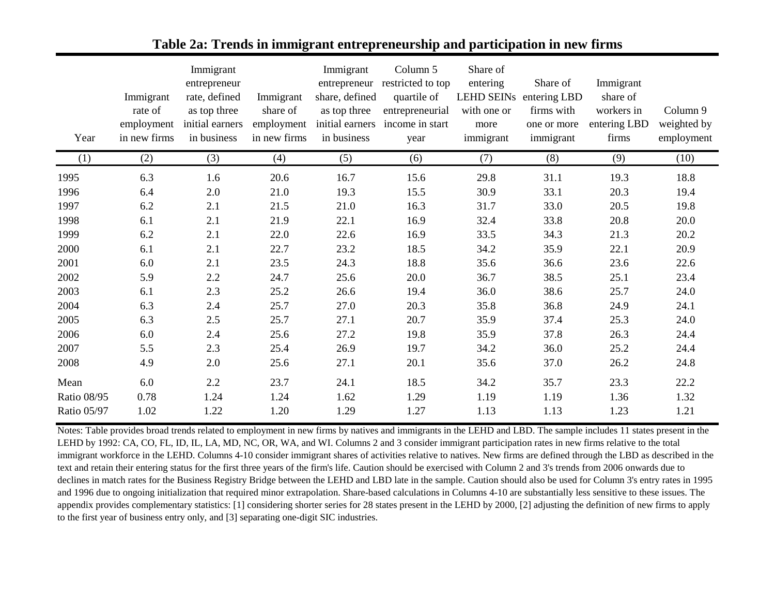| Year               | Immigrant<br>rate of<br>employment<br>in new firms | Immigrant<br>entrepreneur<br>rate, defined<br>as top three<br>initial earners<br>in business | Immigrant<br>share of<br>employment<br>in new firms | Immigrant<br>entrepreneur<br>share, defined<br>as top three<br>initial earners<br>in business | Column 5<br>restricted to top<br>quartile of<br>entrepreneurial<br>income in start<br>year | Share of<br>entering<br><b>LEHD SEINS</b><br>with one or<br>more<br>immigrant | Share of<br>entering LBD<br>firms with<br>one or more<br>immigrant | Immigrant<br>share of<br>workers in<br>entering LBD<br>firms | Column 9<br>weighted by<br>employment |
|--------------------|----------------------------------------------------|----------------------------------------------------------------------------------------------|-----------------------------------------------------|-----------------------------------------------------------------------------------------------|--------------------------------------------------------------------------------------------|-------------------------------------------------------------------------------|--------------------------------------------------------------------|--------------------------------------------------------------|---------------------------------------|
| (1)                | (2)                                                | (3)                                                                                          | (4)                                                 | (5)                                                                                           | (6)                                                                                        | (7)                                                                           | (8)                                                                | (9)                                                          | (10)                                  |
| 1995               | 6.3                                                | 1.6                                                                                          | 20.6                                                | 16.7                                                                                          | 15.6                                                                                       | 29.8                                                                          | 31.1                                                               | 19.3                                                         | 18.8                                  |
| 1996               | 6.4                                                | 2.0                                                                                          | 21.0                                                | 19.3                                                                                          | 15.5                                                                                       | 30.9                                                                          | 33.1                                                               | 20.3                                                         | 19.4                                  |
| 1997               | 6.2                                                | 2.1                                                                                          | 21.5                                                | 21.0                                                                                          | 16.3                                                                                       | 31.7                                                                          | 33.0                                                               | 20.5                                                         | 19.8                                  |
| 1998               | 6.1                                                | 2.1                                                                                          | 21.9                                                | 22.1                                                                                          | 16.9                                                                                       | 32.4                                                                          | 33.8                                                               | 20.8                                                         | 20.0                                  |
| 1999               | 6.2                                                | 2.1                                                                                          | 22.0                                                | 22.6                                                                                          | 16.9                                                                                       | 33.5                                                                          | 34.3                                                               | 21.3                                                         | 20.2                                  |
| 2000               | 6.1                                                | 2.1                                                                                          | 22.7                                                | 23.2                                                                                          | 18.5                                                                                       | 34.2                                                                          | 35.9                                                               | 22.1                                                         | 20.9                                  |
| 2001               | 6.0                                                | 2.1                                                                                          | 23.5                                                | 24.3                                                                                          | 18.8                                                                                       | 35.6                                                                          | 36.6                                                               | 23.6                                                         | 22.6                                  |
| 2002               | 5.9                                                | 2.2                                                                                          | 24.7                                                | 25.6                                                                                          | 20.0                                                                                       | 36.7                                                                          | 38.5                                                               | 25.1                                                         | 23.4                                  |
| 2003               | 6.1                                                | 2.3                                                                                          | 25.2                                                | 26.6                                                                                          | 19.4                                                                                       | 36.0                                                                          | 38.6                                                               | 25.7                                                         | 24.0                                  |
| 2004               | 6.3                                                | 2.4                                                                                          | 25.7                                                | 27.0                                                                                          | 20.3                                                                                       | 35.8                                                                          | 36.8                                                               | 24.9                                                         | 24.1                                  |
| 2005               | 6.3                                                | $2.5\,$                                                                                      | 25.7                                                | 27.1                                                                                          | 20.7                                                                                       | 35.9                                                                          | 37.4                                                               | 25.3                                                         | 24.0                                  |
| 2006               | 6.0                                                | 2.4                                                                                          | 25.6                                                | 27.2                                                                                          | 19.8                                                                                       | 35.9                                                                          | 37.8                                                               | 26.3                                                         | 24.4                                  |
| 2007               | 5.5                                                | 2.3                                                                                          | 25.4                                                | 26.9                                                                                          | 19.7                                                                                       | 34.2                                                                          | 36.0                                                               | 25.2                                                         | 24.4                                  |
| 2008               | 4.9                                                | 2.0                                                                                          | 25.6                                                | 27.1                                                                                          | 20.1                                                                                       | 35.6                                                                          | 37.0                                                               | 26.2                                                         | 24.8                                  |
| Mean               | 6.0                                                | 2.2                                                                                          | 23.7                                                | 24.1                                                                                          | 18.5                                                                                       | 34.2                                                                          | 35.7                                                               | 23.3                                                         | 22.2                                  |
| <b>Ratio 08/95</b> | 0.78                                               | 1.24                                                                                         | 1.24                                                | 1.62                                                                                          | 1.29                                                                                       | 1.19                                                                          | 1.19                                                               | 1.36                                                         | 1.32                                  |
| <b>Ratio 05/97</b> | 1.02                                               | 1.22                                                                                         | 1.20                                                | 1.29                                                                                          | 1.27                                                                                       | 1.13                                                                          | 1.13                                                               | 1.23                                                         | 1.21                                  |

#### **Table 2a: Trends in immigrant entrepreneurship and participation in new firms**

Notes: Table provides broad trends related to employment in new firms by natives and immigrants in the LEHD and LBD. The sample includes 11 states present in the LEHD by 1992: CA, CO, FL, ID, IL, LA, MD, NC, OR, WA, and WI. Columns 2 and 3 consider immigrant participation rates in new firms relative to the total immigrant workforce in the LEHD. Columns 4-10 consider immigrant shares of activities relative to natives. New firms are defined through the LBD as described in the text and retain their entering status for the first three years of the firm's life. Caution should be exercised with Column 2 and 3's trends from 2006 onwards due to declines in match rates for the Business Registry Bridge between the LEHD and LBD late in the sample. Caution should also be used for Column 3's entry rates in 1995 and 1996 due to ongoing initialization that required minor extrapolation. Share-based calculations in Columns 4-10 are substantially less sensitive to these issues. The appendix provides complementary statistics: [1] considering shorter series for 28 states present in the LEHD by 2000, [2] adjusting the definition of new firms to apply to the first year of business entry only, and [3] separating one-digit SIC industries.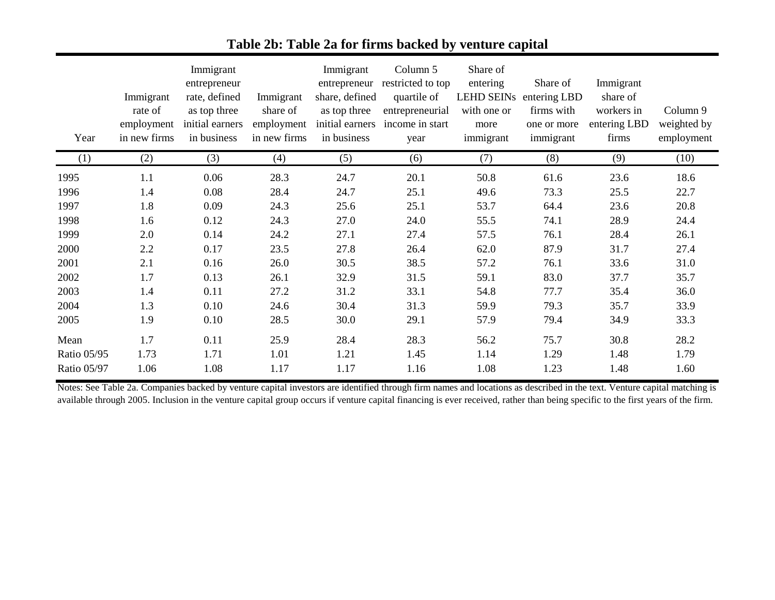| Year               | Immigrant<br>rate of<br>employment<br>in new firms | Immigrant<br>entrepreneur<br>rate, defined<br>as top three<br>initial earners<br>in business | Immigrant<br>share of<br>employment<br>in new firms | Immigrant<br>entrepreneur<br>share, defined<br>as top three<br>initial earners<br>in business | Column 5<br>restricted to top<br>quartile of<br>entrepreneurial<br>income in start<br>year | Share of<br>entering<br><b>LEHD SEINs</b><br>with one or<br>more<br>immigrant | Share of<br>entering LBD<br>firms with<br>one or more<br>immigrant | Immigrant<br>share of<br>workers in<br>entering LBD<br>firms | Column 9<br>weighted by<br>employment |
|--------------------|----------------------------------------------------|----------------------------------------------------------------------------------------------|-----------------------------------------------------|-----------------------------------------------------------------------------------------------|--------------------------------------------------------------------------------------------|-------------------------------------------------------------------------------|--------------------------------------------------------------------|--------------------------------------------------------------|---------------------------------------|
| (1)                | (2)                                                | (3)                                                                                          | (4)                                                 | (5)                                                                                           | (6)                                                                                        | (7)                                                                           | (8)                                                                | (9)                                                          | (10)                                  |
| 1995               | 1.1                                                | 0.06                                                                                         | 28.3                                                | 24.7                                                                                          | 20.1                                                                                       | 50.8                                                                          | 61.6                                                               | 23.6                                                         | 18.6                                  |
| 1996               | 1.4                                                | 0.08                                                                                         | 28.4                                                | 24.7                                                                                          | 25.1                                                                                       | 49.6                                                                          | 73.3                                                               | 25.5                                                         | 22.7                                  |
| 1997               | 1.8                                                | 0.09                                                                                         | 24.3                                                | 25.6                                                                                          | 25.1                                                                                       | 53.7                                                                          | 64.4                                                               | 23.6                                                         | 20.8                                  |
| 1998               | 1.6                                                | 0.12                                                                                         | 24.3                                                | 27.0                                                                                          | 24.0                                                                                       | 55.5                                                                          | 74.1                                                               | 28.9                                                         | 24.4                                  |
| 1999               | 2.0                                                | 0.14                                                                                         | 24.2                                                | 27.1                                                                                          | 27.4                                                                                       | 57.5                                                                          | 76.1                                                               | 28.4                                                         | 26.1                                  |
| 2000               | $2.2\,$                                            | 0.17                                                                                         | 23.5                                                | 27.8                                                                                          | 26.4                                                                                       | 62.0                                                                          | 87.9                                                               | 31.7                                                         | 27.4                                  |
| 2001               | 2.1                                                | 0.16                                                                                         | 26.0                                                | 30.5                                                                                          | 38.5                                                                                       | 57.2                                                                          | 76.1                                                               | 33.6                                                         | 31.0                                  |
| 2002               | 1.7                                                | 0.13                                                                                         | 26.1                                                | 32.9                                                                                          | 31.5                                                                                       | 59.1                                                                          | 83.0                                                               | 37.7                                                         | 35.7                                  |
| 2003               | 1.4                                                | 0.11                                                                                         | 27.2                                                | 31.2                                                                                          | 33.1                                                                                       | 54.8                                                                          | 77.7                                                               | 35.4                                                         | 36.0                                  |
| 2004               | 1.3                                                | 0.10                                                                                         | 24.6                                                | 30.4                                                                                          | 31.3                                                                                       | 59.9                                                                          | 79.3                                                               | 35.7                                                         | 33.9                                  |
| 2005               | 1.9                                                | 0.10                                                                                         | 28.5                                                | 30.0                                                                                          | 29.1                                                                                       | 57.9                                                                          | 79.4                                                               | 34.9                                                         | 33.3                                  |
| Mean               | 1.7                                                | 0.11                                                                                         | 25.9                                                | 28.4                                                                                          | 28.3                                                                                       | 56.2                                                                          | 75.7                                                               | 30.8                                                         | 28.2                                  |
| <b>Ratio 05/95</b> | 1.73                                               | 1.71                                                                                         | 1.01                                                | 1.21                                                                                          | 1.45                                                                                       | 1.14                                                                          | 1.29                                                               | 1.48                                                         | 1.79                                  |
| <b>Ratio 05/97</b> | 1.06                                               | 1.08                                                                                         | 1.17                                                | 1.17                                                                                          | 1.16                                                                                       | 1.08                                                                          | 1.23                                                               | 1.48                                                         | 1.60                                  |

# **Table 2b: Table 2a for firms backed by venture capital**

Notes: See Table 2a. Companies backed by venture capital investors are identified through firm names and locations as described in the text. Venture capital matching is available through 2005. Inclusion in the venture capital group occurs if venture capital financing is ever received, rather than being specific to the first years of the firm.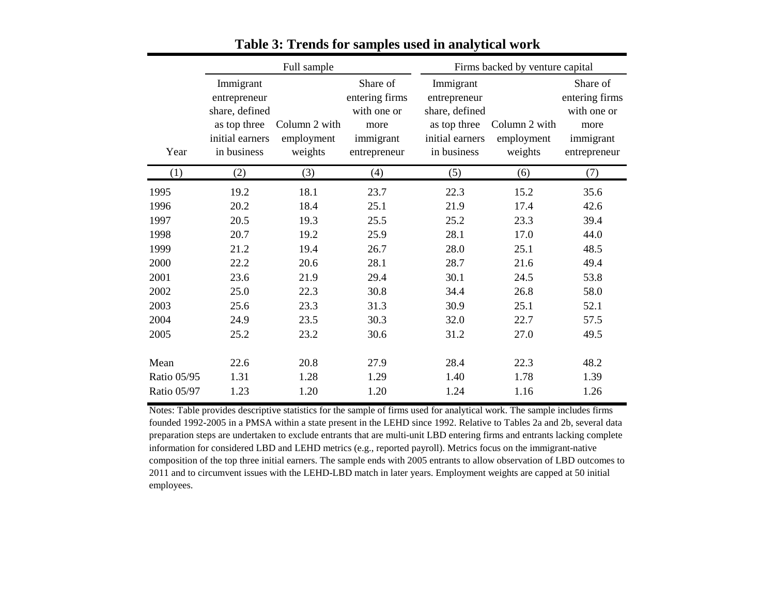|             |                                                                                               | Full sample                            |                                                                                | Firms backed by venture capital                                                               |                                        |                                                                                |  |
|-------------|-----------------------------------------------------------------------------------------------|----------------------------------------|--------------------------------------------------------------------------------|-----------------------------------------------------------------------------------------------|----------------------------------------|--------------------------------------------------------------------------------|--|
| Year        | Immigrant<br>entrepreneur<br>share, defined<br>as top three<br>initial earners<br>in business | Column 2 with<br>employment<br>weights | Share of<br>entering firms<br>with one or<br>more<br>immigrant<br>entrepreneur | Immigrant<br>entrepreneur<br>share, defined<br>as top three<br>initial earners<br>in business | Column 2 with<br>employment<br>weights | Share of<br>entering firms<br>with one or<br>more<br>immigrant<br>entrepreneur |  |
| (1)         | (2)                                                                                           | (3)                                    | (4)                                                                            | (5)                                                                                           | (6)                                    | (7)                                                                            |  |
| 1995        | 19.2                                                                                          | 18.1                                   | 23.7                                                                           | 22.3                                                                                          | 15.2                                   | 35.6                                                                           |  |
| 1996        | 20.2                                                                                          | 18.4                                   | 25.1                                                                           | 21.9                                                                                          | 17.4                                   | 42.6                                                                           |  |
| 1997        | 20.5                                                                                          | 19.3                                   | 25.5                                                                           | 25.2                                                                                          | 23.3                                   | 39.4                                                                           |  |
| 1998        | 20.7                                                                                          | 19.2                                   | 25.9                                                                           | 28.1                                                                                          | 17.0                                   | 44.0                                                                           |  |
| 1999        | 21.2                                                                                          | 19.4                                   | 26.7                                                                           | 28.0                                                                                          | 25.1                                   | 48.5                                                                           |  |
| 2000        | 22.2                                                                                          | 20.6                                   | 28.1                                                                           | 28.7                                                                                          | 21.6                                   | 49.4                                                                           |  |
| 2001        | 23.6                                                                                          | 21.9                                   | 29.4                                                                           | 30.1                                                                                          | 24.5                                   | 53.8                                                                           |  |
| 2002        | 25.0                                                                                          | 22.3                                   | 30.8                                                                           | 34.4                                                                                          | 26.8                                   | 58.0                                                                           |  |
| 2003        | 25.6                                                                                          | 23.3                                   | 31.3                                                                           | 30.9                                                                                          | 25.1                                   | 52.1                                                                           |  |
| 2004        | 24.9                                                                                          | 23.5                                   | 30.3                                                                           | 32.0                                                                                          | 22.7                                   | 57.5                                                                           |  |
| 2005        | 25.2                                                                                          | 23.2                                   | 30.6                                                                           | 31.2                                                                                          | 27.0                                   | 49.5                                                                           |  |
| Mean        | 22.6                                                                                          | 20.8                                   | 27.9                                                                           | 28.4                                                                                          | 22.3                                   | 48.2                                                                           |  |
| Ratio 05/95 | 1.31                                                                                          | 1.28                                   | 1.29                                                                           | 1.40                                                                                          | 1.78                                   | 1.39                                                                           |  |
| Ratio 05/97 | 1.23                                                                                          | 1.20                                   | 1.20                                                                           | 1.24                                                                                          | 1.16                                   | 1.26                                                                           |  |

**Table 3: Trends for samples used in analytical work**

Notes: Table provides descriptive statistics for the sample of firms used for analytical work. The sample includes firms founded 1992-2005 in a PMSA within a state present in the LEHD since 1992. Relative to Tables 2a and 2b, several data preparation steps are undertaken to exclude entrants that are multi-unit LBD entering firms and entrants lacking complete information for considered LBD and LEHD metrics (e.g., reported payroll). Metrics focus on the immigrant-native composition of the top three initial earners. The sample ends with 2005 entrants to allow observation of LBD outcomes to 2011 and to circumvent issues with the LEHD-LBD match in later years. Employment weights are capped at 50 initial employees.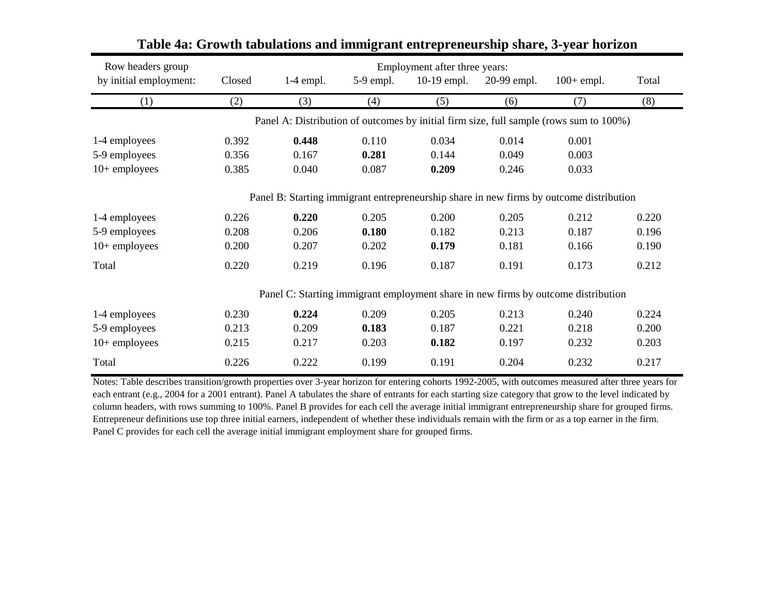| Row headers group      |        |             |             | Employment after three years: |             |                                                                                         |       |
|------------------------|--------|-------------|-------------|-------------------------------|-------------|-----------------------------------------------------------------------------------------|-------|
| by initial employment: | Closed | $1-4$ empl. | $5-9$ empl. | 10-19 empl.                   | 20-99 empl. | $100+$ empl.                                                                            | Total |
| (1)                    | (2)    | (3)         | (4)         | (5)                           | (6)         | (7)                                                                                     | (8)   |
|                        |        |             |             |                               |             | Panel A: Distribution of outcomes by initial firm size, full sample (rows sum to 100%)  |       |
| 1-4 employees          | 0.392  | 0.448       | 0.110       | 0.034                         | 0.014       | 0.001                                                                                   |       |
| 5-9 employees          | 0.356  | 0.167       | 0.281       | 0.144                         | 0.049       | 0.003                                                                                   |       |
| $10+$ employees        | 0.385  | 0.040       | 0.087       | 0.209                         | 0.246       | 0.033                                                                                   |       |
|                        |        |             |             |                               |             | Panel B: Starting immigrant entrepreneurship share in new firms by outcome distribution |       |
| 1-4 employees          | 0.226  | 0.220       | 0.205       | 0.200                         | 0.205       | 0.212                                                                                   | 0.220 |
| 5-9 employees          | 0.208  | 0.206       | 0.180       | 0.182                         | 0.213       | 0.187                                                                                   | 0.196 |
| $10+$ employees        | 0.200  | 0.207       | 0.202       | 0.179                         | 0.181       | 0.166                                                                                   | 0.190 |
| Total                  | 0.220  | 0.219       | 0.196       | 0.187                         | 0.191       | 0.173                                                                                   | 0.212 |
|                        |        |             |             |                               |             | Panel C: Starting immigrant employment share in new firms by outcome distribution       |       |
| 1-4 employees          | 0.230  | 0.224       | 0.209       | 0.205                         | 0.213       | 0.240                                                                                   | 0.224 |
| 5-9 employees          | 0.213  | 0.209       | 0.183       | 0.187                         | 0.221       | 0.218                                                                                   | 0.200 |
| $10+$ employees        | 0.215  | 0.217       | 0.203       | 0.182                         | 0.197       | 0.232                                                                                   | 0.203 |
| Total                  | 0.226  | 0.222       | 0.199       | 0.191                         | 0.204       | 0.232                                                                                   | 0.217 |

### **Table 4a: Growth tabulations and immigrant entrepreneurship share, 3-year horizon**

Notes: Table describes transition/growth properties over 3-year horizon for entering cohorts 1992-2005, with outcomes measured after three years for each entrant (e.g., 2004 for a 2001 entrant). Panel A tabulates the share of entrants for each starting size category that grow to the level indicated by column headers, with rows summing to 100%. Panel B provides for each cell the average initial immigrant entrepreneurship share for grouped firms. Entrepreneur definitions use top three initial earners, independent of whether these individuals remain with the firm or as a top earner in the firm. Panel C provides for each cell the average initial immigrant employment share for grouped firms.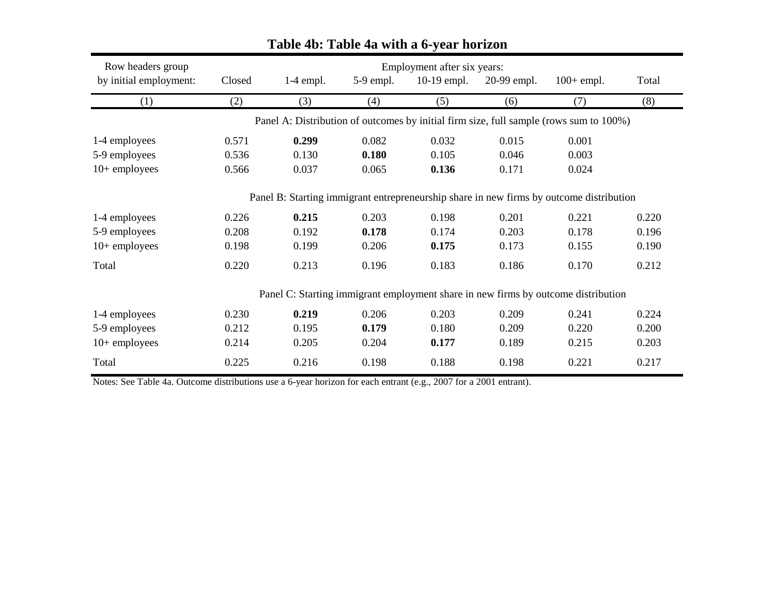| Row headers group      |        |             |             | Employment after six years: |             |                                                                                         |       |
|------------------------|--------|-------------|-------------|-----------------------------|-------------|-----------------------------------------------------------------------------------------|-------|
| by initial employment: | Closed | $1-4$ empl. | $5-9$ empl. | $10-19$ empl.               | 20-99 empl. | $100+$ empl.                                                                            | Total |
| (1)                    | (2)    | (3)         | (4)         | (5)                         | (6)         | (7)                                                                                     | (8)   |
|                        |        |             |             |                             |             | Panel A: Distribution of outcomes by initial firm size, full sample (rows sum to 100%)  |       |
| 1-4 employees          | 0.571  | 0.299       | 0.082       | 0.032                       | 0.015       | 0.001                                                                                   |       |
| 5-9 employees          | 0.536  | 0.130       | 0.180       | 0.105                       | 0.046       | 0.003                                                                                   |       |
| $10+$ employees        | 0.566  | 0.037       | 0.065       | 0.136                       | 0.171       | 0.024                                                                                   |       |
|                        |        |             |             |                             |             | Panel B: Starting immigrant entrepreneurship share in new firms by outcome distribution |       |
| 1-4 employees          | 0.226  | 0.215       | 0.203       | 0.198                       | 0.201       | 0.221                                                                                   | 0.220 |
| 5-9 employees          | 0.208  | 0.192       | 0.178       | 0.174                       | 0.203       | 0.178                                                                                   | 0.196 |
| $10+$ employees        | 0.198  | 0.199       | 0.206       | 0.175                       | 0.173       | 0.155                                                                                   | 0.190 |
| Total                  | 0.220  | 0.213       | 0.196       | 0.183                       | 0.186       | 0.170                                                                                   | 0.212 |
|                        |        |             |             |                             |             | Panel C: Starting immigrant employment share in new firms by outcome distribution       |       |
| 1-4 employees          | 0.230  | 0.219       | 0.206       | 0.203                       | 0.209       | 0.241                                                                                   | 0.224 |
| 5-9 employees          | 0.212  | 0.195       | 0.179       | 0.180                       | 0.209       | 0.220                                                                                   | 0.200 |
| $10+$ employees        | 0.214  | 0.205       | 0.204       | 0.177                       | 0.189       | 0.215                                                                                   | 0.203 |
| Total                  | 0.225  | 0.216       | 0.198       | 0.188                       | 0.198       | 0.221                                                                                   | 0.217 |

# **Table 4b: Table 4a with a 6-year horizon**

Notes: See Table 4a. Outcome distributions use a 6-year horizon for each entrant (e.g., 2007 for a 2001 entrant).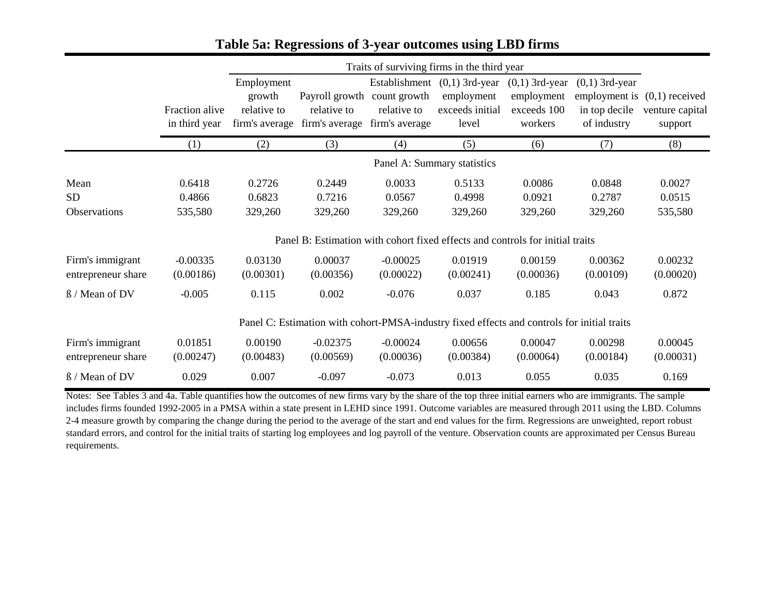|                                        |                                 | Traits of surviving firms in the third year           |                                                                                             |                                               |                                                                          |                                                          |                                                  |                                                              |
|----------------------------------------|---------------------------------|-------------------------------------------------------|---------------------------------------------------------------------------------------------|-----------------------------------------------|--------------------------------------------------------------------------|----------------------------------------------------------|--------------------------------------------------|--------------------------------------------------------------|
|                                        | Fraction alive<br>in third year | Employment<br>growth<br>relative to<br>firm's average | Payroll growth<br>relative to<br>firm's average                                             | count growth<br>relative to<br>firm's average | Establishment $(0,1)$ 3rd-year<br>employment<br>exceeds initial<br>level | $(0,1)$ 3rd-year<br>employment<br>exceeds 100<br>workers | $(0,1)$ 3rd-year<br>in top decile<br>of industry | employment is $(0,1)$ received<br>venture capital<br>support |
|                                        | (1)                             | (2)                                                   | (3)                                                                                         | (4)                                           | (5)                                                                      | (6)                                                      | (7)                                              | (8)                                                          |
|                                        |                                 |                                                       |                                                                                             |                                               | Panel A: Summary statistics                                              |                                                          |                                                  |                                                              |
| Mean<br><b>SD</b><br>Observations      | 0.6418<br>0.4866<br>535,580     | 0.2726<br>0.6823<br>329,260                           | 0.2449<br>0.7216<br>329,260                                                                 | 0.0033<br>0.0567<br>329,260                   | 0.5133<br>0.4998<br>329,260                                              | 0.0086<br>0.0921<br>329,260                              | 0.0848<br>0.2787<br>329,260                      | 0.0027<br>0.0515<br>535,580                                  |
|                                        |                                 |                                                       | Panel B: Estimation with cohort fixed effects and controls for initial traits               |                                               |                                                                          |                                                          |                                                  |                                                              |
| Firm's immigrant<br>entrepreneur share | $-0.00335$<br>(0.00186)         | 0.03130<br>(0.00301)                                  | 0.00037<br>(0.00356)                                                                        | $-0.00025$<br>(0.00022)                       | 0.01919<br>(0.00241)                                                     | 0.00159<br>(0.00036)                                     | 0.00362<br>(0.00109)                             | 0.00232<br>(0.00020)                                         |
| ß / Mean of DV                         | $-0.005$                        | 0.115                                                 | 0.002                                                                                       | $-0.076$                                      | 0.037                                                                    | 0.185                                                    | 0.043                                            | 0.872                                                        |
|                                        |                                 |                                                       | Panel C: Estimation with cohort-PMSA-industry fixed effects and controls for initial traits |                                               |                                                                          |                                                          |                                                  |                                                              |
| Firm's immigrant<br>entrepreneur share | 0.01851<br>(0.00247)            | 0.00190<br>(0.00483)                                  | $-0.02375$<br>(0.00569)                                                                     | $-0.00024$<br>(0.00036)                       | 0.00656<br>(0.00384)                                                     | 0.00047<br>(0.00064)                                     | 0.00298<br>(0.00184)                             | 0.00045<br>(0.00031)                                         |
| ß / Mean of DV                         | 0.029                           | 0.007                                                 | $-0.097$                                                                                    | $-0.073$                                      | 0.013                                                                    | 0.055                                                    | 0.035                                            | 0.169                                                        |

#### **Table 5a: Regressions of 3-year outcomes using LBD firms**

Notes: See Tables 3 and 4a. Table quantifies how the outcomes of new firms vary by the share of the top three initial earners who are immigrants. The sample includes firms founded 1992-2005 in a PMSA within a state present in LEHD since 1991. Outcome variables are measured through 2011 using the LBD. Columns 2-4 measure growth by comparing the change during the period to the average of the start and end values for the firm. Regressions are unweighted, report robust standard errors, and control for the initial traits of starting log employees and log payroll of the venture. Observation counts are approximated per Census Bureau requirements.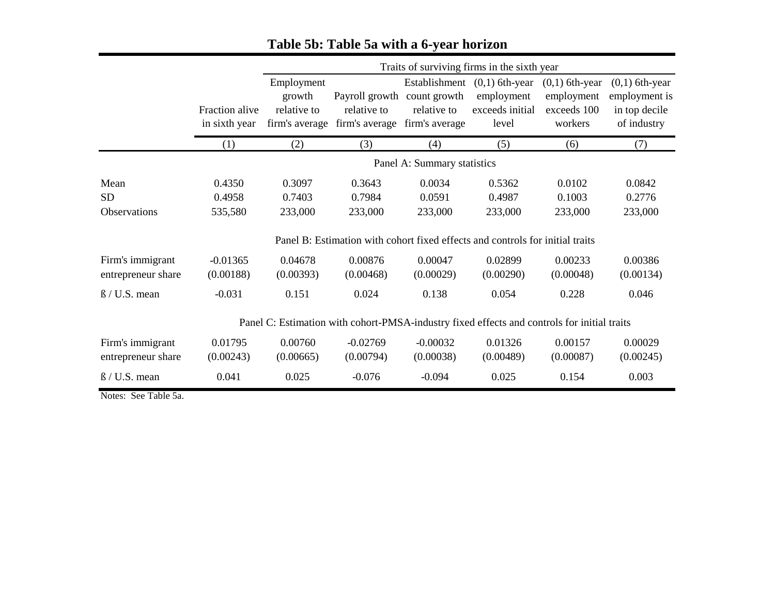|                                        |                                 |                                                       | Traits of surviving firms in the sixth year                                                 |                                                                |                                                            |                                                          |                                                                   |  |  |
|----------------------------------------|---------------------------------|-------------------------------------------------------|---------------------------------------------------------------------------------------------|----------------------------------------------------------------|------------------------------------------------------------|----------------------------------------------------------|-------------------------------------------------------------------|--|--|
|                                        | Fraction alive<br>in sixth year | Employment<br>growth<br>relative to<br>firm's average | Payroll growth<br>relative to<br>firm's average                                             | Establishment<br>count growth<br>relative to<br>firm's average | $(0,1)$ 6th-year<br>employment<br>exceeds initial<br>level | $(0,1)$ 6th-year<br>employment<br>exceeds 100<br>workers | $(0,1)$ 6th-year<br>employment is<br>in top decile<br>of industry |  |  |
|                                        | (1)                             | (2)                                                   | (3)                                                                                         | (4)                                                            | (5)                                                        | (6)                                                      | (7)                                                               |  |  |
|                                        |                                 |                                                       |                                                                                             | Panel A: Summary statistics                                    |                                                            |                                                          |                                                                   |  |  |
| Mean<br><b>SD</b><br>Observations      | 0.4350<br>0.4958<br>535,580     | 0.3097<br>0.7403<br>233,000                           | 0.3643<br>0.7984<br>233,000                                                                 | 0.0034<br>0.0591<br>233,000                                    | 0.5362<br>0.4987<br>233,000                                | 0.0102<br>0.1003<br>233,000                              | 0.0842<br>0.2776<br>233,000                                       |  |  |
|                                        |                                 |                                                       | Panel B: Estimation with cohort fixed effects and controls for initial traits               |                                                                |                                                            |                                                          |                                                                   |  |  |
| Firm's immigrant<br>entrepreneur share | $-0.01365$<br>(0.00188)         | 0.04678<br>(0.00393)                                  | 0.00876<br>(0.00468)                                                                        | 0.00047<br>(0.00029)                                           | 0.02899<br>(0.00290)                                       | 0.00233<br>(0.00048)                                     | 0.00386<br>(0.00134)                                              |  |  |
| $\beta$ / U.S. mean                    | $-0.031$                        | 0.151                                                 | 0.024                                                                                       | 0.138                                                          | 0.054                                                      | 0.228                                                    | 0.046                                                             |  |  |
|                                        |                                 |                                                       | Panel C: Estimation with cohort-PMSA-industry fixed effects and controls for initial traits |                                                                |                                                            |                                                          |                                                                   |  |  |
| Firm's immigrant<br>entrepreneur share | 0.01795<br>(0.00243)            | 0.00760<br>(0.00665)                                  | $-0.02769$<br>(0.00794)                                                                     | $-0.00032$<br>(0.00038)                                        | 0.01326<br>(0.00489)                                       | 0.00157<br>(0.00087)                                     | 0.00029<br>(0.00245)                                              |  |  |
| $\beta$ / U.S. mean                    | 0.041                           | 0.025                                                 | $-0.076$                                                                                    | $-0.094$                                                       | 0.025                                                      | 0.154                                                    | 0.003                                                             |  |  |

# **Table 5b: Table 5a with a 6-year horizon**

Notes: See Table 5a.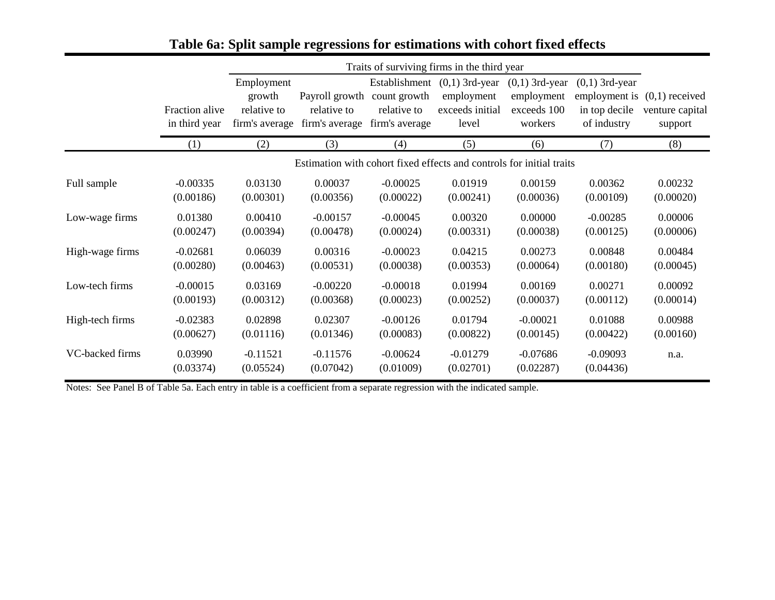|                 |                                 | Traits of surviving firms in the third year           |                                                                      |                                               |                                                                          |                                                          |                                                                                    |                            |  |
|-----------------|---------------------------------|-------------------------------------------------------|----------------------------------------------------------------------|-----------------------------------------------|--------------------------------------------------------------------------|----------------------------------------------------------|------------------------------------------------------------------------------------|----------------------------|--|
|                 | Fraction alive<br>in third year | Employment<br>growth<br>relative to<br>firm's average | Payroll growth<br>relative to<br>firm's average                      | count growth<br>relative to<br>firm's average | Establishment $(0,1)$ 3rd-year<br>employment<br>exceeds initial<br>level | $(0,1)$ 3rd-year<br>employment<br>exceeds 100<br>workers | $(0,1)$ 3rd-year<br>employment is $(0,1)$ received<br>in top decile<br>of industry | venture capital<br>support |  |
|                 | (1)                             | (2)                                                   | (3)                                                                  | (4)                                           | (5)                                                                      | (6)                                                      | (7)                                                                                | (8)                        |  |
|                 |                                 |                                                       | Estimation with cohort fixed effects and controls for initial traits |                                               |                                                                          |                                                          |                                                                                    |                            |  |
| Full sample     | $-0.00335$                      | 0.03130                                               | 0.00037                                                              | $-0.00025$                                    | 0.01919                                                                  | 0.00159                                                  | 0.00362                                                                            | 0.00232                    |  |
|                 | (0.00186)                       | (0.00301)                                             | (0.00356)                                                            | (0.00022)                                     | (0.00241)                                                                | (0.00036)                                                | (0.00109)                                                                          | (0.00020)                  |  |
| Low-wage firms  | 0.01380                         | 0.00410                                               | $-0.00157$                                                           | $-0.00045$                                    | 0.00320                                                                  | 0.00000                                                  | $-0.00285$                                                                         | 0.00006                    |  |
|                 | (0.00247)                       | (0.00394)                                             | (0.00478)                                                            | (0.00024)                                     | (0.00331)                                                                | (0.00038)                                                | (0.00125)                                                                          | (0.00006)                  |  |
| High-wage firms | $-0.02681$                      | 0.06039                                               | 0.00316                                                              | $-0.00023$                                    | 0.04215                                                                  | 0.00273                                                  | 0.00848                                                                            | 0.00484                    |  |
|                 | (0.00280)                       | (0.00463)                                             | (0.00531)                                                            | (0.00038)                                     | (0.00353)                                                                | (0.00064)                                                | (0.00180)                                                                          | (0.00045)                  |  |
| Low-tech firms  | $-0.00015$                      | 0.03169                                               | $-0.00220$                                                           | $-0.00018$                                    | 0.01994                                                                  | 0.00169                                                  | 0.00271                                                                            | 0.00092                    |  |
|                 | (0.00193)                       | (0.00312)                                             | (0.00368)                                                            | (0.00023)                                     | (0.00252)                                                                | (0.00037)                                                | (0.00112)                                                                          | (0.00014)                  |  |
| High-tech firms | $-0.02383$                      | 0.02898                                               | 0.02307                                                              | $-0.00126$                                    | 0.01794                                                                  | $-0.00021$                                               | 0.01088                                                                            | 0.00988                    |  |
|                 | (0.00627)                       | (0.01116)                                             | (0.01346)                                                            | (0.00083)                                     | (0.00822)                                                                | (0.00145)                                                | (0.00422)                                                                          | (0.00160)                  |  |
| VC-backed firms | 0.03990<br>(0.03374)            | $-0.11521$<br>(0.05524)                               | $-0.11576$<br>(0.07042)                                              | $-0.00624$<br>(0.01009)                       | $-0.01279$<br>(0.02701)                                                  | $-0.07686$<br>(0.02287)                                  | $-0.09093$<br>(0.04436)                                                            | n.a.                       |  |

# **Table 6a: Split sample regressions for estimations with cohort fixed effects**

Notes: See Panel B of Table 5a. Each entry in table is a coefficient from a separate regression with the indicated sample.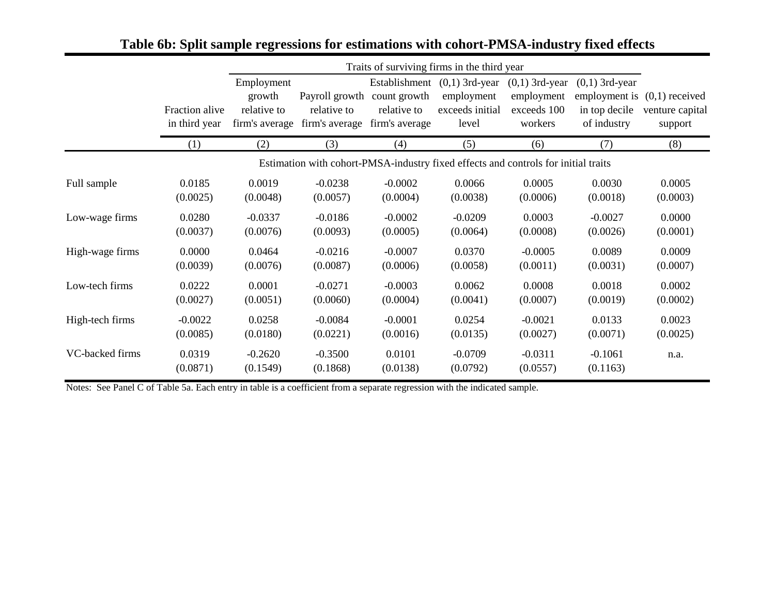|                 |                                 |                                                       | Traits of surviving firms in the third year                                        |                                               |                                                                          |                                                          |                                                                                    |                            |  |  |
|-----------------|---------------------------------|-------------------------------------------------------|------------------------------------------------------------------------------------|-----------------------------------------------|--------------------------------------------------------------------------|----------------------------------------------------------|------------------------------------------------------------------------------------|----------------------------|--|--|
|                 | Fraction alive<br>in third year | Employment<br>growth<br>relative to<br>firm's average | Payroll growth<br>relative to<br>firm's average                                    | count growth<br>relative to<br>firm's average | Establishment $(0,1)$ 3rd-year<br>employment<br>exceeds initial<br>level | $(0,1)$ 3rd-year<br>employment<br>exceeds 100<br>workers | $(0,1)$ 3rd-year<br>employment is $(0,1)$ received<br>in top decile<br>of industry | venture capital<br>support |  |  |
|                 | (1)                             | (2)                                                   | (3)                                                                                | (4)                                           | (5)                                                                      | (6)                                                      | (7)                                                                                | (8)                        |  |  |
|                 |                                 |                                                       | Estimation with cohort-PMSA-industry fixed effects and controls for initial traits |                                               |                                                                          |                                                          |                                                                                    |                            |  |  |
| Full sample     | 0.0185                          | 0.0019                                                | $-0.0238$                                                                          | $-0.0002$                                     | 0.0066                                                                   | 0.0005                                                   | 0.0030                                                                             | 0.0005                     |  |  |
|                 | (0.0025)                        | (0.0048)                                              | (0.0057)                                                                           | (0.0004)                                      | (0.0038)                                                                 | (0.0006)                                                 | (0.0018)                                                                           | (0.0003)                   |  |  |
| Low-wage firms  | 0.0280                          | $-0.0337$                                             | $-0.0186$                                                                          | $-0.0002$                                     | $-0.0209$                                                                | 0.0003                                                   | $-0.0027$                                                                          | 0.0000                     |  |  |
|                 | (0.0037)                        | (0.0076)                                              | (0.0093)                                                                           | (0.0005)                                      | (0.0064)                                                                 | (0.0008)                                                 | (0.0026)                                                                           | (0.0001)                   |  |  |
| High-wage firms | 0.0000                          | 0.0464                                                | $-0.0216$                                                                          | $-0.0007$                                     | 0.0370                                                                   | $-0.0005$                                                | 0.0089                                                                             | 0.0009                     |  |  |
|                 | (0.0039)                        | (0.0076)                                              | (0.0087)                                                                           | (0.0006)                                      | (0.0058)                                                                 | (0.0011)                                                 | (0.0031)                                                                           | (0.0007)                   |  |  |
| Low-tech firms  | 0.0222                          | 0.0001                                                | $-0.0271$                                                                          | $-0.0003$                                     | 0.0062                                                                   | 0.0008                                                   | 0.0018                                                                             | 0.0002                     |  |  |
|                 | (0.0027)                        | (0.0051)                                              | (0.0060)                                                                           | (0.0004)                                      | (0.0041)                                                                 | (0.0007)                                                 | (0.0019)                                                                           | (0.0002)                   |  |  |
| High-tech firms | $-0.0022$                       | 0.0258                                                | $-0.0084$                                                                          | $-0.0001$                                     | 0.0254                                                                   | $-0.0021$                                                | 0.0133                                                                             | 0.0023                     |  |  |
|                 | (0.0085)                        | (0.0180)                                              | (0.0221)                                                                           | (0.0016)                                      | (0.0135)                                                                 | (0.0027)                                                 | (0.0071)                                                                           | (0.0025)                   |  |  |
| VC-backed firms | 0.0319<br>(0.0871)              | $-0.2620$<br>(0.1549)                                 | $-0.3500$<br>(0.1868)                                                              | 0.0101<br>(0.0138)                            | $-0.0709$<br>(0.0792)                                                    | $-0.0311$<br>(0.0557)                                    | $-0.1061$<br>(0.1163)                                                              | n.a.                       |  |  |

# **Table 6b: Split sample regressions for estimations with cohort-PMSA-industry fixed effects**

Notes: See Panel C of Table 5a. Each entry in table is a coefficient from a separate regression with the indicated sample.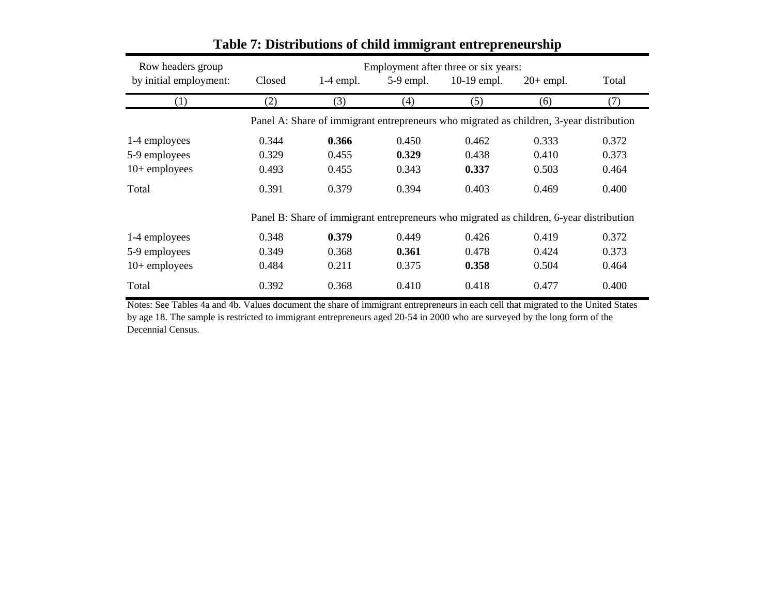| Row headers group      | Employment after three or six years: |             |                   |                                                                                         |             |       |  |
|------------------------|--------------------------------------|-------------|-------------------|-----------------------------------------------------------------------------------------|-------------|-------|--|
| by initial employment: | Closed                               | $1-4$ empl. | $5-9$ empl.       | 10-19 empl.                                                                             | $20+$ empl. | Total |  |
| (1)                    | (2)                                  | (3)         | $\left( 4\right)$ | (5)                                                                                     | (6)         | (7)   |  |
|                        |                                      |             |                   | Panel A: Share of immigrant entrepreneurs who migrated as children, 3-year distribution |             |       |  |
| 1-4 employees          | 0.344                                | 0.366       | 0.450             | 0.462                                                                                   | 0.333       | 0.372 |  |
| 5-9 employees          | 0.329                                | 0.455       | 0.329             | 0.438                                                                                   | 0.410       | 0.373 |  |
| $10+$ employees        | 0.493                                | 0.455       | 0.343             | 0.337                                                                                   | 0.503       | 0.464 |  |
| Total                  | 0.391                                | 0.379       | 0.394             | 0.403                                                                                   | 0.469       | 0.400 |  |
|                        |                                      |             |                   | Panel B: Share of immigrant entrepreneurs who migrated as children, 6-year distribution |             |       |  |
| 1-4 employees          | 0.348                                | 0.379       | 0.449             | 0.426                                                                                   | 0.419       | 0.372 |  |
| 5-9 employees          | 0.349                                | 0.368       | 0.361             | 0.478                                                                                   | 0.424       | 0.373 |  |
| $10+$ employees        | 0.484                                | 0.211       | 0.375             | 0.358                                                                                   | 0.504       | 0.464 |  |
| Total                  | 0.392                                | 0.368       | 0.410             | 0.418                                                                                   | 0.477       | 0.400 |  |

# **Table 7: Distributions of child immigrant entrepreneurship**

Notes: See Tables 4a and 4b. Values document the share of immigrant entrepreneurs in each cell that migrated to the United States by age 18. The sample is restricted to immigrant entrepreneurs aged 20-54 in 2000 who are surveyed by the long form of the Decennial Census.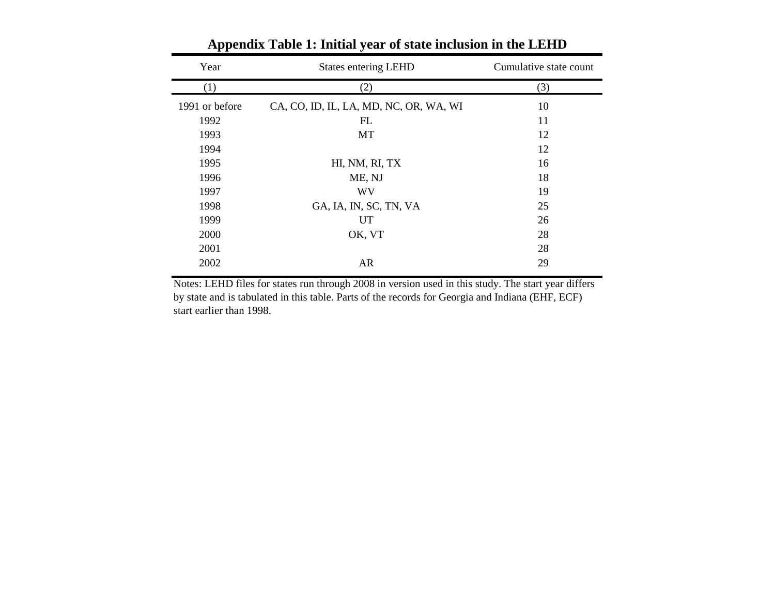| Year           | <b>States entering LEHD</b>            | Cumulative state count |
|----------------|----------------------------------------|------------------------|
| (1)            | (2)                                    | (3)                    |
| 1991 or before | CA, CO, ID, IL, LA, MD, NC, OR, WA, WI | 10                     |
| 1992           | FL                                     | 11                     |
| 1993           | MT                                     | 12                     |
| 1994           |                                        | 12                     |
| 1995           | HI, NM, RI, TX                         | 16                     |
| 1996           | ME, NJ                                 | 18                     |
| 1997           | <b>WV</b>                              | 19                     |
| 1998           | GA, IA, IN, SC, TN, VA                 | 25                     |
| 1999           | <b>UT</b>                              | 26                     |
| 2000           | OK, VT                                 | 28                     |
| 2001           |                                        | 28                     |
| 2002           | <b>AR</b>                              | 29                     |

**Appendix Table 1: Initial year of state inclusion in the LEHD**

Notes: LEHD files for states run through 2008 in version used in this study. The start year differs by state and is tabulated in this table. Parts of the records for Georgia and Indiana (EHF, ECF) start earlier than 1998.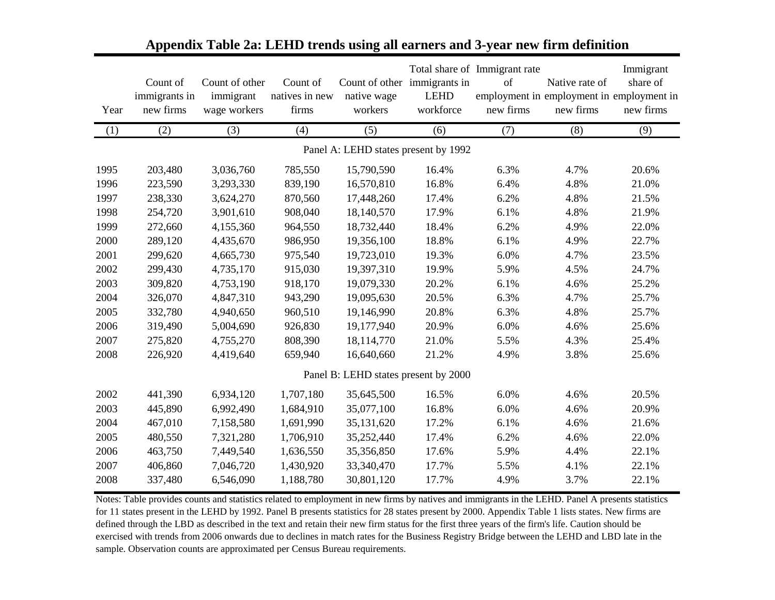| Year | Count of<br>immigrants in<br>new firms | Count of other<br>immigrant<br>wage workers | Count of<br>natives in new<br>firms | native wage<br>workers               | Count of other immigrants in<br><b>LEHD</b><br>workforce | Total share of Immigrant rate<br>of<br>new firms | Native rate of<br>employment in employment in employment in<br>new firms | Immigrant<br>share of<br>new firms |
|------|----------------------------------------|---------------------------------------------|-------------------------------------|--------------------------------------|----------------------------------------------------------|--------------------------------------------------|--------------------------------------------------------------------------|------------------------------------|
| (1)  | (2)                                    | (3)                                         | (4)                                 | (5)                                  | (6)                                                      | (7)                                              | (8)                                                                      | (9)                                |
|      |                                        |                                             |                                     | Panel A: LEHD states present by 1992 |                                                          |                                                  |                                                                          |                                    |
| 1995 | 203,480                                | 3,036,760                                   | 785,550                             | 15,790,590                           | 16.4%                                                    | 6.3%                                             | 4.7%                                                                     | 20.6%                              |
| 1996 | 223,590                                | 3,293,330                                   | 839,190                             | 16,570,810                           | 16.8%                                                    | 6.4%                                             | 4.8%                                                                     | 21.0%                              |
| 1997 | 238,330                                | 3,624,270                                   | 870,560                             | 17,448,260                           | 17.4%                                                    | 6.2%                                             | 4.8%                                                                     | 21.5%                              |
| 1998 | 254,720                                | 3,901,610                                   | 908,040                             | 18,140,570                           | 17.9%                                                    | 6.1%                                             | 4.8%                                                                     | 21.9%                              |
| 1999 | 272,660                                | 4,155,360                                   | 964,550                             | 18,732,440                           | 18.4%                                                    | 6.2%                                             | 4.9%                                                                     | 22.0%                              |
| 2000 | 289,120                                | 4,435,670                                   | 986,950                             | 19,356,100                           | 18.8%                                                    | 6.1%                                             | 4.9%                                                                     | 22.7%                              |
| 2001 | 299,620                                | 4,665,730                                   | 975,540                             | 19,723,010                           | 19.3%                                                    | 6.0%                                             | 4.7%                                                                     | 23.5%                              |
| 2002 | 299,430                                | 4,735,170                                   | 915,030                             | 19,397,310                           | 19.9%                                                    | 5.9%                                             | 4.5%                                                                     | 24.7%                              |
| 2003 | 309,820                                | 4,753,190                                   | 918,170                             | 19,079,330                           | 20.2%                                                    | 6.1%                                             | 4.6%                                                                     | 25.2%                              |
| 2004 | 326,070                                | 4,847,310                                   | 943,290                             | 19,095,630                           | 20.5%                                                    | 6.3%                                             | 4.7%                                                                     | 25.7%                              |
| 2005 | 332,780                                | 4,940,650                                   | 960,510                             | 19,146,990                           | 20.8%                                                    | 6.3%                                             | 4.8%                                                                     | 25.7%                              |
| 2006 | 319,490                                | 5,004,690                                   | 926,830                             | 19,177,940                           | 20.9%                                                    | 6.0%                                             | 4.6%                                                                     | 25.6%                              |
| 2007 | 275,820                                | 4,755,270                                   | 808,390                             | 18,114,770                           | 21.0%                                                    | 5.5%                                             | 4.3%                                                                     | 25.4%                              |
| 2008 | 226,920                                | 4,419,640                                   | 659,940                             | 16,640,660                           | 21.2%                                                    | 4.9%                                             | 3.8%                                                                     | 25.6%                              |
|      |                                        |                                             |                                     | Panel B: LEHD states present by 2000 |                                                          |                                                  |                                                                          |                                    |
| 2002 | 441,390                                | 6,934,120                                   | 1,707,180                           | 35,645,500                           | 16.5%                                                    | 6.0%                                             | 4.6%                                                                     | 20.5%                              |
| 2003 | 445,890                                | 6,992,490                                   | 1,684,910                           | 35,077,100                           | 16.8%                                                    | 6.0%                                             | 4.6%                                                                     | 20.9%                              |
| 2004 | 467,010                                | 7,158,580                                   | 1,691,990                           | 35,131,620                           | 17.2%                                                    | 6.1%                                             | 4.6%                                                                     | 21.6%                              |
| 2005 | 480,550                                | 7,321,280                                   | 1,706,910                           | 35,252,440                           | 17.4%                                                    | 6.2%                                             | 4.6%                                                                     | 22.0%                              |
| 2006 | 463,750                                | 7,449,540                                   | 1,636,550                           | 35,356,850                           | 17.6%                                                    | 5.9%                                             | 4.4%                                                                     | 22.1%                              |
| 2007 | 406,860                                | 7,046,720                                   | 1,430,920                           | 33,340,470                           | 17.7%                                                    | 5.5%                                             | 4.1%                                                                     | 22.1%                              |
| 2008 | 337,480                                | 6,546,090                                   | 1,188,780                           | 30,801,120                           | 17.7%                                                    | 4.9%                                             | 3.7%                                                                     | 22.1%                              |

#### **Appendix Table 2a: LEHD trends using all earners and 3-year new firm definition**

Notes: Table provides counts and statistics related to employment in new firms by natives and immigrants in the LEHD. Panel A presents statistics for 11 states present in the LEHD by 1992. Panel B presents statistics for 28 states present by 2000. Appendix Table 1 lists states. New firms are defined through the LBD as described in the text and retain their new firm status for the first three years of the firm's life. Caution should be exercised with trends from 2006 onwards due to declines in match rates for the Business Registry Bridge between the LEHD and LBD late in the sample. Observation counts are approximated per Census Bureau requirements.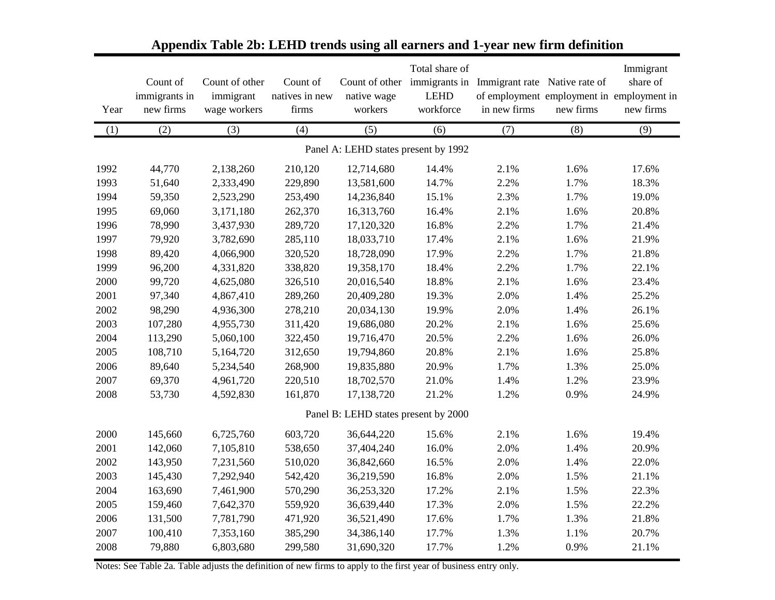|                                      | Count of<br>immigrants in | Count of other<br>immigrant | Count of<br>natives in new | native wage                          | Total share of<br>Count of other immigrants in<br><b>LEHD</b> | Immigrant rate Native rate of | of employment employment in employment in | Immigrant<br>share of |  |  |  |  |
|--------------------------------------|---------------------------|-----------------------------|----------------------------|--------------------------------------|---------------------------------------------------------------|-------------------------------|-------------------------------------------|-----------------------|--|--|--|--|
| Year                                 | new firms                 | wage workers                | firms                      | workers                              | workforce                                                     | in new firms                  | new firms                                 | new firms             |  |  |  |  |
| (1)                                  | (2)                       | (3)                         | (4)                        | (5)                                  | (6)                                                           | (7)                           | (8)                                       | (9)                   |  |  |  |  |
| Panel A: LEHD states present by 1992 |                           |                             |                            |                                      |                                                               |                               |                                           |                       |  |  |  |  |
| 1992                                 | 44,770                    | 2,138,260                   | 210,120                    | 12,714,680                           | 14.4%                                                         | 2.1%                          | 1.6%                                      | 17.6%                 |  |  |  |  |
| 1993                                 | 51,640                    | 2,333,490                   | 229,890                    | 13,581,600                           | 14.7%                                                         | 2.2%                          | 1.7%                                      | 18.3%                 |  |  |  |  |
| 1994                                 | 59,350                    | 2,523,290                   | 253,490                    | 14,236,840                           | 15.1%                                                         | 2.3%                          | 1.7%                                      | 19.0%                 |  |  |  |  |
| 1995                                 | 69,060                    | 3,171,180                   | 262,370                    | 16,313,760                           | 16.4%                                                         | 2.1%                          | 1.6%                                      | 20.8%                 |  |  |  |  |
| 1996                                 | 78,990                    | 3,437,930                   | 289,720                    | 17,120,320                           | 16.8%                                                         | 2.2%                          | 1.7%                                      | 21.4%                 |  |  |  |  |
| 1997                                 | 79,920                    | 3,782,690                   | 285,110                    | 18,033,710                           | 17.4%                                                         | 2.1%                          | 1.6%                                      | 21.9%                 |  |  |  |  |
| 1998                                 | 89,420                    | 4,066,900                   | 320,520                    | 18,728,090                           | 17.9%                                                         | 2.2%                          | 1.7%                                      | 21.8%                 |  |  |  |  |
| 1999                                 | 96,200                    | 4,331,820                   | 338,820                    | 19,358,170                           | 18.4%                                                         | 2.2%                          | 1.7%                                      | 22.1%                 |  |  |  |  |
| 2000                                 | 99,720                    | 4,625,080                   | 326,510                    | 20,016,540                           | 18.8%                                                         | 2.1%                          | 1.6%                                      | 23.4%                 |  |  |  |  |
| 2001                                 | 97,340                    | 4,867,410                   | 289,260                    | 20,409,280                           | 19.3%                                                         | 2.0%                          | 1.4%                                      | 25.2%                 |  |  |  |  |
| 2002                                 | 98,290                    | 4,936,300                   | 278,210                    | 20,034,130                           | 19.9%                                                         | 2.0%                          | 1.4%                                      | 26.1%                 |  |  |  |  |
| 2003                                 | 107,280                   | 4,955,730                   | 311,420                    | 19,686,080                           | 20.2%                                                         | 2.1%                          | 1.6%                                      | 25.6%                 |  |  |  |  |
| 2004                                 | 113,290                   | 5,060,100                   | 322,450                    | 19,716,470                           | 20.5%                                                         | 2.2%                          | 1.6%                                      | 26.0%                 |  |  |  |  |
| 2005                                 | 108,710                   | 5,164,720                   | 312,650                    | 19,794,860                           | 20.8%                                                         | 2.1%                          | 1.6%                                      | 25.8%                 |  |  |  |  |
| 2006                                 | 89,640                    | 5,234,540                   | 268,900                    | 19,835,880                           | 20.9%                                                         | 1.7%                          | 1.3%                                      | 25.0%                 |  |  |  |  |
| 2007                                 | 69,370                    | 4,961,720                   | 220,510                    | 18,702,570                           | 21.0%                                                         | 1.4%                          | 1.2%                                      | 23.9%                 |  |  |  |  |
| 2008                                 | 53,730                    | 4,592,830                   | 161,870                    | 17,138,720                           | 21.2%                                                         | 1.2%                          | 0.9%                                      | 24.9%                 |  |  |  |  |
|                                      |                           |                             |                            | Panel B: LEHD states present by 2000 |                                                               |                               |                                           |                       |  |  |  |  |
| 2000                                 | 145,660                   | 6,725,760                   | 603,720                    | 36,644,220                           | 15.6%                                                         | 2.1%                          | 1.6%                                      | 19.4%                 |  |  |  |  |
| 2001                                 | 142,060                   | 7,105,810                   | 538,650                    | 37,404,240                           | 16.0%                                                         | 2.0%                          | 1.4%                                      | 20.9%                 |  |  |  |  |
| 2002                                 | 143,950                   | 7,231,560                   | 510,020                    | 36,842,660                           | 16.5%                                                         | 2.0%                          | 1.4%                                      | 22.0%                 |  |  |  |  |
| 2003                                 | 145,430                   | 7,292,940                   | 542,420                    | 36,219,590                           | 16.8%                                                         | 2.0%                          | 1.5%                                      | 21.1%                 |  |  |  |  |
| 2004                                 | 163,690                   | 7,461,900                   | 570,290                    | 36,253,320                           | 17.2%                                                         | 2.1%                          | 1.5%                                      | 22.3%                 |  |  |  |  |
| 2005                                 | 159,460                   | 7,642,370                   | 559,920                    | 36,639,440                           | 17.3%                                                         | 2.0%                          | 1.5%                                      | 22.2%                 |  |  |  |  |
| 2006                                 | 131,500                   | 7,781,790                   | 471,920                    | 36,521,490                           | 17.6%                                                         | 1.7%                          | 1.3%                                      | 21.8%                 |  |  |  |  |
| 2007                                 | 100,410                   | 7,353,160                   | 385,290                    | 34,386,140                           | 17.7%                                                         | 1.3%                          | 1.1%                                      | 20.7%                 |  |  |  |  |
| 2008                                 | 79,880                    | 6,803,680                   | 299,580                    | 31,690,320                           | 17.7%                                                         | 1.2%                          | 0.9%                                      | 21.1%                 |  |  |  |  |

# **Appendix Table 2b: LEHD trends using all earners and 1-year new firm definition**

Notes: See Table 2a. Table adjusts the definition of new firms to apply to the first year of business entry only.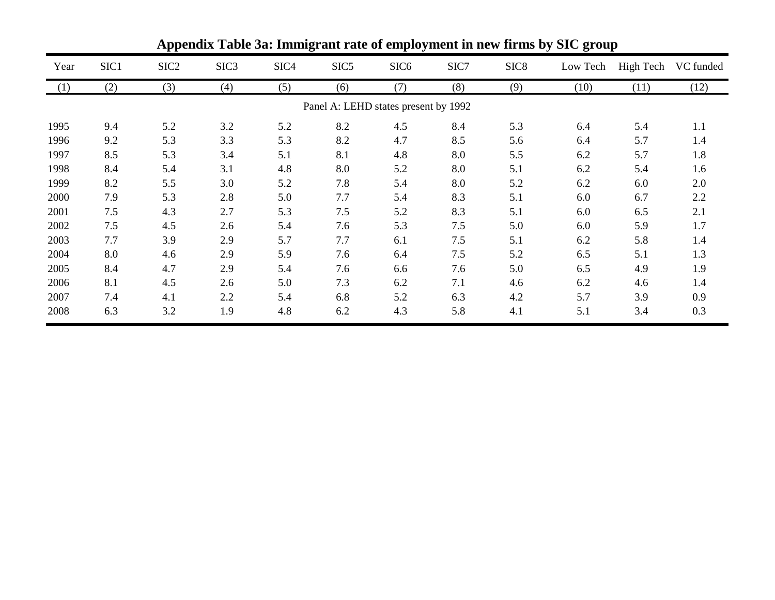|                                      | Appendix Table 3a: Immigrant rate of employment in new firms by SIC group |                  |                  |                  |                  |                  |      |                  |          |           |           |  |  |
|--------------------------------------|---------------------------------------------------------------------------|------------------|------------------|------------------|------------------|------------------|------|------------------|----------|-----------|-----------|--|--|
| Year                                 | SIC1                                                                      | SIC <sub>2</sub> | SIC <sub>3</sub> | SIC <sub>4</sub> | SIC <sub>5</sub> | SIC <sub>6</sub> | SIC7 | SIC <sub>8</sub> | Low Tech | High Tech | VC funded |  |  |
| (1)                                  | (2)                                                                       | (3)              | (4)              | (5)              | (6)              | (7)              | (8)  | (9)              | (10)     | (11)      | (12)      |  |  |
| Panel A: LEHD states present by 1992 |                                                                           |                  |                  |                  |                  |                  |      |                  |          |           |           |  |  |
| 1995                                 | 9.4                                                                       | 5.2              | 3.2              | 5.2              | 8.2              | 4.5              | 8.4  | 5.3              | 6.4      | 5.4       | 1.1       |  |  |
| 1996                                 | 9.2                                                                       | 5.3              | 3.3              | 5.3              | 8.2              | 4.7              | 8.5  | 5.6              | 6.4      | 5.7       | 1.4       |  |  |
| 1997                                 | 8.5                                                                       | 5.3              | 3.4              | 5.1              | 8.1              | 4.8              | 8.0  | 5.5              | 6.2      | 5.7       | 1.8       |  |  |
| 1998                                 | 8.4                                                                       | 5.4              | 3.1              | 4.8              | 8.0              | 5.2              | 8.0  | 5.1              | 6.2      | 5.4       | 1.6       |  |  |
| 1999                                 | 8.2                                                                       | 5.5              | 3.0              | 5.2              | 7.8              | 5.4              | 8.0  | 5.2              | 6.2      | 6.0       | 2.0       |  |  |
| 2000                                 | 7.9                                                                       | 5.3              | 2.8              | 5.0              | 7.7              | 5.4              | 8.3  | 5.1              | 6.0      | 6.7       | 2.2       |  |  |
| 2001                                 | 7.5                                                                       | 4.3              | 2.7              | 5.3              | 7.5              | 5.2              | 8.3  | 5.1              | 6.0      | 6.5       | 2.1       |  |  |
| 2002                                 | 7.5                                                                       | 4.5              | 2.6              | 5.4              | 7.6              | 5.3              | 7.5  | 5.0              | 6.0      | 5.9       | 1.7       |  |  |
| 2003                                 | 7.7                                                                       | 3.9              | 2.9              | 5.7              | 7.7              | 6.1              | 7.5  | 5.1              | 6.2      | 5.8       | 1.4       |  |  |
| 2004                                 | 8.0                                                                       | 4.6              | 2.9              | 5.9              | 7.6              | 6.4              | 7.5  | 5.2              | 6.5      | 5.1       | 1.3       |  |  |
| 2005                                 | 8.4                                                                       | 4.7              | 2.9              | 5.4              | 7.6              | 6.6              | 7.6  | 5.0              | 6.5      | 4.9       | 1.9       |  |  |
| 2006                                 | 8.1                                                                       | 4.5              | 2.6              | 5.0              | 7.3              | 6.2              | 7.1  | 4.6              | 6.2      | 4.6       | 1.4       |  |  |
| 2007                                 | 7.4                                                                       | 4.1              | 2.2              | 5.4              | 6.8              | 5.2              | 6.3  | 4.2              | 5.7      | 3.9       | 0.9       |  |  |
| 2008                                 | 6.3                                                                       | 3.2              | 1.9              | 4.8              | 6.2              | 4.3              | 5.8  | 4.1              | 5.1      | 3.4       | 0.3       |  |  |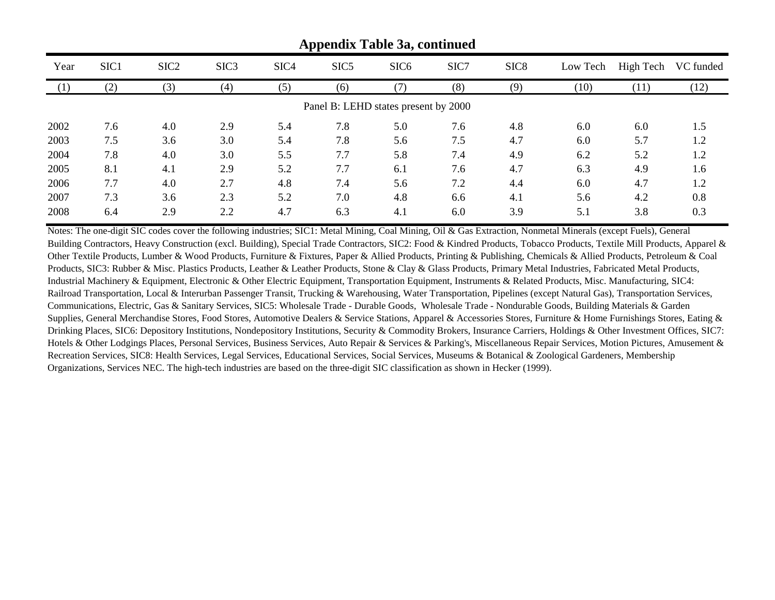|      | Appendix Table 3a, continued         |                  |                  |                  |                  |                  |      |                  |          |           |           |  |  |
|------|--------------------------------------|------------------|------------------|------------------|------------------|------------------|------|------------------|----------|-----------|-----------|--|--|
| Year | SIC <sub>1</sub>                     | SIC <sub>2</sub> | SIC <sub>3</sub> | SIC <sub>4</sub> | SIC <sub>5</sub> | SIC <sub>6</sub> | SIC7 | SIC <sub>8</sub> | Low Tech | High Tech | VC funded |  |  |
|      | (2)                                  | (3)              | (4)              | (5)              | (6)              |                  | (8)  | (9)              | (10)     | (11)      | (12)      |  |  |
|      | Panel B: LEHD states present by 2000 |                  |                  |                  |                  |                  |      |                  |          |           |           |  |  |
| 2002 | 7.6                                  | 4.0              | 2.9              | 5.4              | 7.8              | 5.0              | 7.6  | 4.8              | 6.0      | 6.0       | 1.5       |  |  |
| 2003 | 7.5                                  | 3.6              | 3.0              | 5.4              | 7.8              | 5.6              | 7.5  | 4.7              | 6.0      | 5.7       | 1.2       |  |  |
| 2004 | 7.8                                  | 4.0              | 3.0              | 5.5              | 7.7              | 5.8              | 7.4  | 4.9              | 6.2      | 5.2       | 1.2       |  |  |
| 2005 | 8.1                                  | 4.1              | 2.9              | 5.2              | 7.7              | 6.1              | 7.6  | 4.7              | 6.3      | 4.9       | 1.6       |  |  |
| 2006 | 7.7                                  | 4.0              | 2.7              | 4.8              | 7.4              | 5.6              | 7.2  | 4.4              | 6.0      | 4.7       | 1.2       |  |  |
| 2007 | 7.3                                  | 3.6              | 2.3              | 5.2              | 7.0              | 4.8              | 6.6  | 4.1              | 5.6      | 4.2       | 0.8       |  |  |
| 2008 | 6.4                                  | 2.9              | 2.2              | 4.7              | 6.3              | 4.1              | 6.0  | 3.9              | 5.1      | 3.8       | 0.3       |  |  |

Notes: The one-digit SIC codes cover the following industries; SIC1: Metal Mining, Coal Mining, Oil & Gas Extraction, Nonmetal Minerals (except Fuels), General Building Contractors, Heavy Construction (excl. Building), Special Trade Contractors, SIC2: Food & Kindred Products, Tobacco Products, Textile Mill Products, Apparel & Other Textile Products, Lumber & Wood Products, Furniture & Fixtures, Paper & Allied Products, Printing & Publishing, Chemicals & Allied Products, Petroleum & Coal Products, SIC3: Rubber & Misc. Plastics Products, Leather & Leather Products, Stone & Clay & Glass Products, Primary Metal Industries, Fabricated Metal Products, Industrial Machinery & Equipment, Electronic & Other Electric Equipment, Transportation Equipment, Instruments & Related Products, Misc. Manufacturing, SIC4: Railroad Transportation, Local & Interurban Passenger Transit, Trucking & Warehousing, Water Transportation, Pipelines (except Natural Gas), Transportation Services, Communications, Electric, Gas & Sanitary Services, SIC5: Wholesale Trade - Durable Goods, Wholesale Trade - Nondurable Goods, Building Materials & Garden Supplies, General Merchandise Stores, Food Stores, Automotive Dealers & Service Stations, Apparel & Accessories Stores, Furniture & Home Furnishings Stores, Eating & Drinking Places, SIC6: Depository Institutions, Nondepository Institutions, Security & Commodity Brokers, Insurance Carriers, Holdings & Other Investment Offices, SIC7: Hotels & Other Lodgings Places, Personal Services, Business Services, Auto Repair & Services & Parking's, Miscellaneous Repair Services, Motion Pictures, Amusement & Recreation Services, SIC8: Health Services, Legal Services, Educational Services, Social Services, Museums & Botanical & Zoological Gardeners, Membership Organizations, Services NEC. The high-tech industries are based on the three-digit SIC classification as shown in Hecker (1999).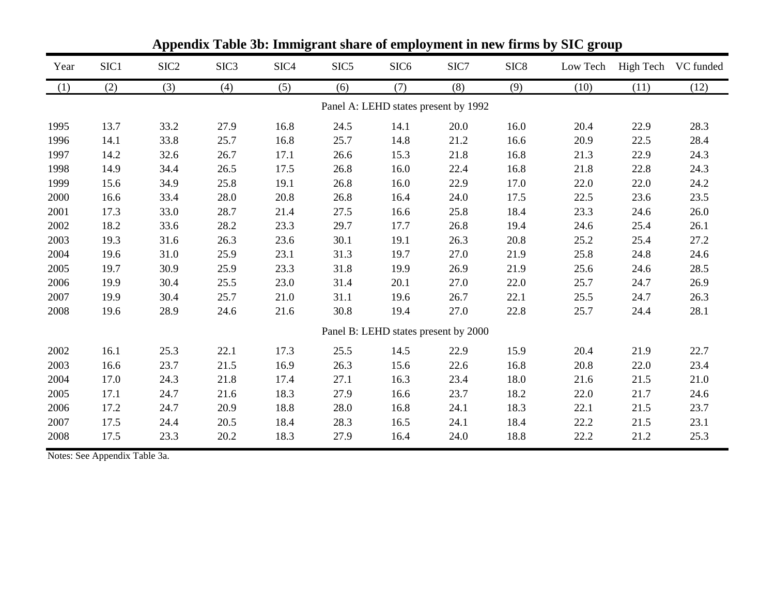| Year | SIC1 | SIC <sub>2</sub> | SIC <sub>3</sub> | SIC <sub>4</sub> | SIC <sub>5</sub> | SIC <sub>6</sub> | SIC7                                 | SIC <sub>8</sub> | Low Tech |      | High Tech VC funded |
|------|------|------------------|------------------|------------------|------------------|------------------|--------------------------------------|------------------|----------|------|---------------------|
| (1)  | (2)  | (3)              | (4)              | (5)              | (6)              | (7)              | (8)                                  | (9)              | (10)     | (11) | (12)                |
|      |      |                  |                  |                  |                  |                  | Panel A: LEHD states present by 1992 |                  |          |      |                     |
| 1995 | 13.7 | 33.2             | 27.9             | 16.8             | 24.5             | 14.1             | 20.0                                 | 16.0             | 20.4     | 22.9 | 28.3                |
| 1996 | 14.1 | 33.8             | 25.7             | 16.8             | 25.7             | 14.8             | 21.2                                 | 16.6             | 20.9     | 22.5 | 28.4                |
| 1997 | 14.2 | 32.6             | 26.7             | 17.1             | 26.6             | 15.3             | 21.8                                 | 16.8             | 21.3     | 22.9 | 24.3                |
| 1998 | 14.9 | 34.4             | 26.5             | 17.5             | 26.8             | 16.0             | 22.4                                 | 16.8             | 21.8     | 22.8 | 24.3                |
| 1999 | 15.6 | 34.9             | 25.8             | 19.1             | 26.8             | 16.0             | 22.9                                 | 17.0             | 22.0     | 22.0 | 24.2                |
| 2000 | 16.6 | 33.4             | 28.0             | 20.8             | 26.8             | 16.4             | 24.0                                 | 17.5             | 22.5     | 23.6 | 23.5                |
| 2001 | 17.3 | 33.0             | 28.7             | 21.4             | 27.5             | 16.6             | 25.8                                 | 18.4             | 23.3     | 24.6 | 26.0                |
| 2002 | 18.2 | 33.6             | 28.2             | 23.3             | 29.7             | 17.7             | 26.8                                 | 19.4             | 24.6     | 25.4 | 26.1                |
| 2003 | 19.3 | 31.6             | 26.3             | 23.6             | 30.1             | 19.1             | 26.3                                 | 20.8             | 25.2     | 25.4 | 27.2                |
| 2004 | 19.6 | 31.0             | 25.9             | 23.1             | 31.3             | 19.7             | 27.0                                 | 21.9             | 25.8     | 24.8 | 24.6                |
| 2005 | 19.7 | 30.9             | 25.9             | 23.3             | 31.8             | 19.9             | 26.9                                 | 21.9             | 25.6     | 24.6 | 28.5                |
| 2006 | 19.9 | 30.4             | 25.5             | 23.0             | 31.4             | 20.1             | 27.0                                 | 22.0             | 25.7     | 24.7 | 26.9                |
| 2007 | 19.9 | 30.4             | 25.7             | 21.0             | 31.1             | 19.6             | 26.7                                 | 22.1             | 25.5     | 24.7 | 26.3                |
| 2008 | 19.6 | 28.9             | 24.6             | 21.6             | 30.8             | 19.4             | 27.0                                 | 22.8             | 25.7     | 24.4 | 28.1                |
|      |      |                  |                  |                  |                  |                  | Panel B: LEHD states present by 2000 |                  |          |      |                     |
| 2002 | 16.1 | 25.3             | 22.1             | 17.3             | 25.5             | 14.5             | 22.9                                 | 15.9             | 20.4     | 21.9 | 22.7                |
| 2003 | 16.6 | 23.7             | 21.5             | 16.9             | 26.3             | 15.6             | 22.6                                 | 16.8             | 20.8     | 22.0 | 23.4                |
| 2004 | 17.0 | 24.3             | 21.8             | 17.4             | 27.1             | 16.3             | 23.4                                 | 18.0             | 21.6     | 21.5 | 21.0                |
| 2005 | 17.1 | 24.7             | 21.6             | 18.3             | 27.9             | 16.6             | 23.7                                 | 18.2             | 22.0     | 21.7 | 24.6                |
| 2006 | 17.2 | 24.7             | 20.9             | 18.8             | 28.0             | 16.8             | 24.1                                 | 18.3             | 22.1     | 21.5 | 23.7                |
| 2007 | 17.5 | 24.4             | 20.5             | 18.4             | 28.3             | 16.5             | 24.1                                 | 18.4             | 22.2     | 21.5 | 23.1                |
| 2008 | 17.5 | 23.3             | 20.2             | 18.3             | 27.9             | 16.4             | 24.0                                 | 18.8             | 22.2     | 21.2 | 25.3                |

**Appendix Table 3b: Immigrant share of employment in new firms by SIC group**

Notes: See Appendix Table 3a.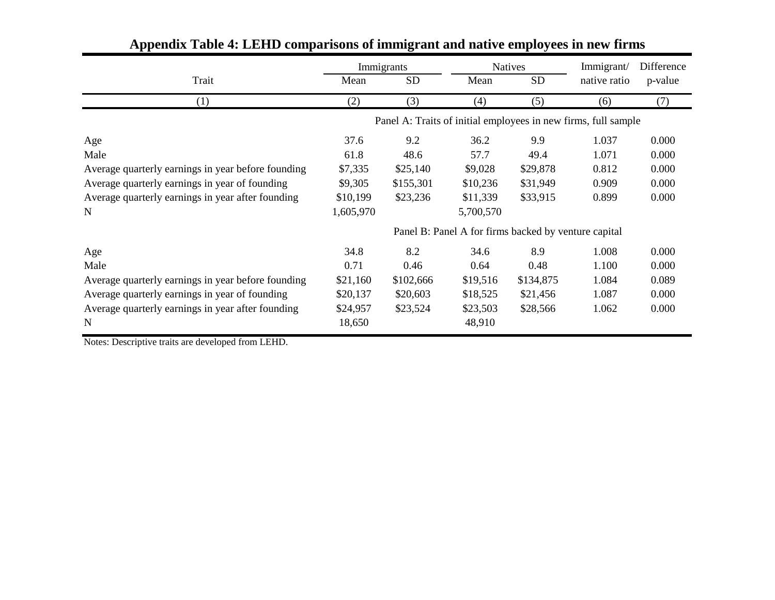|                                                    | Immigrants                                                     |           |                                                      | <b>Natives</b> | Immigrant/   | Difference |  |
|----------------------------------------------------|----------------------------------------------------------------|-----------|------------------------------------------------------|----------------|--------------|------------|--|
| Trait                                              | Mean                                                           | <b>SD</b> | Mean                                                 | <b>SD</b>      | native ratio | p-value    |  |
| (1)                                                | (2)                                                            | (3)       | (4)                                                  | (5)            | (6)          | (7)        |  |
|                                                    | Panel A: Traits of initial employees in new firms, full sample |           |                                                      |                |              |            |  |
| Age                                                | 37.6                                                           | 9.2       | 36.2                                                 | 9.9            | 1.037        | 0.000      |  |
| Male                                               | 61.8                                                           | 48.6      | 57.7                                                 | 49.4           | 1.071        | 0.000      |  |
| Average quarterly earnings in year before founding | \$7,335                                                        | \$25,140  | \$9,028                                              | \$29,878       | 0.812        | 0.000      |  |
| Average quarterly earnings in year of founding     | \$9,305                                                        | \$155,301 | \$10,236                                             | \$31,949       | 0.909        | 0.000      |  |
| Average quarterly earnings in year after founding  | \$10,199                                                       | \$23,236  | \$11,339                                             | \$33,915       | 0.899        | 0.000      |  |
| N                                                  | 1,605,970                                                      |           | 5,700,570                                            |                |              |            |  |
|                                                    |                                                                |           | Panel B: Panel A for firms backed by venture capital |                |              |            |  |
| Age                                                | 34.8                                                           | 8.2       | 34.6                                                 | 8.9            | 1.008        | 0.000      |  |
| Male                                               | 0.71                                                           | 0.46      | 0.64                                                 | 0.48           | 1.100        | 0.000      |  |
| Average quarterly earnings in year before founding | \$21,160                                                       | \$102,666 | \$19,516                                             | \$134,875      | 1.084        | 0.089      |  |
| Average quarterly earnings in year of founding     | \$20,137                                                       | \$20,603  | \$18,525                                             | \$21,456       | 1.087        | 0.000      |  |
| Average quarterly earnings in year after founding  | \$24,957                                                       | \$23,524  | \$23,503                                             | \$28,566       | 1.062        | 0.000      |  |
| N                                                  | 18,650                                                         |           | 48,910                                               |                |              |            |  |

# **Appendix Table 4: LEHD comparisons of immigrant and native employees in new firms**

Notes: Descriptive traits are developed from LEHD.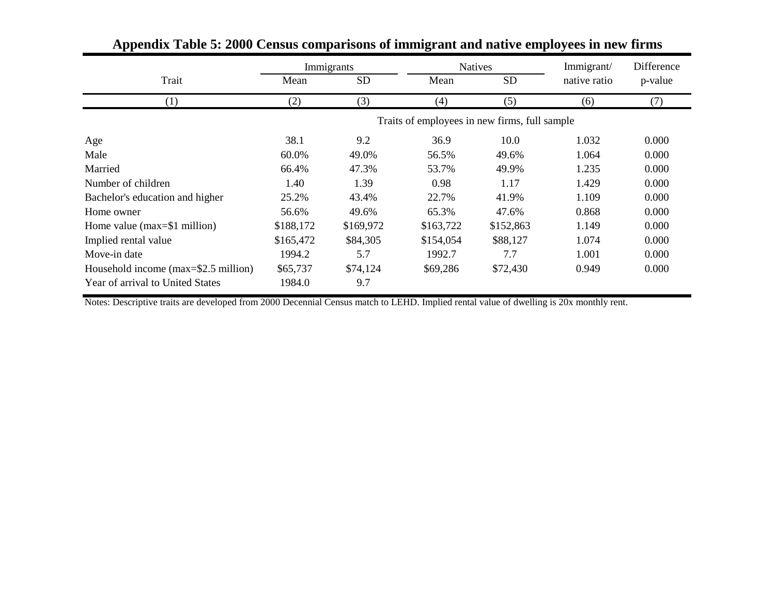|                                      | Immigrants |                   |                                               | <b>Natives</b> | Immigrant/   | Difference |  |
|--------------------------------------|------------|-------------------|-----------------------------------------------|----------------|--------------|------------|--|
| Trait                                | Mean       | <b>SD</b><br>Mean |                                               | <b>SD</b>      | native ratio | p-value    |  |
| (1)                                  | (2)        | (3)               | (4)                                           | (5)            | (6)          | (7)        |  |
|                                      |            |                   | Traits of employees in new firms, full sample |                |              |            |  |
| Age                                  | 38.1       | 9.2               | 36.9                                          | 10.0           | 1.032        | 0.000      |  |
| Male                                 | 60.0%      | 49.0%             | 56.5%                                         | 49.6%          | 1.064        | 0.000      |  |
| Married                              | 66.4%      | 47.3%             | 53.7%                                         | 49.9%          | 1.235        | 0.000      |  |
| Number of children                   | 1.40       | 1.39              | 0.98                                          | 1.17           | 1.429        | 0.000      |  |
| Bachelor's education and higher      | 25.2%      | 43.4%             | 22.7%                                         | 41.9%          | 1.109        | 0.000      |  |
| Home owner                           | 56.6%      | 49.6%             | 65.3%                                         | 47.6%          | 0.868        | 0.000      |  |
| Home value ( $max=1$ million)        | \$188,172  | \$169,972         | \$163,722                                     | \$152,863      | 1.149        | 0.000      |  |
| Implied rental value                 | \$165,472  | \$84,305          | \$154,054                                     | \$88,127       | 1.074        | 0.000      |  |
| Move-in date                         | 1994.2     | 5.7               | 1992.7                                        | 7.7            | 1.001        | 0.000      |  |
| Household income (max=\$2.5 million) | \$65,737   | \$74,124          | \$69,286                                      | \$72,430       | 0.949        | 0.000      |  |
| Year of arrival to United States     | 1984.0     | 9.7               |                                               |                |              |            |  |

# **Appendix Table 5: 2000 Census comparisons of immigrant and native employees in new firms**

Notes: Descriptive traits are developed from 2000 Decennial Census match to LEHD. Implied rental value of dwelling is 20x monthly rent.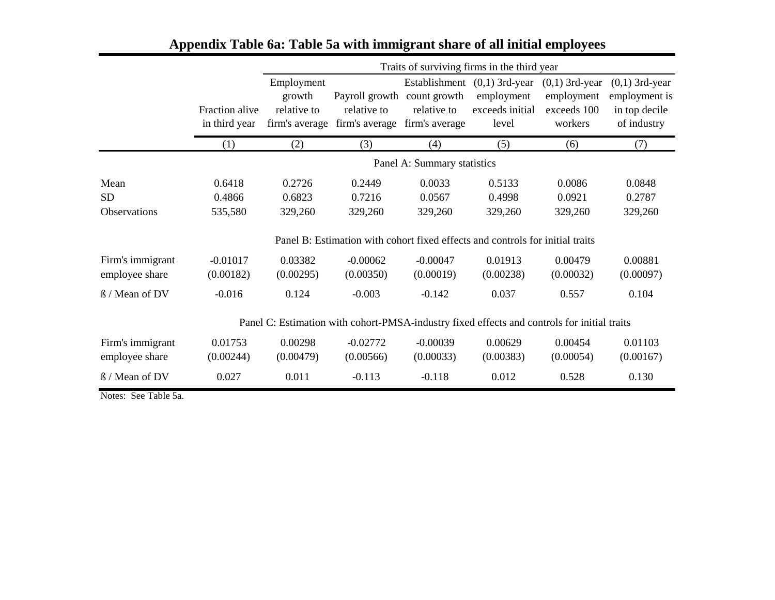|                     |                                 |                                                       |                                                                                             |                                                                | Traits of surviving firms in the third year                |                                                          |                                                                   |  |  |  |
|---------------------|---------------------------------|-------------------------------------------------------|---------------------------------------------------------------------------------------------|----------------------------------------------------------------|------------------------------------------------------------|----------------------------------------------------------|-------------------------------------------------------------------|--|--|--|
|                     | Fraction alive<br>in third year | Employment<br>growth<br>relative to<br>firm's average | Payroll growth<br>relative to<br>firm's average                                             | Establishment<br>count growth<br>relative to<br>firm's average | $(0,1)$ 3rd-year<br>employment<br>exceeds initial<br>level | $(0,1)$ 3rd-year<br>employment<br>exceeds 100<br>workers | $(0,1)$ 3rd-year<br>employment is<br>in top decile<br>of industry |  |  |  |
|                     | (1)                             | (2)                                                   | (3)                                                                                         | (4)                                                            | (5)                                                        | (6)                                                      | (7)                                                               |  |  |  |
|                     |                                 | Panel A: Summary statistics                           |                                                                                             |                                                                |                                                            |                                                          |                                                                   |  |  |  |
| Mean                | 0.6418                          | 0.2726                                                | 0.2449                                                                                      | 0.0033                                                         | 0.5133                                                     | 0.0086                                                   | 0.0848                                                            |  |  |  |
| <b>SD</b>           | 0.4866                          | 0.6823                                                | 0.7216                                                                                      | 0.0567                                                         | 0.4998                                                     | 0.0921                                                   | 0.2787                                                            |  |  |  |
| <b>Observations</b> | 535,580                         | 329,260                                               | 329,260                                                                                     | 329,260                                                        | 329,260                                                    | 329,260                                                  | 329,260                                                           |  |  |  |
|                     |                                 |                                                       | Panel B: Estimation with cohort fixed effects and controls for initial traits               |                                                                |                                                            |                                                          |                                                                   |  |  |  |
| Firm's immigrant    | $-0.01017$                      | 0.03382                                               | $-0.00062$                                                                                  | $-0.00047$                                                     | 0.01913                                                    | 0.00479                                                  | 0.00881                                                           |  |  |  |
| employee share      | (0.00182)                       | (0.00295)                                             | (0.00350)                                                                                   | (0.00019)                                                      | (0.00238)                                                  | (0.00032)                                                | (0.00097)                                                         |  |  |  |
| ß / Mean of DV      | $-0.016$                        | 0.124                                                 | $-0.003$                                                                                    | $-0.142$                                                       | 0.037                                                      | 0.557                                                    | 0.104                                                             |  |  |  |
|                     |                                 |                                                       | Panel C: Estimation with cohort-PMSA-industry fixed effects and controls for initial traits |                                                                |                                                            |                                                          |                                                                   |  |  |  |
| Firm's immigrant    | 0.01753                         | 0.00298                                               | $-0.02772$                                                                                  | $-0.00039$                                                     | 0.00629                                                    | 0.00454                                                  | 0.01103                                                           |  |  |  |
| employee share      | (0.00244)                       | (0.00479)                                             | (0.00566)                                                                                   | (0.00033)                                                      | (0.00383)                                                  | (0.00054)                                                | (0.00167)                                                         |  |  |  |
| ß / Mean of DV      | 0.027                           | 0.011                                                 | $-0.113$                                                                                    | $-0.118$                                                       | 0.012                                                      | 0.528                                                    | 0.130                                                             |  |  |  |

# **Appendix Table 6a: Table 5a with immigrant share of all initial employees**

Notes: See Table 5a.